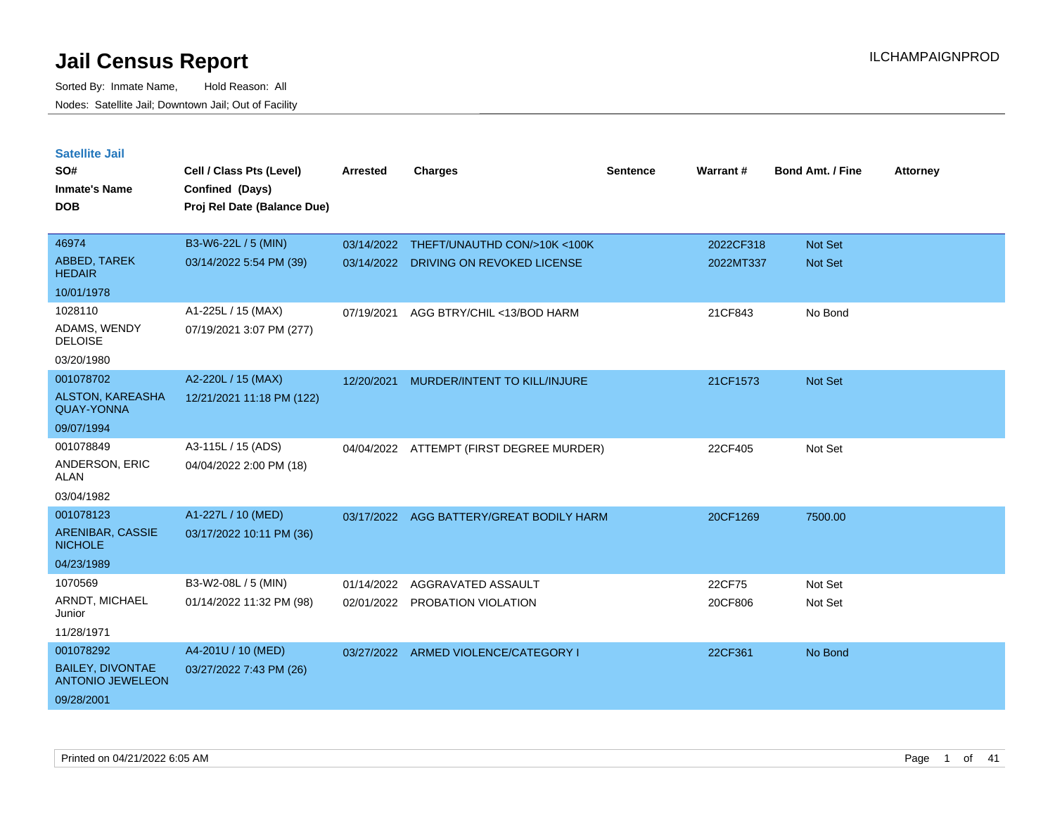| <b>Satellite Jail</b>                              |                             |                 |                               |                 |           |                         |                 |
|----------------------------------------------------|-----------------------------|-----------------|-------------------------------|-----------------|-----------|-------------------------|-----------------|
| SO#                                                | Cell / Class Pts (Level)    | <b>Arrested</b> | <b>Charges</b>                | <b>Sentence</b> | Warrant#  | <b>Bond Amt. / Fine</b> | <b>Attorney</b> |
| Inmate's Name                                      | Confined (Days)             |                 |                               |                 |           |                         |                 |
| <b>DOB</b>                                         | Proj Rel Date (Balance Due) |                 |                               |                 |           |                         |                 |
|                                                    |                             |                 |                               |                 |           |                         |                 |
| 46974                                              | B3-W6-22L / 5 (MIN)         | 03/14/2022      | THEFT/UNAUTHD CON/>10K <100K  |                 | 2022CF318 | <b>Not Set</b>          |                 |
| <b>ABBED, TAREK</b><br><b>HEDAIR</b>               | 03/14/2022 5:54 PM (39)     | 03/14/2022      | DRIVING ON REVOKED LICENSE    |                 | 2022MT337 | <b>Not Set</b>          |                 |
| 10/01/1978                                         |                             |                 |                               |                 |           |                         |                 |
| 1028110                                            | A1-225L / 15 (MAX)          | 07/19/2021      | AGG BTRY/CHIL <13/BOD HARM    |                 | 21CF843   | No Bond                 |                 |
| ADAMS, WENDY<br><b>DELOISE</b>                     | 07/19/2021 3:07 PM (277)    |                 |                               |                 |           |                         |                 |
| 03/20/1980                                         |                             |                 |                               |                 |           |                         |                 |
| 001078702                                          | A2-220L / 15 (MAX)          | 12/20/2021      | MURDER/INTENT TO KILL/INJURE  |                 | 21CF1573  | <b>Not Set</b>          |                 |
| <b>ALSTON, KAREASHA</b><br><b>QUAY-YONNA</b>       | 12/21/2021 11:18 PM (122)   |                 |                               |                 |           |                         |                 |
| 09/07/1994                                         |                             |                 |                               |                 |           |                         |                 |
| 001078849                                          | A3-115L / 15 (ADS)          | 04/04/2022      | ATTEMPT (FIRST DEGREE MURDER) |                 | 22CF405   | Not Set                 |                 |
| ANDERSON, ERIC<br>ALAN                             | 04/04/2022 2:00 PM (18)     |                 |                               |                 |           |                         |                 |
| 03/04/1982                                         |                             |                 |                               |                 |           |                         |                 |
| 001078123                                          | A1-227L / 10 (MED)          | 03/17/2022      | AGG BATTERY/GREAT BODILY HARM |                 | 20CF1269  | 7500.00                 |                 |
| ARENIBAR, CASSIE<br><b>NICHOLE</b>                 | 03/17/2022 10:11 PM (36)    |                 |                               |                 |           |                         |                 |
| 04/23/1989                                         |                             |                 |                               |                 |           |                         |                 |
| 1070569                                            | B3-W2-08L / 5 (MIN)         | 01/14/2022      | AGGRAVATED ASSAULT            |                 | 22CF75    | Not Set                 |                 |
| ARNDT, MICHAEL<br>Junior                           | 01/14/2022 11:32 PM (98)    | 02/01/2022      | PROBATION VIOLATION           |                 | 20CF806   | Not Set                 |                 |
| 11/28/1971                                         |                             |                 |                               |                 |           |                         |                 |
| 001078292                                          | A4-201U / 10 (MED)          | 03/27/2022      | ARMED VIOLENCE/CATEGORY I     |                 | 22CF361   | No Bond                 |                 |
| <b>BAILEY, DIVONTAE</b><br><b>ANTONIO JEWELEON</b> | 03/27/2022 7:43 PM (26)     |                 |                               |                 |           |                         |                 |
| 09/28/2001                                         |                             |                 |                               |                 |           |                         |                 |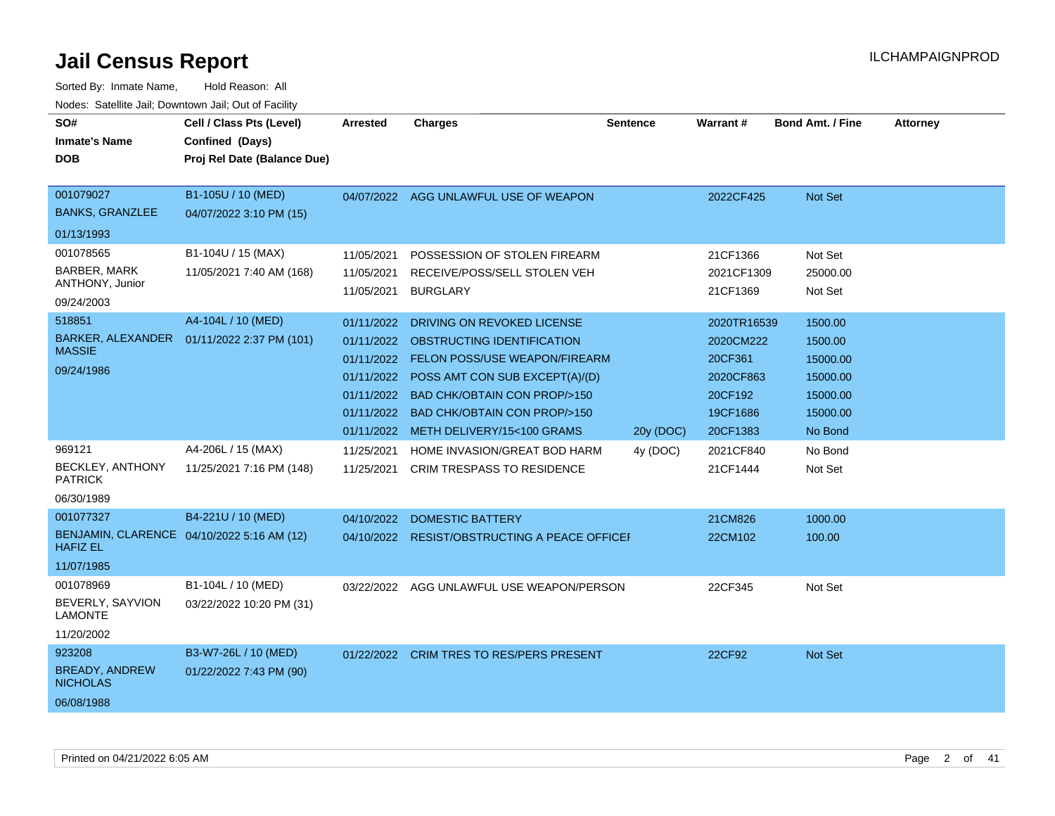| SO#<br><b>Inmate's Name</b><br><b>DOB</b>                         | Cell / Class Pts (Level)<br>Confined (Days)<br>Proj Rel Date (Balance Due) | <b>Arrested</b>                                                                                | <b>Charges</b>                                                                                                                                                                                                                                | <b>Sentence</b> | <b>Warrant#</b>                                                                     | <b>Bond Amt. / Fine</b>                                                       | <b>Attorney</b> |
|-------------------------------------------------------------------|----------------------------------------------------------------------------|------------------------------------------------------------------------------------------------|-----------------------------------------------------------------------------------------------------------------------------------------------------------------------------------------------------------------------------------------------|-----------------|-------------------------------------------------------------------------------------|-------------------------------------------------------------------------------|-----------------|
| 001079027<br><b>BANKS, GRANZLEE</b>                               | B1-105U / 10 (MED)<br>04/07/2022 3:10 PM (15)                              |                                                                                                | 04/07/2022 AGG UNLAWFUL USE OF WEAPON                                                                                                                                                                                                         |                 | 2022CF425                                                                           | Not Set                                                                       |                 |
| 01/13/1993                                                        |                                                                            |                                                                                                |                                                                                                                                                                                                                                               |                 |                                                                                     |                                                                               |                 |
| 001078565<br><b>BARBER, MARK</b><br>ANTHONY, Junior<br>09/24/2003 | B1-104U / 15 (MAX)<br>11/05/2021 7:40 AM (168)                             | 11/05/2021<br>11/05/2021<br>11/05/2021                                                         | POSSESSION OF STOLEN FIREARM<br>RECEIVE/POSS/SELL STOLEN VEH<br><b>BURGLARY</b>                                                                                                                                                               |                 | 21CF1366<br>2021CF1309<br>21CF1369                                                  | Not Set<br>25000.00<br>Not Set                                                |                 |
| 518851<br>BARKER, ALEXANDER<br><b>MASSIE</b><br>09/24/1986        | A4-104L / 10 (MED)<br>01/11/2022 2:37 PM (101)                             | 01/11/2022<br>01/11/2022<br>01/11/2022<br>01/11/2022<br>01/11/2022<br>01/11/2022<br>01/11/2022 | DRIVING ON REVOKED LICENSE<br>OBSTRUCTING IDENTIFICATION<br>FELON POSS/USE WEAPON/FIREARM<br>POSS AMT CON SUB EXCEPT(A)/(D)<br><b>BAD CHK/OBTAIN CON PROP/&gt;150</b><br><b>BAD CHK/OBTAIN CON PROP/&gt;150</b><br>METH DELIVERY/15<100 GRAMS | 20y (DOC)       | 2020TR16539<br>2020CM222<br>20CF361<br>2020CF863<br>20CF192<br>19CF1686<br>20CF1383 | 1500.00<br>1500.00<br>15000.00<br>15000.00<br>15000.00<br>15000.00<br>No Bond |                 |
| 969121<br>BECKLEY, ANTHONY<br><b>PATRICK</b><br>06/30/1989        | A4-206L / 15 (MAX)<br>11/25/2021 7:16 PM (148)                             | 11/25/2021<br>11/25/2021                                                                       | HOME INVASION/GREAT BOD HARM<br><b>CRIM TRESPASS TO RESIDENCE</b>                                                                                                                                                                             | 4y (DOC)        | 2021CF840<br>21CF1444                                                               | No Bond<br>Not Set                                                            |                 |
| 001077327<br><b>HAFIZ EL</b><br>11/07/1985                        | B4-221U / 10 (MED)<br>BENJAMIN, CLARENCE 04/10/2022 5:16 AM (12)           | 04/10/2022                                                                                     | <b>DOMESTIC BATTERY</b><br>04/10/2022 RESIST/OBSTRUCTING A PEACE OFFICE                                                                                                                                                                       |                 | 21CM826<br>22CM102                                                                  | 1000.00<br>100.00                                                             |                 |
| 001078969<br>BEVERLY, SAYVION<br><b>LAMONTE</b><br>11/20/2002     | B1-104L / 10 (MED)<br>03/22/2022 10:20 PM (31)                             |                                                                                                | 03/22/2022 AGG UNLAWFUL USE WEAPON/PERSON                                                                                                                                                                                                     |                 | 22CF345                                                                             | Not Set                                                                       |                 |
| 923208<br><b>BREADY, ANDREW</b><br><b>NICHOLAS</b><br>06/08/1988  | B3-W7-26L / 10 (MED)<br>01/22/2022 7:43 PM (90)                            | 01/22/2022                                                                                     | <b>CRIM TRES TO RES/PERS PRESENT</b>                                                                                                                                                                                                          |                 | 22CF92                                                                              | <b>Not Set</b>                                                                |                 |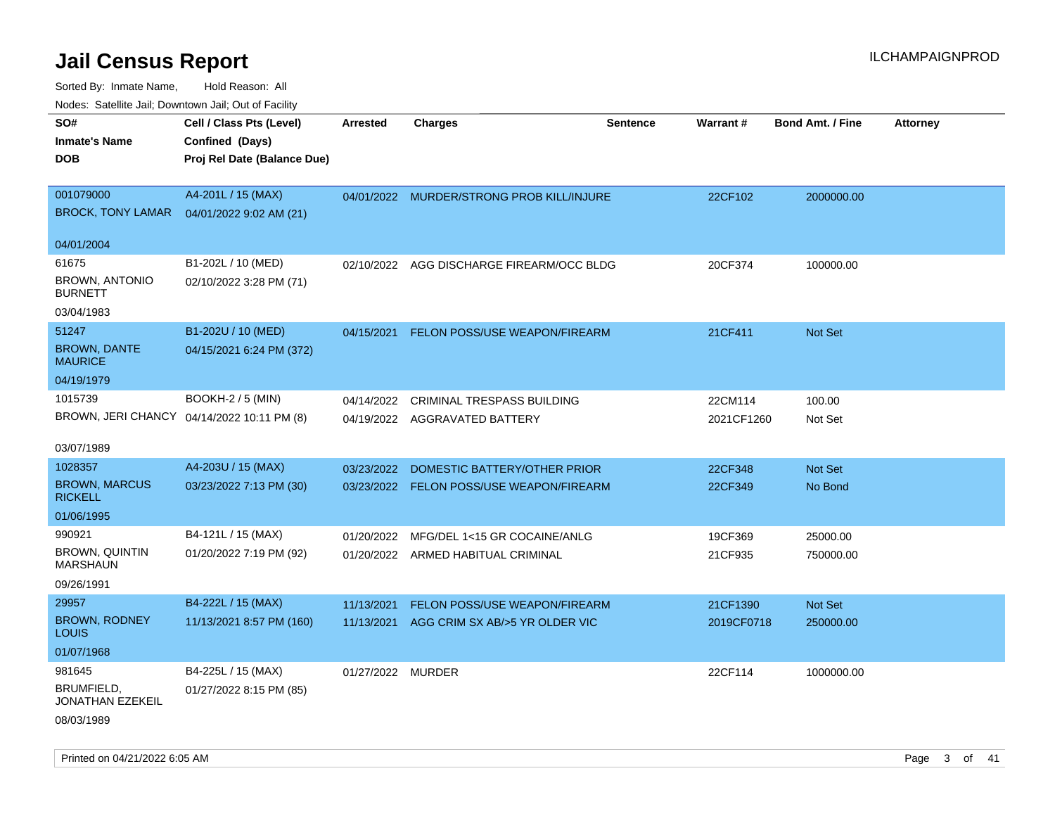| rouce. Calcillic Jali, Downtown Jali, Out of Facility |                                            |                   |                                           |                 |            |                         |                 |
|-------------------------------------------------------|--------------------------------------------|-------------------|-------------------------------------------|-----------------|------------|-------------------------|-----------------|
| SO#                                                   | Cell / Class Pts (Level)                   | <b>Arrested</b>   | <b>Charges</b>                            | <b>Sentence</b> | Warrant#   | <b>Bond Amt. / Fine</b> | <b>Attorney</b> |
| <b>Inmate's Name</b>                                  | Confined (Days)                            |                   |                                           |                 |            |                         |                 |
| <b>DOB</b>                                            | Proj Rel Date (Balance Due)                |                   |                                           |                 |            |                         |                 |
|                                                       |                                            |                   |                                           |                 |            |                         |                 |
| 001079000                                             | A4-201L / 15 (MAX)                         |                   | 04/01/2022 MURDER/STRONG PROB KILL/INJURE |                 | 22CF102    | 2000000.00              |                 |
| BROCK, TONY LAMAR  04/01/2022 9:02 AM (21)            |                                            |                   |                                           |                 |            |                         |                 |
|                                                       |                                            |                   |                                           |                 |            |                         |                 |
| 04/01/2004                                            |                                            |                   |                                           |                 |            |                         |                 |
| 61675                                                 | B1-202L / 10 (MED)                         | 02/10/2022        | AGG DISCHARGE FIREARM/OCC BLDG            |                 | 20CF374    | 100000.00               |                 |
| <b>BROWN, ANTONIO</b>                                 | 02/10/2022 3:28 PM (71)                    |                   |                                           |                 |            |                         |                 |
| <b>BURNETT</b>                                        |                                            |                   |                                           |                 |            |                         |                 |
| 03/04/1983                                            |                                            |                   |                                           |                 |            |                         |                 |
| 51247                                                 | B1-202U / 10 (MED)                         | 04/15/2021        | <b>FELON POSS/USE WEAPON/FIREARM</b>      |                 | 21CF411    | Not Set                 |                 |
| <b>BROWN, DANTE</b><br><b>MAURICE</b>                 | 04/15/2021 6:24 PM (372)                   |                   |                                           |                 |            |                         |                 |
| 04/19/1979                                            |                                            |                   |                                           |                 |            |                         |                 |
| 1015739                                               | <b>BOOKH-2 / 5 (MIN)</b>                   |                   | 04/14/2022 CRIMINAL TRESPASS BUILDING     |                 | 22CM114    | 100.00                  |                 |
|                                                       | BROWN, JERI CHANCY 04/14/2022 10:11 PM (8) |                   | 04/19/2022 AGGRAVATED BATTERY             |                 | 2021CF1260 | Not Set                 |                 |
|                                                       |                                            |                   |                                           |                 |            |                         |                 |
| 03/07/1989                                            |                                            |                   |                                           |                 |            |                         |                 |
| 1028357                                               | A4-203U / 15 (MAX)                         | 03/23/2022        | DOMESTIC BATTERY/OTHER PRIOR              |                 | 22CF348    | Not Set                 |                 |
| <b>BROWN, MARCUS</b>                                  | 03/23/2022 7:13 PM (30)                    |                   | 03/23/2022 FELON POSS/USE WEAPON/FIREARM  |                 | 22CF349    | No Bond                 |                 |
| <b>RICKELL</b>                                        |                                            |                   |                                           |                 |            |                         |                 |
| 01/06/1995                                            |                                            |                   |                                           |                 |            |                         |                 |
| 990921                                                | B4-121L / 15 (MAX)                         | 01/20/2022        | MFG/DEL 1<15 GR COCAINE/ANLG              |                 | 19CF369    | 25000.00                |                 |
| <b>BROWN, QUINTIN</b><br><b>MARSHAUN</b>              | 01/20/2022 7:19 PM (92)                    |                   | 01/20/2022 ARMED HABITUAL CRIMINAL        |                 | 21CF935    | 750000.00               |                 |
| 09/26/1991                                            |                                            |                   |                                           |                 |            |                         |                 |
|                                                       |                                            |                   |                                           |                 |            |                         |                 |
| 29957                                                 | B4-222L / 15 (MAX)                         | 11/13/2021        | FELON POSS/USE WEAPON/FIREARM             |                 | 21CF1390   | Not Set                 |                 |
| <b>BROWN, RODNEY</b><br><b>LOUIS</b>                  | 11/13/2021 8:57 PM (160)                   |                   | 11/13/2021 AGG CRIM SX AB/>5 YR OLDER VIC |                 | 2019CF0718 | 250000.00               |                 |
| 01/07/1968                                            |                                            |                   |                                           |                 |            |                         |                 |
| 981645                                                | B4-225L / 15 (MAX)                         | 01/27/2022 MURDER |                                           |                 | 22CF114    | 1000000.00              |                 |
| <b>BRUMFIELD,</b><br>JONATHAN EZEKEIL                 | 01/27/2022 8:15 PM (85)                    |                   |                                           |                 |            |                         |                 |
| 08/03/1989                                            |                                            |                   |                                           |                 |            |                         |                 |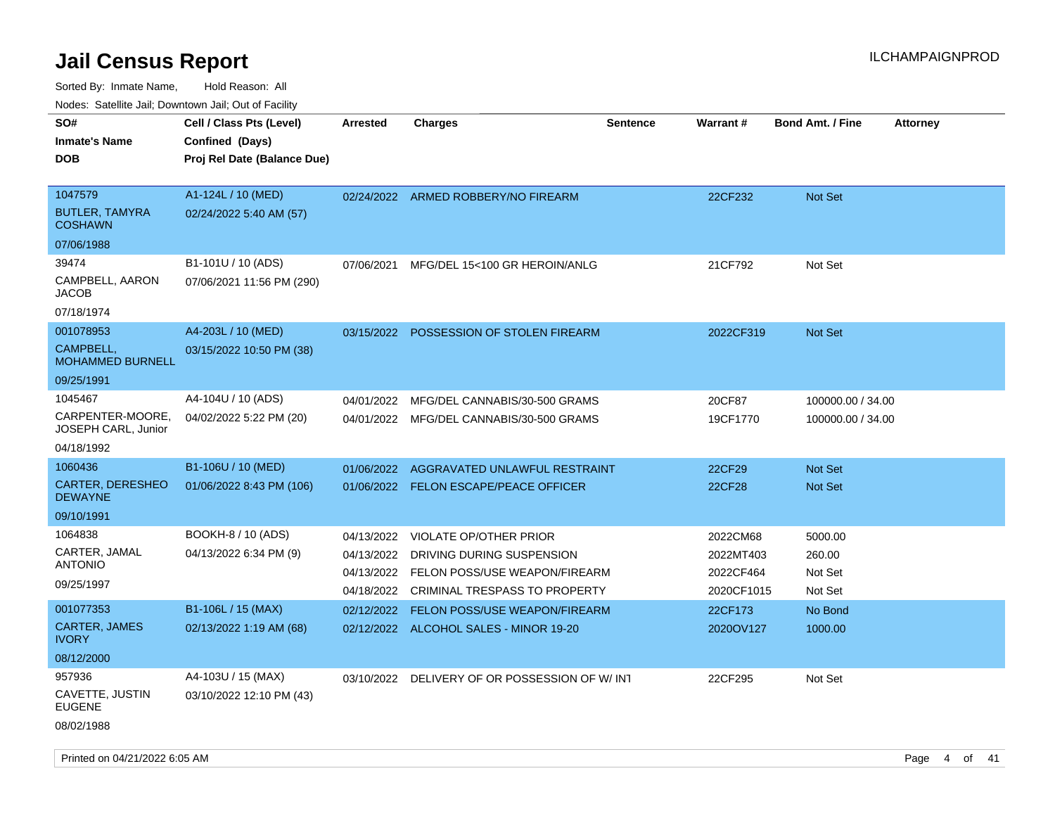Sorted By: Inmate Name, Hold Reason: All

Nodes: Satellite Jail; Downtown Jail; Out of Facility

| SO#<br><b>Inmate's Name</b><br><b>DOB</b>                          | Cell / Class Pts (Level)<br>Confined (Days)<br>Proj Rel Date (Balance Due) | <b>Arrested</b>                                      | <b>Charges</b>                                                                                                        | <b>Sentence</b> | <b>Warrant#</b>                                  | <b>Bond Amt. / Fine</b>                 | <b>Attorney</b> |
|--------------------------------------------------------------------|----------------------------------------------------------------------------|------------------------------------------------------|-----------------------------------------------------------------------------------------------------------------------|-----------------|--------------------------------------------------|-----------------------------------------|-----------------|
| 1047579<br><b>BUTLER, TAMYRA</b><br><b>COSHAWN</b><br>07/06/1988   | A1-124L / 10 (MED)<br>02/24/2022 5:40 AM (57)                              |                                                      | 02/24/2022 ARMED ROBBERY/NO FIREARM                                                                                   |                 | 22CF232                                          | <b>Not Set</b>                          |                 |
| 39474<br>CAMPBELL, AARON<br>JACOB<br>07/18/1974                    | B1-101U / 10 (ADS)<br>07/06/2021 11:56 PM (290)                            | 07/06/2021                                           | MFG/DEL 15<100 GR HEROIN/ANLG                                                                                         |                 | 21CF792                                          | Not Set                                 |                 |
| 001078953<br>CAMPBELL,<br><b>MOHAMMED BURNELL</b><br>09/25/1991    | A4-203L / 10 (MED)<br>03/15/2022 10:50 PM (38)                             | 03/15/2022                                           | POSSESSION OF STOLEN FIREARM                                                                                          |                 | 2022CF319                                        | Not Set                                 |                 |
| 1045467<br>CARPENTER-MOORE,<br>JOSEPH CARL, Junior<br>04/18/1992   | A4-104U / 10 (ADS)<br>04/02/2022 5:22 PM (20)                              | 04/01/2022                                           | MFG/DEL CANNABIS/30-500 GRAMS<br>04/01/2022 MFG/DEL CANNABIS/30-500 GRAMS                                             |                 | 20CF87<br>19CF1770                               | 100000.00 / 34.00<br>100000.00 / 34.00  |                 |
| 1060436<br><b>CARTER, DERESHEO</b><br><b>DEWAYNE</b><br>09/10/1991 | B1-106U / 10 (MED)<br>01/06/2022 8:43 PM (106)                             | 01/06/2022                                           | AGGRAVATED UNLAWFUL RESTRAINT<br>01/06/2022 FELON ESCAPE/PEACE OFFICER                                                |                 | 22CF29<br>22CF28                                 | <b>Not Set</b><br><b>Not Set</b>        |                 |
| 1064838<br>CARTER, JAMAL<br><b>ANTONIO</b><br>09/25/1997           | BOOKH-8 / 10 (ADS)<br>04/13/2022 6:34 PM (9)                               | 04/13/2022<br>04/13/2022<br>04/13/2022<br>04/18/2022 | VIOLATE OP/OTHER PRIOR<br>DRIVING DURING SUSPENSION<br>FELON POSS/USE WEAPON/FIREARM<br>CRIMINAL TRESPASS TO PROPERTY |                 | 2022CM68<br>2022MT403<br>2022CF464<br>2020CF1015 | 5000.00<br>260.00<br>Not Set<br>Not Set |                 |
| 001077353<br><b>CARTER, JAMES</b><br><b>IVORY</b><br>08/12/2000    | B1-106L / 15 (MAX)<br>02/13/2022 1:19 AM (68)                              | 02/12/2022                                           | FELON POSS/USE WEAPON/FIREARM<br>02/12/2022 ALCOHOL SALES - MINOR 19-20                                               |                 | 22CF173<br>2020OV127                             | No Bond<br>1000.00                      |                 |
| 957936<br>CAVETTE, JUSTIN<br><b>EUGENE</b><br>08/02/1988           | A4-103U / 15 (MAX)<br>03/10/2022 12:10 PM (43)                             |                                                      | 03/10/2022 DELIVERY OF OR POSSESSION OF W/INT                                                                         |                 | 22CF295                                          | Not Set                                 |                 |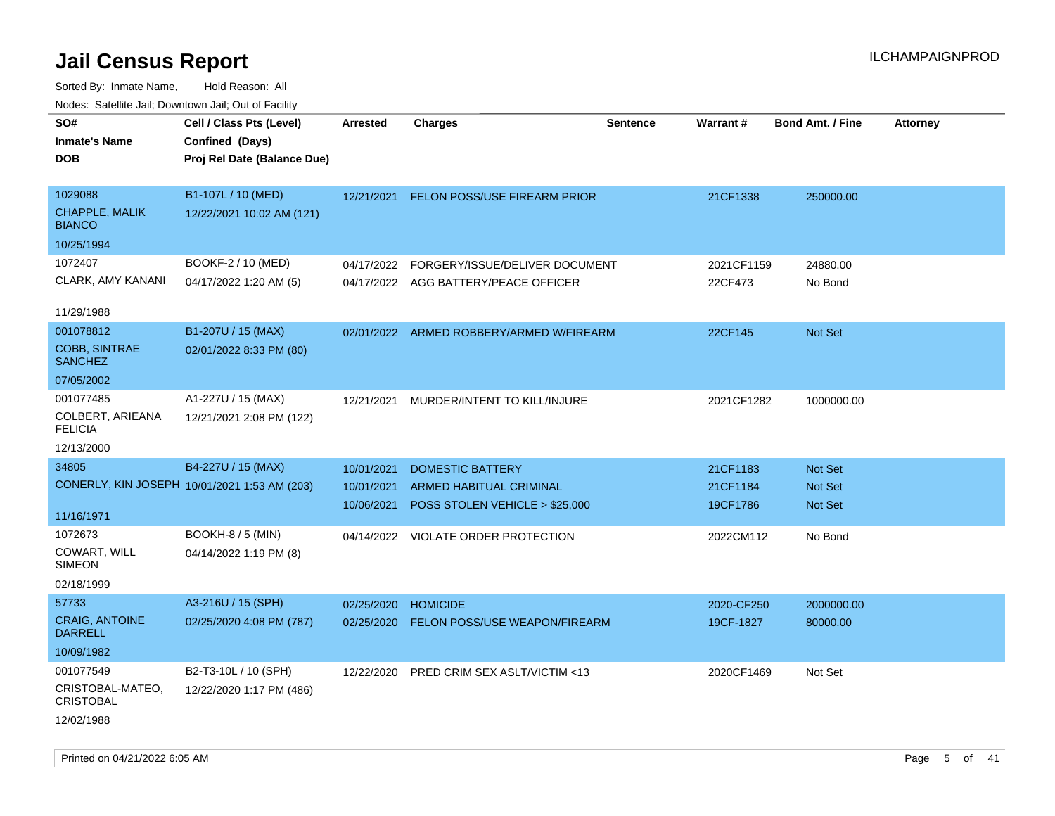Sorted By: Inmate Name, Hold Reason: All Nodes: Satellite Jail; Downtown Jail; Out of Facility

| SO#<br><b>Inmate's Name</b><br><b>DOB</b>         | Cell / Class Pts (Level)<br>Confined (Days)<br>Proj Rel Date (Balance Due) | Arrested   | <b>Charges</b>                           | <b>Sentence</b> | Warrant#   | <b>Bond Amt. / Fine</b> | <b>Attorney</b> |
|---------------------------------------------------|----------------------------------------------------------------------------|------------|------------------------------------------|-----------------|------------|-------------------------|-----------------|
| 1029088<br><b>CHAPPLE, MALIK</b><br><b>BIANCO</b> | B1-107L / 10 (MED)<br>12/22/2021 10:02 AM (121)                            | 12/21/2021 | <b>FELON POSS/USE FIREARM PRIOR</b>      |                 | 21CF1338   | 250000.00               |                 |
| 10/25/1994                                        |                                                                            |            |                                          |                 |            |                         |                 |
| 1072407                                           | BOOKF-2 / 10 (MED)                                                         | 04/17/2022 | FORGERY/ISSUE/DELIVER DOCUMENT           |                 | 2021CF1159 | 24880.00                |                 |
| CLARK, AMY KANANI                                 | 04/17/2022 1:20 AM (5)                                                     |            | 04/17/2022 AGG BATTERY/PEACE OFFICER     |                 | 22CF473    | No Bond                 |                 |
| 11/29/1988                                        |                                                                            |            |                                          |                 |            |                         |                 |
| 001078812                                         | B1-207U / 15 (MAX)                                                         |            | 02/01/2022 ARMED ROBBERY/ARMED W/FIREARM |                 | 22CF145    | Not Set                 |                 |
| <b>COBB, SINTRAE</b><br><b>SANCHEZ</b>            | 02/01/2022 8:33 PM (80)                                                    |            |                                          |                 |            |                         |                 |
| 07/05/2002                                        |                                                                            |            |                                          |                 |            |                         |                 |
| 001077485<br>COLBERT, ARIEANA                     | A1-227U / 15 (MAX)<br>12/21/2021 2:08 PM (122)                             | 12/21/2021 | MURDER/INTENT TO KILL/INJURE             |                 | 2021CF1282 | 1000000.00              |                 |
| <b>FELICIA</b>                                    |                                                                            |            |                                          |                 |            |                         |                 |
| 12/13/2000                                        |                                                                            |            |                                          |                 |            |                         |                 |
| 34805                                             | B4-227U / 15 (MAX)                                                         | 10/01/2021 | <b>DOMESTIC BATTERY</b>                  |                 | 21CF1183   | <b>Not Set</b>          |                 |
|                                                   | CONERLY, KIN JOSEPH 10/01/2021 1:53 AM (203)                               | 10/01/2021 | <b>ARMED HABITUAL CRIMINAL</b>           |                 | 21CF1184   | Not Set                 |                 |
| 11/16/1971                                        |                                                                            | 10/06/2021 | POSS STOLEN VEHICLE > \$25,000           |                 | 19CF1786   | Not Set                 |                 |
| 1072673                                           | <b>BOOKH-8 / 5 (MIN)</b>                                                   |            | 04/14/2022 VIOLATE ORDER PROTECTION      |                 | 2022CM112  | No Bond                 |                 |
| COWART, WILL<br><b>SIMEON</b>                     | 04/14/2022 1:19 PM (8)                                                     |            |                                          |                 |            |                         |                 |
| 02/18/1999                                        |                                                                            |            |                                          |                 |            |                         |                 |
| 57733                                             | A3-216U / 15 (SPH)                                                         | 02/25/2020 | <b>HOMICIDE</b>                          |                 | 2020-CF250 | 2000000.00              |                 |
| <b>CRAIG, ANTOINE</b><br><b>DARRELL</b>           | 02/25/2020 4:08 PM (787)                                                   | 02/25/2020 | <b>FELON POSS/USE WEAPON/FIREARM</b>     |                 | 19CF-1827  | 80000.00                |                 |
| 10/09/1982                                        |                                                                            |            |                                          |                 |            |                         |                 |
| 001077549                                         | B2-T3-10L / 10 (SPH)                                                       |            | 12/22/2020 PRED CRIM SEX ASLT/VICTIM <13 |                 | 2020CF1469 | Not Set                 |                 |
| CRISTOBAL-MATEO,<br><b>CRISTOBAL</b>              | 12/22/2020 1:17 PM (486)                                                   |            |                                          |                 |            |                         |                 |
| 12/02/1988                                        |                                                                            |            |                                          |                 |            |                         |                 |

Printed on 04/21/2022 6:05 AM Page 5 of 41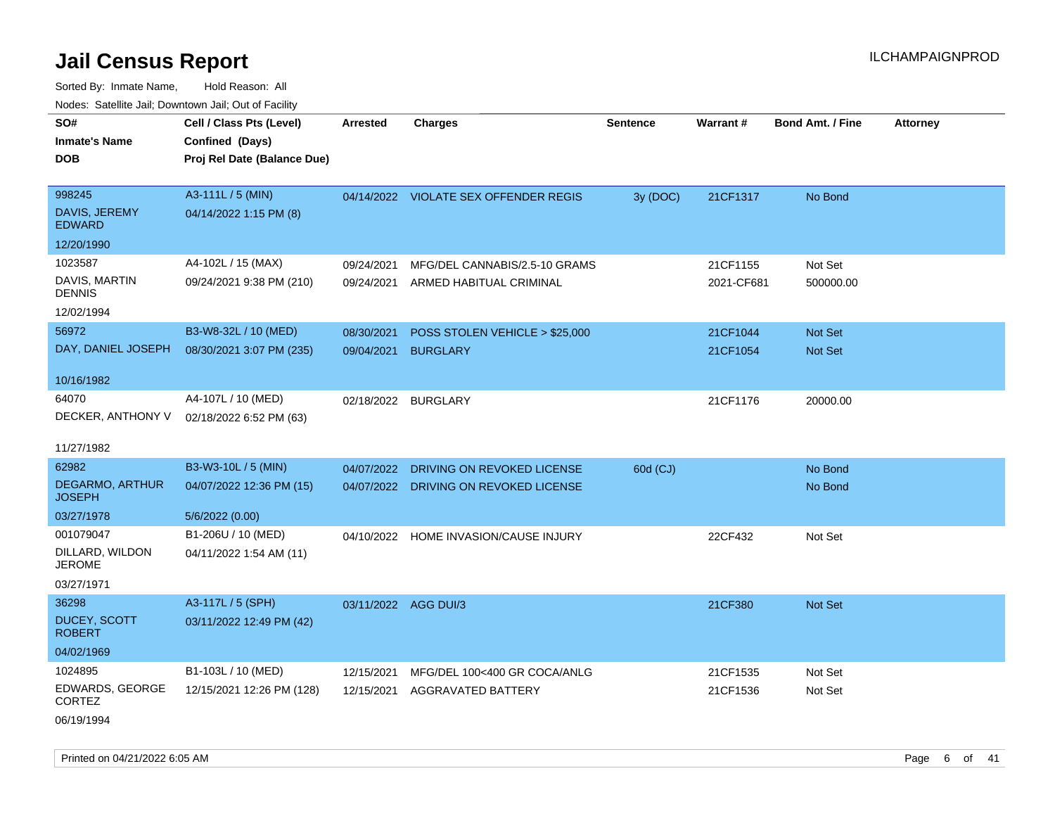Sorted By: Inmate Name, Hold Reason: All Nodes: Satellite Jail; Downtown Jail; Out of Facility

| roacs. Catellite Jall, Downtown Jall, Out of Facility |                                                                            |                      |                                       |                 |            |                         |                 |
|-------------------------------------------------------|----------------------------------------------------------------------------|----------------------|---------------------------------------|-----------------|------------|-------------------------|-----------------|
| SO#<br><b>Inmate's Name</b><br><b>DOB</b>             | Cell / Class Pts (Level)<br>Confined (Days)<br>Proj Rel Date (Balance Due) | <b>Arrested</b>      | <b>Charges</b>                        | <b>Sentence</b> | Warrant#   | <b>Bond Amt. / Fine</b> | <b>Attorney</b> |
|                                                       |                                                                            |                      |                                       |                 |            |                         |                 |
| 998245                                                | A3-111L / 5 (MIN)                                                          |                      | 04/14/2022 VIOLATE SEX OFFENDER REGIS | 3y (DOC)        | 21CF1317   | No Bond                 |                 |
| DAVIS, JEREMY<br><b>EDWARD</b>                        | 04/14/2022 1:15 PM (8)                                                     |                      |                                       |                 |            |                         |                 |
| 12/20/1990                                            |                                                                            |                      |                                       |                 |            |                         |                 |
| 1023587                                               | A4-102L / 15 (MAX)                                                         | 09/24/2021           | MFG/DEL CANNABIS/2.5-10 GRAMS         |                 | 21CF1155   | Not Set                 |                 |
| DAVIS, MARTIN<br><b>DENNIS</b>                        | 09/24/2021 9:38 PM (210)                                                   | 09/24/2021           | ARMED HABITUAL CRIMINAL               |                 | 2021-CF681 | 500000.00               |                 |
| 12/02/1994                                            |                                                                            |                      |                                       |                 |            |                         |                 |
| 56972                                                 | B3-W8-32L / 10 (MED)                                                       | 08/30/2021           | POSS STOLEN VEHICLE > \$25,000        |                 | 21CF1044   | Not Set                 |                 |
| DAY, DANIEL JOSEPH                                    | 08/30/2021 3:07 PM (235)                                                   | 09/04/2021           | <b>BURGLARY</b>                       |                 | 21CF1054   | <b>Not Set</b>          |                 |
| 10/16/1982                                            |                                                                            |                      |                                       |                 |            |                         |                 |
| 64070                                                 | A4-107L / 10 (MED)                                                         |                      | 02/18/2022 BURGLARY                   |                 | 21CF1176   | 20000.00                |                 |
| DECKER, ANTHONY V                                     | 02/18/2022 6:52 PM (63)                                                    |                      |                                       |                 |            |                         |                 |
| 11/27/1982                                            |                                                                            |                      |                                       |                 |            |                         |                 |
| 62982                                                 | B3-W3-10L / 5 (MIN)                                                        | 04/07/2022           | DRIVING ON REVOKED LICENSE            | 60d (CJ)        |            | No Bond                 |                 |
| <b>DEGARMO, ARTHUR</b><br><b>JOSEPH</b>               | 04/07/2022 12:36 PM (15)                                                   |                      | 04/07/2022 DRIVING ON REVOKED LICENSE |                 |            | No Bond                 |                 |
| 03/27/1978                                            | 5/6/2022 (0.00)                                                            |                      |                                       |                 |            |                         |                 |
| 001079047                                             | B1-206U / 10 (MED)                                                         |                      | 04/10/2022 HOME INVASION/CAUSE INJURY |                 | 22CF432    | Not Set                 |                 |
| DILLARD, WILDON<br><b>JEROME</b>                      | 04/11/2022 1:54 AM (11)                                                    |                      |                                       |                 |            |                         |                 |
| 03/27/1971                                            |                                                                            |                      |                                       |                 |            |                         |                 |
| 36298                                                 | A3-117L / 5 (SPH)                                                          | 03/11/2022 AGG DUI/3 |                                       |                 | 21CF380    | Not Set                 |                 |
| <b>DUCEY, SCOTT</b><br><b>ROBERT</b>                  | 03/11/2022 12:49 PM (42)                                                   |                      |                                       |                 |            |                         |                 |
| 04/02/1969                                            |                                                                            |                      |                                       |                 |            |                         |                 |
| 1024895                                               | B1-103L / 10 (MED)                                                         | 12/15/2021           | MFG/DEL 100<400 GR COCA/ANLG          |                 | 21CF1535   | Not Set                 |                 |
| EDWARDS, GEORGE<br><b>CORTEZ</b>                      | 12/15/2021 12:26 PM (128)                                                  | 12/15/2021           | AGGRAVATED BATTERY                    |                 | 21CF1536   | Not Set                 |                 |
| 06/19/1994                                            |                                                                            |                      |                                       |                 |            |                         |                 |

Printed on 04/21/2022 6:05 AM Page 6 of 41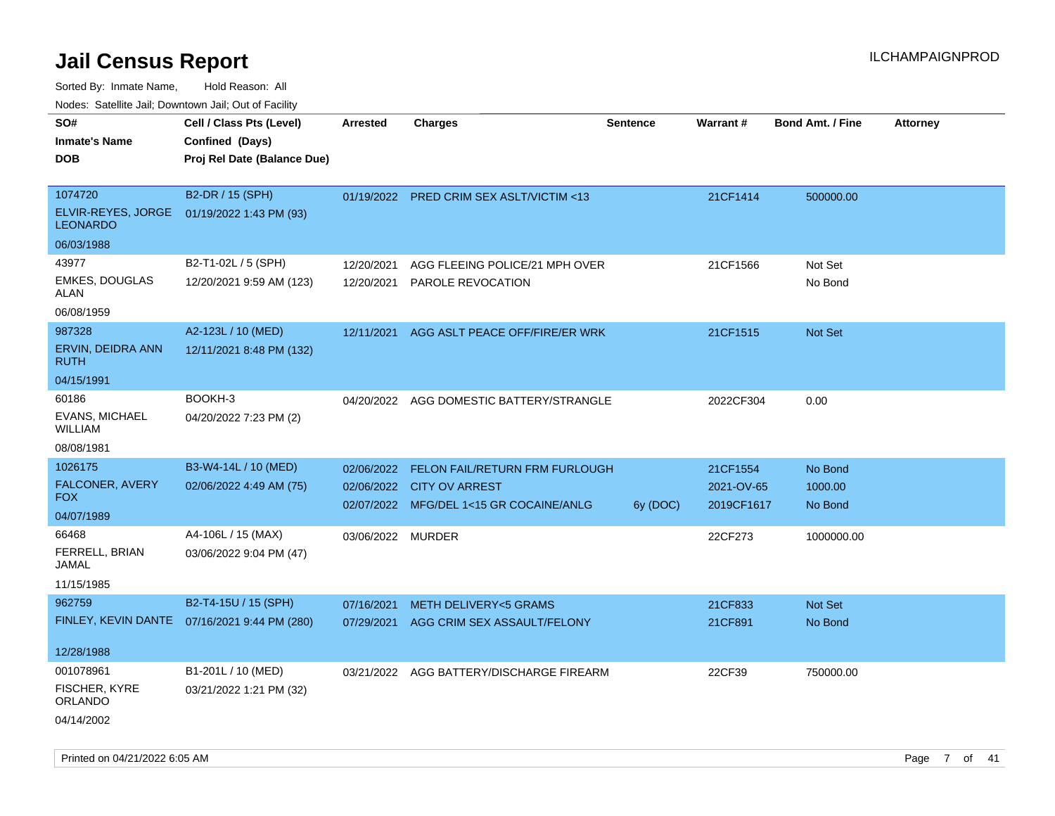Sorted By: Inmate Name, Hold Reason: All

Nodes: Satellite Jail; Downtown Jail; Out of Facility

| SO#<br><b>Inmate's Name</b><br><b>DOB</b>                                                                | Cell / Class Pts (Level)<br>Confined (Days)<br>Proj Rel Date (Balance Due)                       | <b>Arrested</b>                 | <b>Charges</b>                                                                                         | <b>Sentence</b> | <b>Warrant#</b>                                 | <b>Bond Amt. / Fine</b>                     | <b>Attorney</b> |
|----------------------------------------------------------------------------------------------------------|--------------------------------------------------------------------------------------------------|---------------------------------|--------------------------------------------------------------------------------------------------------|-----------------|-------------------------------------------------|---------------------------------------------|-----------------|
| 1074720<br>ELVIR-REYES, JORGE<br><b>LEONARDO</b><br>06/03/1988                                           | B2-DR / 15 (SPH)<br>01/19/2022 1:43 PM (93)                                                      |                                 | 01/19/2022 PRED CRIM SEX ASLT/VICTIM <13                                                               |                 | 21CF1414                                        | 500000.00                                   |                 |
| 43977<br>EMKES, DOUGLAS<br>ALAN<br>06/08/1959                                                            | B2-T1-02L / 5 (SPH)<br>12/20/2021 9:59 AM (123)                                                  | 12/20/2021                      | AGG FLEEING POLICE/21 MPH OVER<br>12/20/2021 PAROLE REVOCATION                                         |                 | 21CF1566                                        | Not Set<br>No Bond                          |                 |
| 987328<br>ERVIN, DEIDRA ANN<br><b>RUTH</b><br>04/15/1991                                                 | A2-123L / 10 (MED)<br>12/11/2021 8:48 PM (132)                                                   |                                 | 12/11/2021 AGG ASLT PEACE OFF/FIRE/ER WRK                                                              |                 | 21CF1515                                        | Not Set                                     |                 |
| 60186<br>EVANS, MICHAEL<br><b>WILLIAM</b><br>08/08/1981                                                  | BOOKH-3<br>04/20/2022 7:23 PM (2)                                                                |                                 | 04/20/2022 AGG DOMESTIC BATTERY/STRANGLE                                                               |                 | 2022CF304                                       | 0.00                                        |                 |
| 1026175<br>FALCONER, AVERY<br><b>FOX</b><br>04/07/1989<br>66468<br>FERRELL, BRIAN<br>JAMAL<br>11/15/1985 | B3-W4-14L / 10 (MED)<br>02/06/2022 4:49 AM (75)<br>A4-106L / 15 (MAX)<br>03/06/2022 9:04 PM (47) | 02/06/2022<br>03/06/2022 MURDER | FELON FAIL/RETURN FRM FURLOUGH<br>02/06/2022 CITY OV ARREST<br>02/07/2022 MFG/DEL 1<15 GR COCAINE/ANLG | 6y (DOC)        | 21CF1554<br>2021-OV-65<br>2019CF1617<br>22CF273 | No Bond<br>1000.00<br>No Bond<br>1000000.00 |                 |
| 962759<br>12/28/1988                                                                                     | B2-T4-15U / 15 (SPH)<br>FINLEY, KEVIN DANTE  07/16/2021 9:44 PM (280)                            | 07/16/2021<br>07/29/2021        | <b>METH DELIVERY&lt;5 GRAMS</b><br>AGG CRIM SEX ASSAULT/FELONY                                         |                 | 21CF833<br>21CF891                              | Not Set<br>No Bond                          |                 |
| 001078961<br>FISCHER, KYRE<br>ORLANDO<br>04/14/2002                                                      | B1-201L / 10 (MED)<br>03/21/2022 1:21 PM (32)                                                    |                                 | 03/21/2022 AGG BATTERY/DISCHARGE FIREARM                                                               |                 | 22CF39                                          | 750000.00                                   |                 |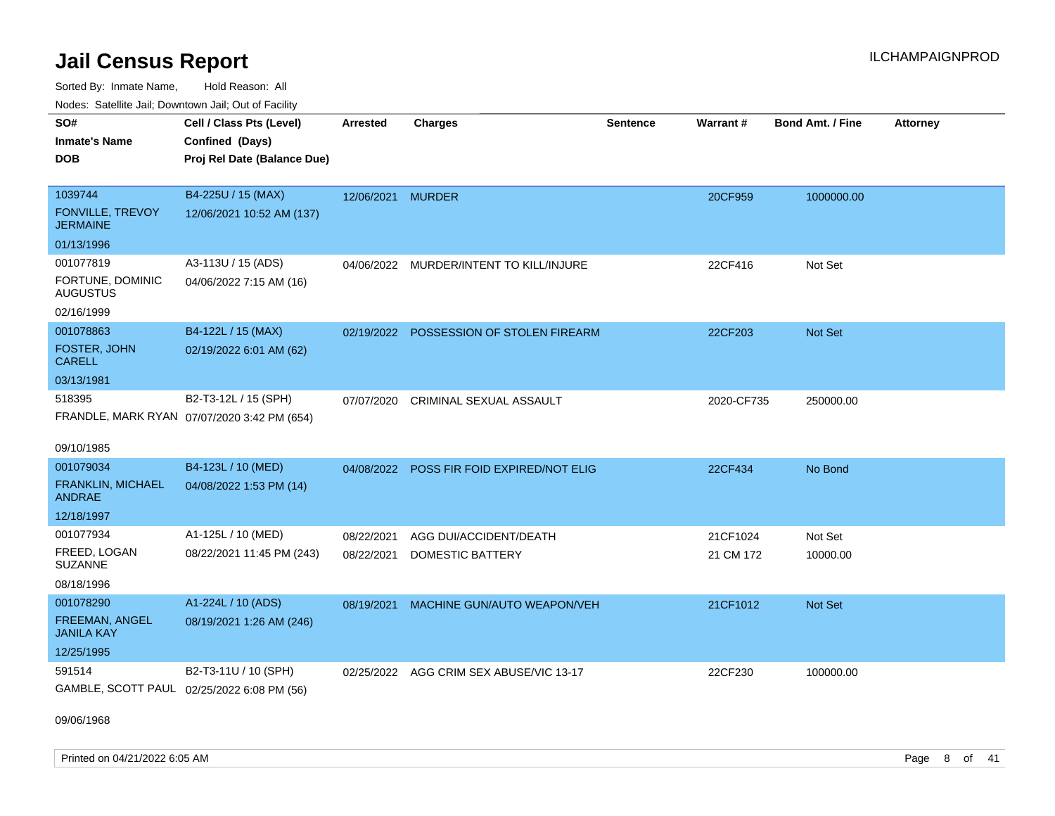Sorted By: Inmate Name, Hold Reason: All Nodes: Satellite Jail; Downtown Jail; Out of Facility

| ivuutis. Galtiillit Jall, Duwilluwii Jall, Oul of Facility |                                             |                   |                                         |                 |            |                         |                 |  |
|------------------------------------------------------------|---------------------------------------------|-------------------|-----------------------------------------|-----------------|------------|-------------------------|-----------------|--|
| SO#                                                        | Cell / Class Pts (Level)                    | <b>Arrested</b>   | <b>Charges</b>                          | <b>Sentence</b> | Warrant#   | <b>Bond Amt. / Fine</b> | <b>Attorney</b> |  |
| <b>Inmate's Name</b>                                       | Confined (Days)                             |                   |                                         |                 |            |                         |                 |  |
| <b>DOB</b>                                                 | Proj Rel Date (Balance Due)                 |                   |                                         |                 |            |                         |                 |  |
|                                                            |                                             |                   |                                         |                 |            |                         |                 |  |
| 1039744                                                    | B4-225U / 15 (MAX)                          | 12/06/2021 MURDER |                                         |                 | 20CF959    | 1000000.00              |                 |  |
| <b>FONVILLE, TREVOY</b><br><b>JERMAINE</b>                 | 12/06/2021 10:52 AM (137)                   |                   |                                         |                 |            |                         |                 |  |
| 01/13/1996                                                 |                                             |                   |                                         |                 |            |                         |                 |  |
| 001077819                                                  | A3-113U / 15 (ADS)                          |                   | 04/06/2022 MURDER/INTENT TO KILL/INJURE |                 | 22CF416    | Not Set                 |                 |  |
| FORTUNE, DOMINIC<br><b>AUGUSTUS</b>                        | 04/06/2022 7:15 AM (16)                     |                   |                                         |                 |            |                         |                 |  |
| 02/16/1999                                                 |                                             |                   |                                         |                 |            |                         |                 |  |
| 001078863                                                  | B4-122L / 15 (MAX)                          | 02/19/2022        | POSSESSION OF STOLEN FIREARM            |                 | 22CF203    | <b>Not Set</b>          |                 |  |
| FOSTER, JOHN<br><b>CARELL</b>                              | 02/19/2022 6:01 AM (62)                     |                   |                                         |                 |            |                         |                 |  |
| 03/13/1981                                                 |                                             |                   |                                         |                 |            |                         |                 |  |
| 518395                                                     | B2-T3-12L / 15 (SPH)                        | 07/07/2020        | CRIMINAL SEXUAL ASSAULT                 |                 | 2020-CF735 | 250000.00               |                 |  |
|                                                            | FRANDLE, MARK RYAN 07/07/2020 3:42 PM (654) |                   |                                         |                 |            |                         |                 |  |
| 09/10/1985                                                 |                                             |                   |                                         |                 |            |                         |                 |  |
| 001079034                                                  | B4-123L / 10 (MED)                          | 04/08/2022        | POSS FIR FOID EXPIRED/NOT ELIG          |                 | 22CF434    | No Bond                 |                 |  |
| <b>FRANKLIN, MICHAEL</b><br><b>ANDRAE</b>                  | 04/08/2022 1:53 PM (14)                     |                   |                                         |                 |            |                         |                 |  |
| 12/18/1997                                                 |                                             |                   |                                         |                 |            |                         |                 |  |
| 001077934                                                  | A1-125L / 10 (MED)                          | 08/22/2021        | AGG DUI/ACCIDENT/DEATH                  |                 | 21CF1024   | Not Set                 |                 |  |
| FREED, LOGAN<br><b>SUZANNE</b>                             | 08/22/2021 11:45 PM (243)                   | 08/22/2021        | DOMESTIC BATTERY                        |                 | 21 CM 172  | 10000.00                |                 |  |
| 08/18/1996                                                 |                                             |                   |                                         |                 |            |                         |                 |  |
| 001078290                                                  | A1-224L / 10 (ADS)                          | 08/19/2021        | MACHINE GUN/AUTO WEAPON/VEH             |                 | 21CF1012   | Not Set                 |                 |  |
| FREEMAN, ANGEL<br><b>JANILA KAY</b>                        | 08/19/2021 1:26 AM (246)                    |                   |                                         |                 |            |                         |                 |  |
| 12/25/1995                                                 |                                             |                   |                                         |                 |            |                         |                 |  |
| 591514                                                     | B2-T3-11U / 10 (SPH)                        |                   | 02/25/2022 AGG CRIM SEX ABUSE/VIC 13-17 |                 | 22CF230    | 100000.00               |                 |  |
|                                                            | GAMBLE, SCOTT PAUL 02/25/2022 6:08 PM (56)  |                   |                                         |                 |            |                         |                 |  |

09/06/1968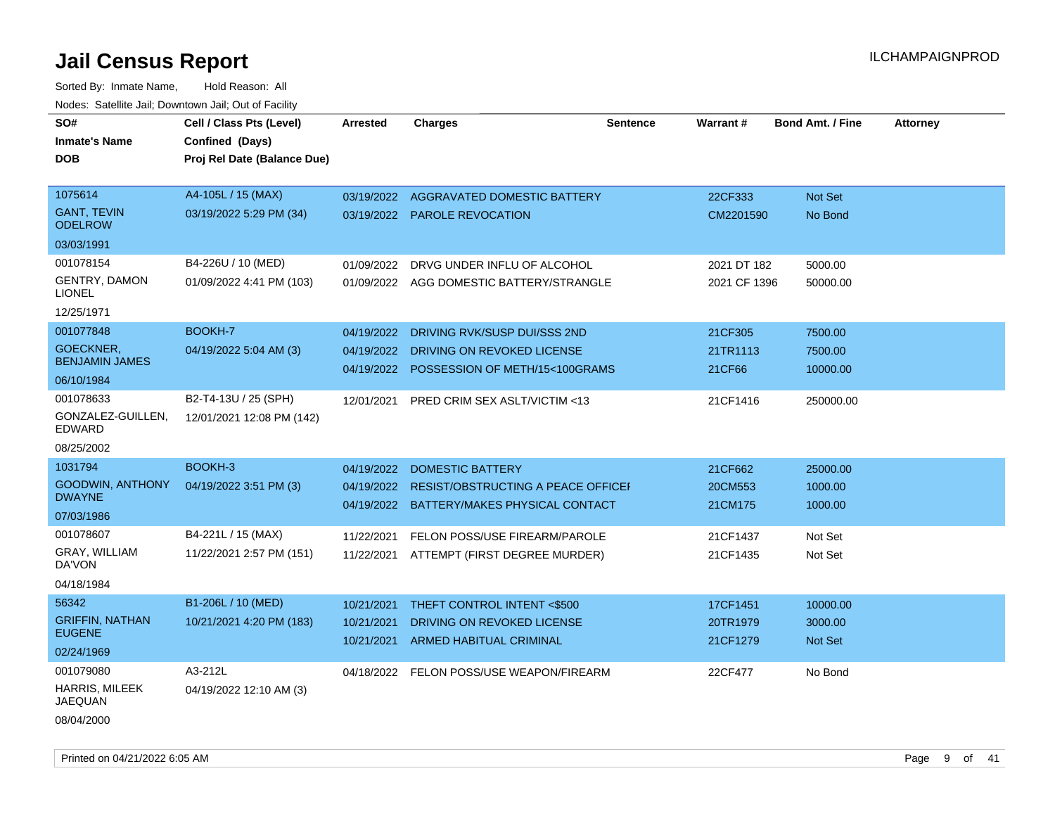| SO#                                     | Cell / Class Pts (Level)    | <b>Arrested</b> | <b>Charges</b>                            | <b>Sentence</b> | Warrant#     | <b>Bond Amt. / Fine</b> | <b>Attorney</b> |
|-----------------------------------------|-----------------------------|-----------------|-------------------------------------------|-----------------|--------------|-------------------------|-----------------|
| <b>Inmate's Name</b>                    | Confined (Days)             |                 |                                           |                 |              |                         |                 |
| <b>DOB</b>                              | Proj Rel Date (Balance Due) |                 |                                           |                 |              |                         |                 |
|                                         |                             |                 |                                           |                 |              |                         |                 |
| 1075614                                 | A4-105L / 15 (MAX)          |                 | 03/19/2022 AGGRAVATED DOMESTIC BATTERY    |                 | 22CF333      | Not Set                 |                 |
| <b>GANT, TEVIN</b><br><b>ODELROW</b>    | 03/19/2022 5:29 PM (34)     |                 | 03/19/2022 PAROLE REVOCATION              |                 | CM2201590    | No Bond                 |                 |
| 03/03/1991                              |                             |                 |                                           |                 |              |                         |                 |
| 001078154                               | B4-226U / 10 (MED)          | 01/09/2022      | DRVG UNDER INFLU OF ALCOHOL               |                 | 2021 DT 182  | 5000.00                 |                 |
| GENTRY, DAMON<br><b>LIONEL</b>          | 01/09/2022 4:41 PM (103)    |                 | 01/09/2022 AGG DOMESTIC BATTERY/STRANGLE  |                 | 2021 CF 1396 | 50000.00                |                 |
| 12/25/1971                              |                             |                 |                                           |                 |              |                         |                 |
| 001077848                               | BOOKH-7                     | 04/19/2022      | DRIVING RVK/SUSP DUI/SSS 2ND              |                 | 21CF305      | 7500.00                 |                 |
| GOECKNER,                               | 04/19/2022 5:04 AM (3)      | 04/19/2022      | DRIVING ON REVOKED LICENSE                |                 | 21TR1113     | 7500.00                 |                 |
| <b>BENJAMIN JAMES</b>                   |                             | 04/19/2022      | POSSESSION OF METH/15<100GRAMS            |                 | 21CF66       | 10000.00                |                 |
| 06/10/1984                              |                             |                 |                                           |                 |              |                         |                 |
| 001078633                               | B2-T4-13U / 25 (SPH)        | 12/01/2021      | PRED CRIM SEX ASLT/VICTIM <13             |                 | 21CF1416     | 250000.00               |                 |
| GONZALEZ-GUILLEN,<br>EDWARD             | 12/01/2021 12:08 PM (142)   |                 |                                           |                 |              |                         |                 |
| 08/25/2002                              |                             |                 |                                           |                 |              |                         |                 |
| 1031794                                 | BOOKH-3                     | 04/19/2022      | <b>DOMESTIC BATTERY</b>                   |                 | 21CF662      | 25000.00                |                 |
| <b>GOODWIN, ANTHONY</b>                 | 04/19/2022 3:51 PM (3)      | 04/19/2022      | <b>RESIST/OBSTRUCTING A PEACE OFFICEL</b> |                 | 20CM553      | 1000.00                 |                 |
| <b>DWAYNE</b>                           |                             |                 | 04/19/2022 BATTERY/MAKES PHYSICAL CONTACT |                 | 21CM175      | 1000.00                 |                 |
| 07/03/1986                              |                             |                 |                                           |                 |              |                         |                 |
| 001078607                               | B4-221L / 15 (MAX)          | 11/22/2021      | FELON POSS/USE FIREARM/PAROLE             |                 | 21CF1437     | Not Set                 |                 |
| GRAY, WILLIAM<br>DA'VON                 | 11/22/2021 2:57 PM (151)    | 11/22/2021      | ATTEMPT (FIRST DEGREE MURDER)             |                 | 21CF1435     | Not Set                 |                 |
| 04/18/1984                              |                             |                 |                                           |                 |              |                         |                 |
| 56342                                   | B1-206L / 10 (MED)          | 10/21/2021      | THEFT CONTROL INTENT <\$500               |                 | 17CF1451     | 10000.00                |                 |
| <b>GRIFFIN, NATHAN</b>                  | 10/21/2021 4:20 PM (183)    | 10/21/2021      | DRIVING ON REVOKED LICENSE                |                 | 20TR1979     | 3000.00                 |                 |
| <b>EUGENE</b>                           |                             | 10/21/2021      | <b>ARMED HABITUAL CRIMINAL</b>            |                 | 21CF1279     | Not Set                 |                 |
| 02/24/1969                              |                             |                 |                                           |                 |              |                         |                 |
| 001079080                               | A3-212L                     | 04/18/2022      | FELON POSS/USE WEAPON/FIREARM             |                 | 22CF477      | No Bond                 |                 |
| <b>HARRIS, MILEEK</b><br><b>JAEQUAN</b> | 04/19/2022 12:10 AM (3)     |                 |                                           |                 |              |                         |                 |
| 08/04/2000                              |                             |                 |                                           |                 |              |                         |                 |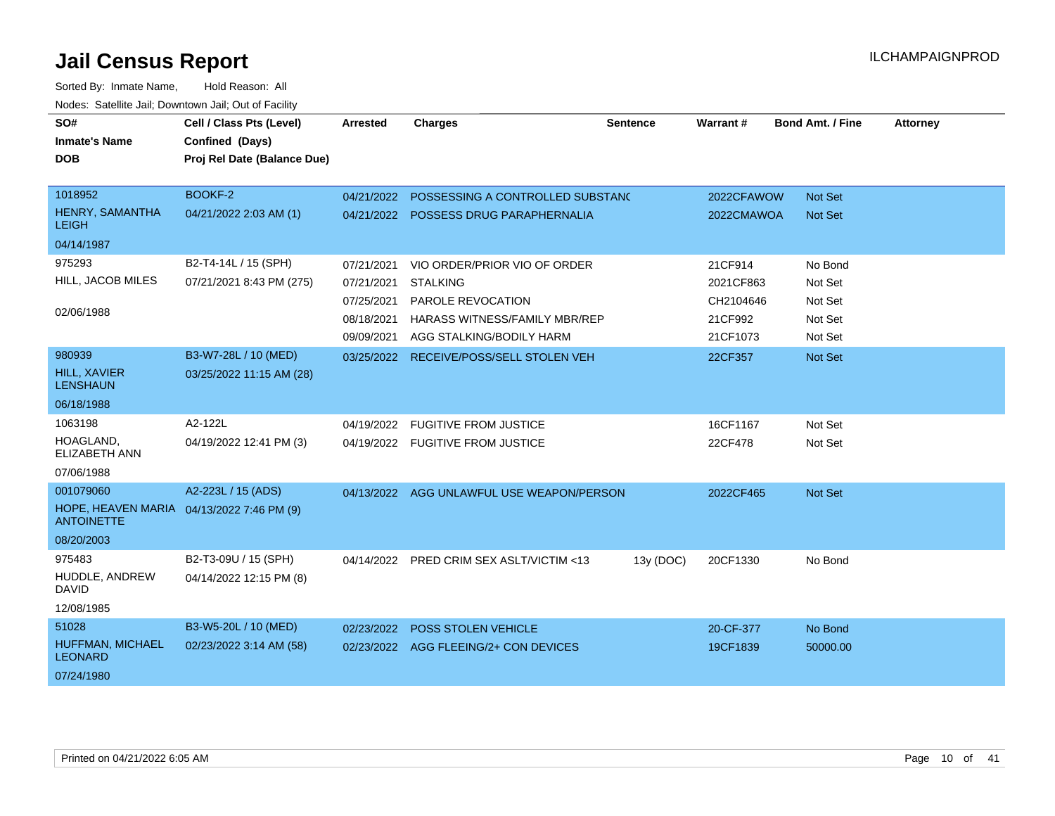| SO#<br><b>Inmate's Name</b>             | Cell / Class Pts (Level)<br>Confined (Days) | <b>Arrested</b> | <b>Charges</b>                            | <b>Sentence</b> | Warrant#   | <b>Bond Amt. / Fine</b> | <b>Attorney</b> |
|-----------------------------------------|---------------------------------------------|-----------------|-------------------------------------------|-----------------|------------|-------------------------|-----------------|
| <b>DOB</b>                              | Proj Rel Date (Balance Due)                 |                 |                                           |                 |            |                         |                 |
| 1018952                                 | BOOKF-2                                     | 04/21/2022      | POSSESSING A CONTROLLED SUBSTANC          |                 | 2022CFAWOW | Not Set                 |                 |
| HENRY, SAMANTHA<br><b>LEIGH</b>         | 04/21/2022 2:03 AM (1)                      | 04/21/2022      | POSSESS DRUG PARAPHERNALIA                |                 | 2022CMAWOA | <b>Not Set</b>          |                 |
| 04/14/1987                              |                                             |                 |                                           |                 |            |                         |                 |
| 975293                                  | B2-T4-14L / 15 (SPH)                        | 07/21/2021      | VIO ORDER/PRIOR VIO OF ORDER              |                 | 21CF914    | No Bond                 |                 |
| HILL, JACOB MILES                       | 07/21/2021 8:43 PM (275)                    | 07/21/2021      | <b>STALKING</b>                           |                 | 2021CF863  | Not Set                 |                 |
|                                         |                                             | 07/25/2021      | PAROLE REVOCATION                         |                 | CH2104646  | Not Set                 |                 |
| 02/06/1988                              |                                             | 08/18/2021      | HARASS WITNESS/FAMILY MBR/REP             |                 | 21CF992    | Not Set                 |                 |
|                                         |                                             | 09/09/2021      | AGG STALKING/BODILY HARM                  |                 | 21CF1073   | Not Set                 |                 |
| 980939                                  | B3-W7-28L / 10 (MED)                        | 03/25/2022      | RECEIVE/POSS/SELL STOLEN VEH              |                 | 22CF357    | Not Set                 |                 |
| HILL, XAVIER<br><b>LENSHAUN</b>         | 03/25/2022 11:15 AM (28)                    |                 |                                           |                 |            |                         |                 |
| 06/18/1988                              |                                             |                 |                                           |                 |            |                         |                 |
| 1063198                                 | A2-122L                                     | 04/19/2022      | <b>FUGITIVE FROM JUSTICE</b>              |                 | 16CF1167   | Not Set                 |                 |
| HOAGLAND.<br><b>ELIZABETH ANN</b>       | 04/19/2022 12:41 PM (3)                     |                 | 04/19/2022 FUGITIVE FROM JUSTICE          |                 | 22CF478    | Not Set                 |                 |
| 07/06/1988                              |                                             |                 |                                           |                 |            |                         |                 |
| 001079060                               | A2-223L / 15 (ADS)                          |                 | 04/13/2022 AGG UNLAWFUL USE WEAPON/PERSON |                 | 2022CF465  | Not Set                 |                 |
| HOPE. HEAVEN MARIA<br><b>ANTOINETTE</b> | 04/13/2022 7:46 PM (9)                      |                 |                                           |                 |            |                         |                 |
| 08/20/2003                              |                                             |                 |                                           |                 |            |                         |                 |
| 975483                                  | B2-T3-09U / 15 (SPH)                        | 04/14/2022      | PRED CRIM SEX ASLT/VICTIM <13             | 13y (DOC)       | 20CF1330   | No Bond                 |                 |
| HUDDLE, ANDREW<br><b>DAVID</b>          | 04/14/2022 12:15 PM (8)                     |                 |                                           |                 |            |                         |                 |
| 12/08/1985                              |                                             |                 |                                           |                 |            |                         |                 |
| 51028                                   | B3-W5-20L / 10 (MED)                        | 02/23/2022      | <b>POSS STOLEN VEHICLE</b>                |                 | 20-CF-377  | No Bond                 |                 |
| HUFFMAN, MICHAEL<br><b>LEONARD</b>      | 02/23/2022 3:14 AM (58)                     |                 | 02/23/2022 AGG FLEEING/2+ CON DEVICES     |                 | 19CF1839   | 50000.00                |                 |
| 07/24/1980                              |                                             |                 |                                           |                 |            |                         |                 |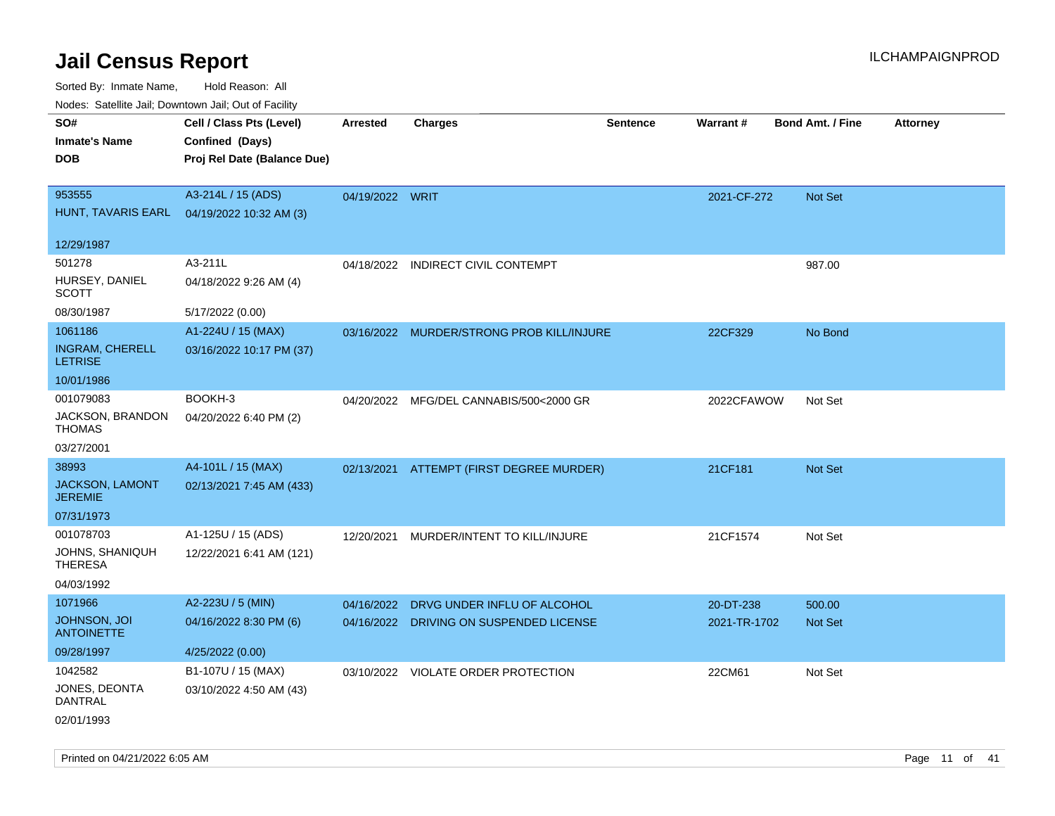| rouco. Calcillo Jali, Downtown Jali, Out of Facility |                             |                 |                                           |                 |              |                         |                 |
|------------------------------------------------------|-----------------------------|-----------------|-------------------------------------------|-----------------|--------------|-------------------------|-----------------|
| SO#                                                  | Cell / Class Pts (Level)    | <b>Arrested</b> | <b>Charges</b>                            | <b>Sentence</b> | Warrant#     | <b>Bond Amt. / Fine</b> | <b>Attorney</b> |
| <b>Inmate's Name</b>                                 | Confined (Days)             |                 |                                           |                 |              |                         |                 |
| <b>DOB</b>                                           | Proj Rel Date (Balance Due) |                 |                                           |                 |              |                         |                 |
|                                                      |                             |                 |                                           |                 |              |                         |                 |
| 953555                                               | A3-214L / 15 (ADS)          | 04/19/2022 WRIT |                                           |                 | 2021-CF-272  | Not Set                 |                 |
| HUNT, TAVARIS EARL                                   | 04/19/2022 10:32 AM (3)     |                 |                                           |                 |              |                         |                 |
|                                                      |                             |                 |                                           |                 |              |                         |                 |
| 12/29/1987                                           |                             |                 |                                           |                 |              |                         |                 |
| 501278                                               | A3-211L                     | 04/18/2022      | <b>INDIRECT CIVIL CONTEMPT</b>            |                 |              | 987.00                  |                 |
| HURSEY, DANIEL<br><b>SCOTT</b>                       | 04/18/2022 9:26 AM (4)      |                 |                                           |                 |              |                         |                 |
| 08/30/1987                                           | 5/17/2022 (0.00)            |                 |                                           |                 |              |                         |                 |
| 1061186                                              | A1-224U / 15 (MAX)          |                 | 03/16/2022 MURDER/STRONG PROB KILL/INJURE |                 | 22CF329      | No Bond                 |                 |
| <b>INGRAM, CHERELL</b><br><b>LETRISE</b>             | 03/16/2022 10:17 PM (37)    |                 |                                           |                 |              |                         |                 |
| 10/01/1986                                           |                             |                 |                                           |                 |              |                         |                 |
| 001079083                                            | BOOKH-3                     |                 | 04/20/2022 MFG/DEL CANNABIS/500<2000 GR   |                 | 2022CFAWOW   | Not Set                 |                 |
| JACKSON, BRANDON<br><b>THOMAS</b>                    | 04/20/2022 6:40 PM (2)      |                 |                                           |                 |              |                         |                 |
| 03/27/2001                                           |                             |                 |                                           |                 |              |                         |                 |
| 38993                                                | A4-101L / 15 (MAX)          |                 | 02/13/2021 ATTEMPT (FIRST DEGREE MURDER)  |                 | 21CF181      | Not Set                 |                 |
| JACKSON, LAMONT<br><b>JEREMIE</b>                    | 02/13/2021 7:45 AM (433)    |                 |                                           |                 |              |                         |                 |
| 07/31/1973                                           |                             |                 |                                           |                 |              |                         |                 |
| 001078703                                            | A1-125U / 15 (ADS)          | 12/20/2021      | MURDER/INTENT TO KILL/INJURE              |                 | 21CF1574     | Not Set                 |                 |
| JOHNS, SHANIQUH<br><b>THERESA</b>                    | 12/22/2021 6:41 AM (121)    |                 |                                           |                 |              |                         |                 |
| 04/03/1992                                           |                             |                 |                                           |                 |              |                         |                 |
| 1071966                                              | A2-223U / 5 (MIN)           | 04/16/2022      | DRVG UNDER INFLU OF ALCOHOL               |                 | 20-DT-238    | 500.00                  |                 |
| JOHNSON, JOI<br><b>ANTOINETTE</b>                    | 04/16/2022 8:30 PM (6)      |                 | 04/16/2022 DRIVING ON SUSPENDED LICENSE   |                 | 2021-TR-1702 | <b>Not Set</b>          |                 |
| 09/28/1997                                           | 4/25/2022 (0.00)            |                 |                                           |                 |              |                         |                 |
| 1042582                                              | B1-107U / 15 (MAX)          |                 | 03/10/2022 VIOLATE ORDER PROTECTION       |                 | 22CM61       | Not Set                 |                 |
| JONES, DEONTA<br>DANTRAL                             | 03/10/2022 4:50 AM (43)     |                 |                                           |                 |              |                         |                 |
| 02/01/1993                                           |                             |                 |                                           |                 |              |                         |                 |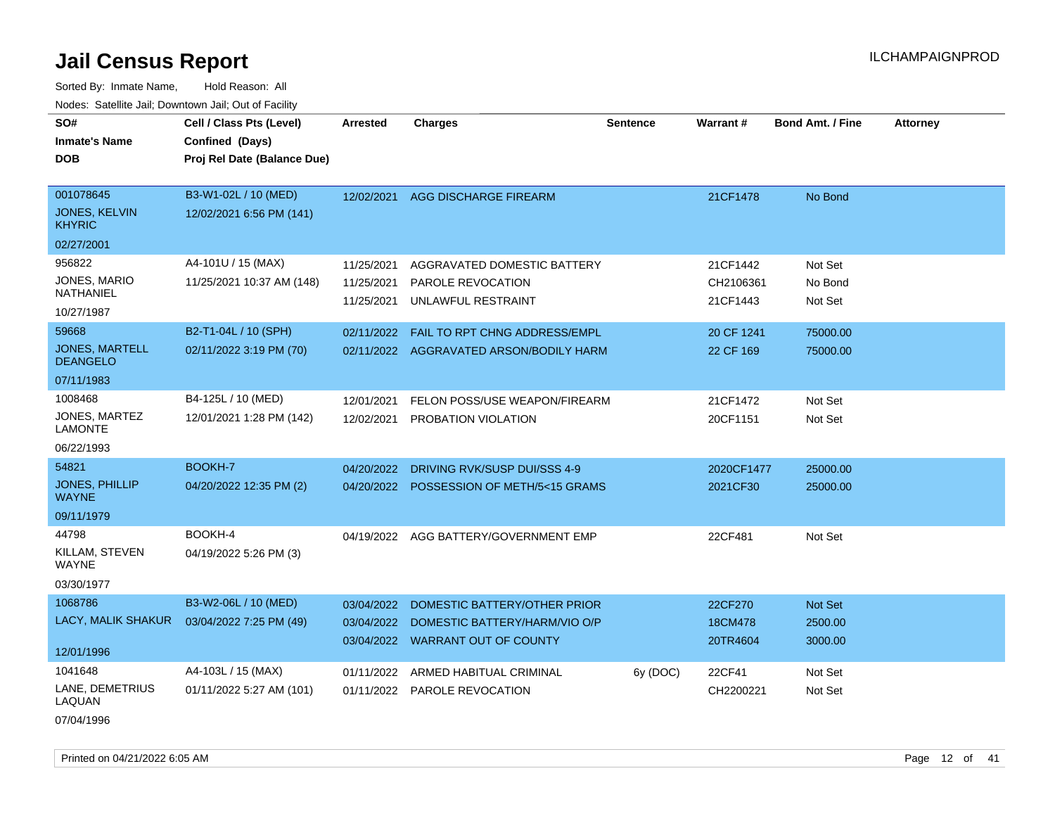Sorted By: Inmate Name, Hold Reason: All Nodes: Satellite Jail; Downtown Jail; Out of Facility

| SO#                                      | Cell / Class Pts (Level)    | <b>Arrested</b> | <b>Charges</b>                          | Sentence | Warrant#   | <b>Bond Amt. / Fine</b> | <b>Attorney</b> |
|------------------------------------------|-----------------------------|-----------------|-----------------------------------------|----------|------------|-------------------------|-----------------|
| <b>Inmate's Name</b>                     | Confined (Days)             |                 |                                         |          |            |                         |                 |
| <b>DOB</b>                               | Proj Rel Date (Balance Due) |                 |                                         |          |            |                         |                 |
|                                          |                             |                 |                                         |          |            |                         |                 |
| 001078645                                | B3-W1-02L / 10 (MED)        | 12/02/2021      | AGG DISCHARGE FIREARM                   |          | 21CF1478   | No Bond                 |                 |
| JONES, KELVIN<br><b>KHYRIC</b>           | 12/02/2021 6:56 PM (141)    |                 |                                         |          |            |                         |                 |
| 02/27/2001                               |                             |                 |                                         |          |            |                         |                 |
| 956822                                   | A4-101U / 15 (MAX)          | 11/25/2021      | AGGRAVATED DOMESTIC BATTERY             |          | 21CF1442   | Not Set                 |                 |
| JONES, MARIO                             | 11/25/2021 10:37 AM (148)   | 11/25/2021      | PAROLE REVOCATION                       |          | CH2106361  | No Bond                 |                 |
| NATHANIEL                                |                             | 11/25/2021      | UNLAWFUL RESTRAINT                      |          | 21CF1443   | Not Set                 |                 |
| 10/27/1987                               |                             |                 |                                         |          |            |                         |                 |
| 59668                                    | B2-T1-04L / 10 (SPH)        | 02/11/2022      | FAIL TO RPT CHNG ADDRESS/EMPL           |          | 20 CF 1241 | 75000.00                |                 |
| <b>JONES, MARTELL</b><br><b>DEANGELO</b> | 02/11/2022 3:19 PM (70)     |                 | 02/11/2022 AGGRAVATED ARSON/BODILY HARM |          | 22 CF 169  | 75000.00                |                 |
| 07/11/1983                               |                             |                 |                                         |          |            |                         |                 |
| 1008468                                  | B4-125L / 10 (MED)          | 12/01/2021      | FELON POSS/USE WEAPON/FIREARM           |          | 21CF1472   | Not Set                 |                 |
| JONES, MARTEZ<br><b>LAMONTE</b>          | 12/01/2021 1:28 PM (142)    | 12/02/2021      | PROBATION VIOLATION                     |          | 20CF1151   | Not Set                 |                 |
| 06/22/1993                               |                             |                 |                                         |          |            |                         |                 |
| 54821                                    | BOOKH-7                     | 04/20/2022      | DRIVING RVK/SUSP DUI/SSS 4-9            |          | 2020CF1477 | 25000.00                |                 |
| <b>JONES, PHILLIP</b><br><b>WAYNE</b>    | 04/20/2022 12:35 PM (2)     | 04/20/2022      | POSSESSION OF METH/5<15 GRAMS           |          | 2021CF30   | 25000.00                |                 |
| 09/11/1979                               |                             |                 |                                         |          |            |                         |                 |
| 44798                                    | BOOKH-4                     |                 | 04/19/2022 AGG BATTERY/GOVERNMENT EMP   |          | 22CF481    | Not Set                 |                 |
| KILLAM, STEVEN<br><b>WAYNE</b>           | 04/19/2022 5:26 PM (3)      |                 |                                         |          |            |                         |                 |
| 03/30/1977                               |                             |                 |                                         |          |            |                         |                 |
| 1068786                                  | B3-W2-06L / 10 (MED)        | 03/04/2022      | DOMESTIC BATTERY/OTHER PRIOR            |          | 22CF270    | Not Set                 |                 |
| LACY, MALIK SHAKUR                       | 03/04/2022 7:25 PM (49)     | 03/04/2022      | DOMESTIC BATTERY/HARM/VIO O/P           |          | 18CM478    | 2500.00                 |                 |
|                                          |                             |                 | 03/04/2022 WARRANT OUT OF COUNTY        |          | 20TR4604   | 3000.00                 |                 |
| 12/01/1996                               |                             |                 |                                         |          |            |                         |                 |
| 1041648                                  | A4-103L / 15 (MAX)          | 01/11/2022      | ARMED HABITUAL CRIMINAL                 | 6y (DOC) | 22CF41     | Not Set                 |                 |
| LANE, DEMETRIUS<br>LAQUAN                | 01/11/2022 5:27 AM (101)    |                 | 01/11/2022 PAROLE REVOCATION            |          | CH2200221  | Not Set                 |                 |
|                                          |                             |                 |                                         |          |            |                         |                 |

07/04/1996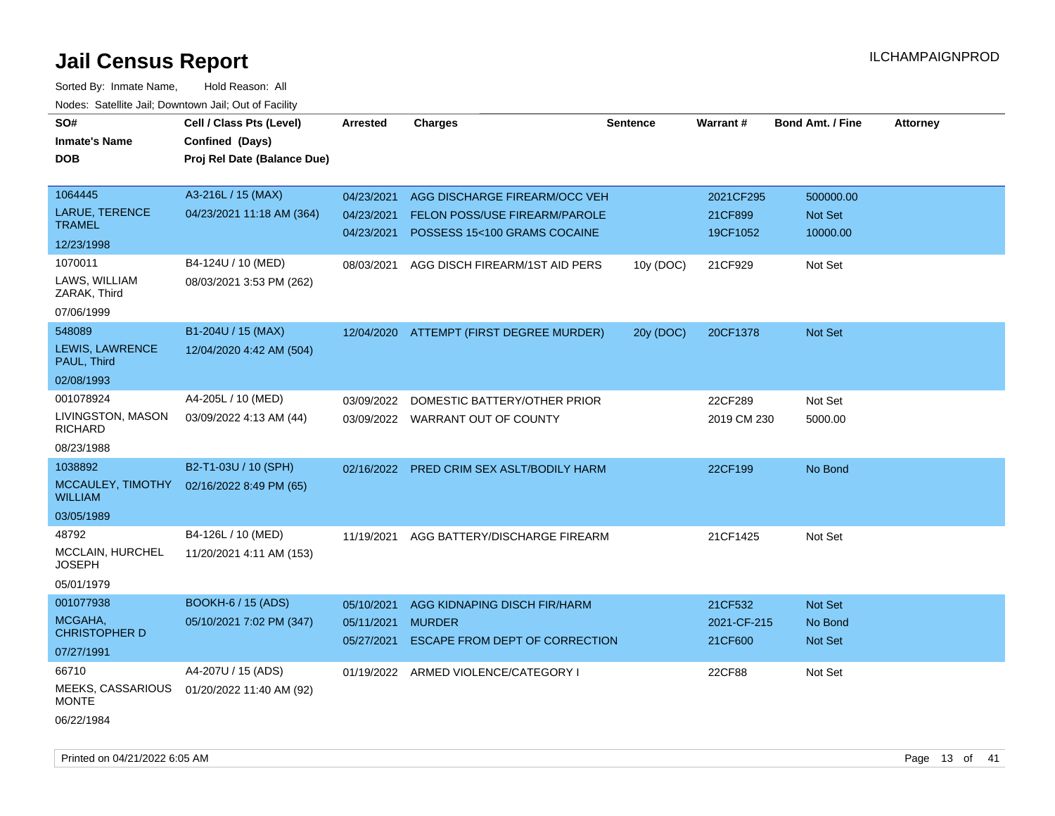| roaco. Catolino cali, Domntonn cali, Out of Facility |                             |                 |                                          |                 |             |                         |                 |
|------------------------------------------------------|-----------------------------|-----------------|------------------------------------------|-----------------|-------------|-------------------------|-----------------|
| SO#                                                  | Cell / Class Pts (Level)    | <b>Arrested</b> | <b>Charges</b>                           | <b>Sentence</b> | Warrant#    | <b>Bond Amt. / Fine</b> | <b>Attorney</b> |
| <b>Inmate's Name</b>                                 | Confined (Days)             |                 |                                          |                 |             |                         |                 |
| <b>DOB</b>                                           | Proj Rel Date (Balance Due) |                 |                                          |                 |             |                         |                 |
|                                                      |                             |                 |                                          |                 |             |                         |                 |
| 1064445                                              | A3-216L / 15 (MAX)          | 04/23/2021      | AGG DISCHARGE FIREARM/OCC VEH            |                 | 2021CF295   | 500000.00               |                 |
| LARUE, TERENCE                                       | 04/23/2021 11:18 AM (364)   | 04/23/2021      | <b>FELON POSS/USE FIREARM/PAROLE</b>     |                 | 21CF899     | Not Set                 |                 |
| <b>TRAMEL</b>                                        |                             | 04/23/2021      | POSSESS 15<100 GRAMS COCAINE             |                 | 19CF1052    | 10000.00                |                 |
| 12/23/1998                                           |                             |                 |                                          |                 |             |                         |                 |
| 1070011                                              | B4-124U / 10 (MED)          | 08/03/2021      | AGG DISCH FIREARM/1ST AID PERS           | 10y (DOC)       | 21CF929     | Not Set                 |                 |
| LAWS, WILLIAM<br>ZARAK, Third                        | 08/03/2021 3:53 PM (262)    |                 |                                          |                 |             |                         |                 |
| 07/06/1999                                           |                             |                 |                                          |                 |             |                         |                 |
| 548089                                               | B1-204U / 15 (MAX)          |                 | 12/04/2020 ATTEMPT (FIRST DEGREE MURDER) | 20y (DOC)       | 20CF1378    | Not Set                 |                 |
| LEWIS, LAWRENCE<br>PAUL, Third                       | 12/04/2020 4:42 AM (504)    |                 |                                          |                 |             |                         |                 |
| 02/08/1993                                           |                             |                 |                                          |                 |             |                         |                 |
| 001078924                                            | A4-205L / 10 (MED)          | 03/09/2022      | DOMESTIC BATTERY/OTHER PRIOR             |                 | 22CF289     | Not Set                 |                 |
| LIVINGSTON, MASON<br>RICHARD                         | 03/09/2022 4:13 AM (44)     |                 | 03/09/2022 WARRANT OUT OF COUNTY         |                 | 2019 CM 230 | 5000.00                 |                 |
| 08/23/1988                                           |                             |                 |                                          |                 |             |                         |                 |
| 1038892                                              | B2-T1-03U / 10 (SPH)        | 02/16/2022      | PRED CRIM SEX ASLT/BODILY HARM           |                 | 22CF199     | No Bond                 |                 |
| MCCAULEY, TIMOTHY<br><b>WILLIAM</b>                  | 02/16/2022 8:49 PM (65)     |                 |                                          |                 |             |                         |                 |
| 03/05/1989                                           |                             |                 |                                          |                 |             |                         |                 |
| 48792                                                | B4-126L / 10 (MED)          | 11/19/2021      | AGG BATTERY/DISCHARGE FIREARM            |                 | 21CF1425    | Not Set                 |                 |
| <b>MCCLAIN, HURCHEL</b><br><b>JOSEPH</b>             | 11/20/2021 4:11 AM (153)    |                 |                                          |                 |             |                         |                 |
| 05/01/1979                                           |                             |                 |                                          |                 |             |                         |                 |
| 001077938                                            | <b>BOOKH-6 / 15 (ADS)</b>   | 05/10/2021      | AGG KIDNAPING DISCH FIR/HARM             |                 | 21CF532     | Not Set                 |                 |
| MCGAHA,<br><b>CHRISTOPHER D</b>                      | 05/10/2021 7:02 PM (347)    | 05/11/2021      | <b>MURDER</b>                            |                 | 2021-CF-215 | No Bond                 |                 |
| 07/27/1991                                           |                             | 05/27/2021      | ESCAPE FROM DEPT OF CORRECTION           |                 | 21CF600     | <b>Not Set</b>          |                 |
| 66710                                                | A4-207U / 15 (ADS)          |                 | 01/19/2022 ARMED VIOLENCE/CATEGORY I     |                 | 22CF88      | Not Set                 |                 |
| MEEKS, CASSARIOUS<br><b>MONTE</b>                    | 01/20/2022 11:40 AM (92)    |                 |                                          |                 |             |                         |                 |
| 06/22/1984                                           |                             |                 |                                          |                 |             |                         |                 |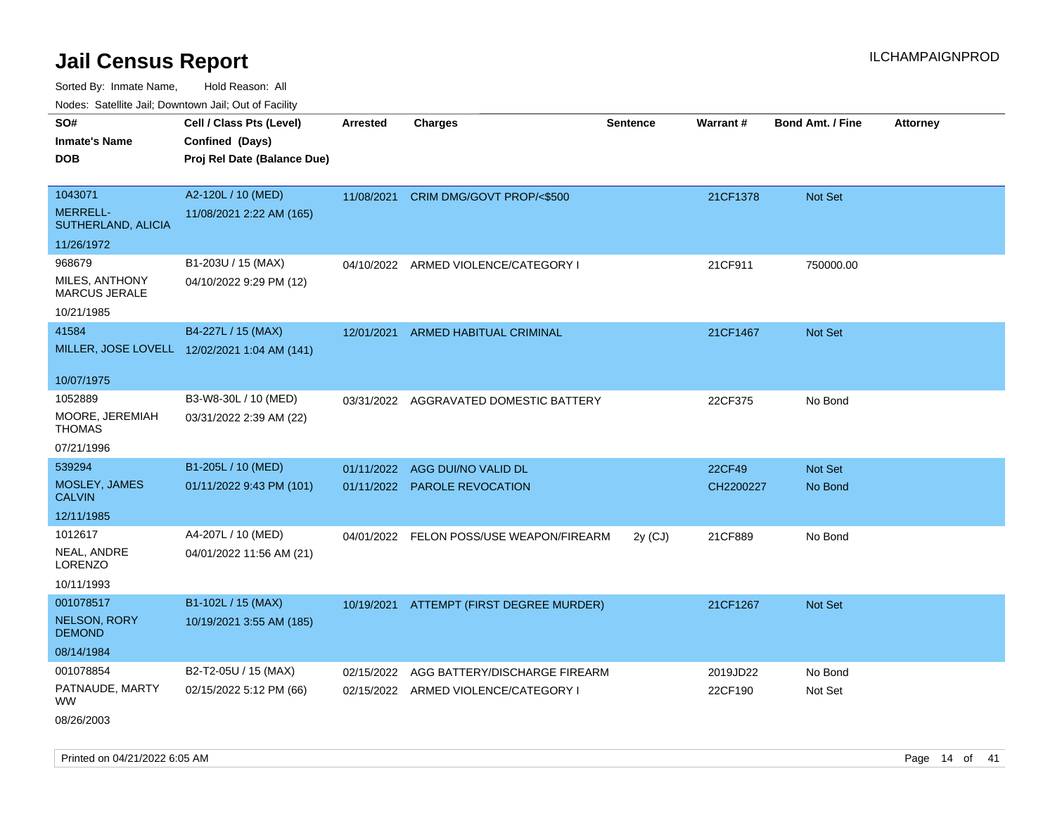Sorted By: Inmate Name, Hold Reason: All

Nodes: Satellite Jail; Downtown Jail; Out of Facility

| SO#                                    | Cell / Class Pts (Level)                     | <b>Arrested</b> | <b>Charges</b>                           | <b>Sentence</b> | Warrant#  | <b>Bond Amt. / Fine</b> | <b>Attorney</b> |
|----------------------------------------|----------------------------------------------|-----------------|------------------------------------------|-----------------|-----------|-------------------------|-----------------|
| <b>Inmate's Name</b>                   | Confined (Days)                              |                 |                                          |                 |           |                         |                 |
| <b>DOB</b>                             | Proj Rel Date (Balance Due)                  |                 |                                          |                 |           |                         |                 |
|                                        |                                              |                 |                                          |                 |           |                         |                 |
| 1043071                                | A2-120L / 10 (MED)                           |                 | 11/08/2021 CRIM DMG/GOVT PROP/<\$500     |                 | 21CF1378  | Not Set                 |                 |
| <b>MERRELL-</b><br>SUTHERLAND, ALICIA  | 11/08/2021 2:22 AM (165)                     |                 |                                          |                 |           |                         |                 |
| 11/26/1972                             |                                              |                 |                                          |                 |           |                         |                 |
| 968679                                 | B1-203U / 15 (MAX)                           |                 | 04/10/2022 ARMED VIOLENCE/CATEGORY I     |                 | 21CF911   | 750000.00               |                 |
| MILES, ANTHONY<br><b>MARCUS JERALE</b> | 04/10/2022 9:29 PM (12)                      |                 |                                          |                 |           |                         |                 |
| 10/21/1985                             |                                              |                 |                                          |                 |           |                         |                 |
| 41584                                  | B4-227L / 15 (MAX)                           |                 | 12/01/2021 ARMED HABITUAL CRIMINAL       |                 | 21CF1467  | Not Set                 |                 |
|                                        | MILLER, JOSE LOVELL 12/02/2021 1:04 AM (141) |                 |                                          |                 |           |                         |                 |
|                                        |                                              |                 |                                          |                 |           |                         |                 |
| 10/07/1975                             |                                              |                 |                                          |                 |           |                         |                 |
| 1052889                                | B3-W8-30L / 10 (MED)                         |                 | 03/31/2022 AGGRAVATED DOMESTIC BATTERY   |                 | 22CF375   | No Bond                 |                 |
| MOORE, JEREMIAH<br><b>THOMAS</b>       | 03/31/2022 2:39 AM (22)                      |                 |                                          |                 |           |                         |                 |
| 07/21/1996                             |                                              |                 |                                          |                 |           |                         |                 |
| 539294                                 | B1-205L / 10 (MED)                           | 01/11/2022      | AGG DUI/NO VALID DL                      |                 | 22CF49    | Not Set                 |                 |
| MOSLEY, JAMES<br><b>CALVIN</b>         | 01/11/2022 9:43 PM (101)                     |                 | 01/11/2022 PAROLE REVOCATION             |                 | CH2200227 | No Bond                 |                 |
| 12/11/1985                             |                                              |                 |                                          |                 |           |                         |                 |
|                                        |                                              |                 |                                          |                 |           |                         |                 |
| 1012617                                | A4-207L / 10 (MED)                           |                 | 04/01/2022 FELON POSS/USE WEAPON/FIREARM | $2y$ (CJ)       | 21CF889   | No Bond                 |                 |
| NEAL, ANDRE<br>LORENZO                 | 04/01/2022 11:56 AM (21)                     |                 |                                          |                 |           |                         |                 |
| 10/11/1993                             |                                              |                 |                                          |                 |           |                         |                 |
| 001078517                              | B1-102L / 15 (MAX)                           |                 | 10/19/2021 ATTEMPT (FIRST DEGREE MURDER) |                 | 21CF1267  | Not Set                 |                 |
| <b>NELSON, RORY</b><br><b>DEMOND</b>   | 10/19/2021 3:55 AM (185)                     |                 |                                          |                 |           |                         |                 |
| 08/14/1984                             |                                              |                 |                                          |                 |           |                         |                 |
| 001078854                              | B2-T2-05U / 15 (MAX)                         | 02/15/2022      | AGG BATTERY/DISCHARGE FIREARM            |                 | 2019JD22  | No Bond                 |                 |
| PATNAUDE, MARTY<br><b>WW</b>           | 02/15/2022 5:12 PM (66)                      |                 | 02/15/2022 ARMED VIOLENCE/CATEGORY I     |                 | 22CF190   | Not Set                 |                 |
| 08/26/2003                             |                                              |                 |                                          |                 |           |                         |                 |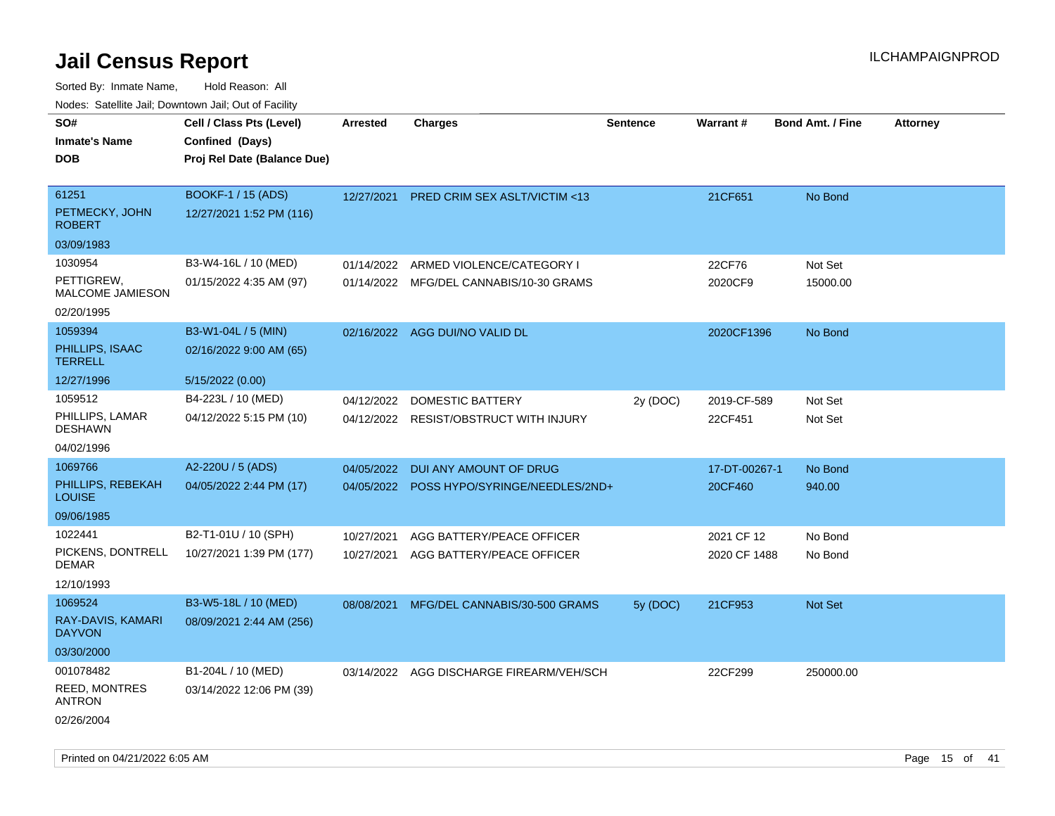| roaco. Catolino cali, Domntonn cali, Out of Facility |                             |            |                                          |                 |               |                         |                 |
|------------------------------------------------------|-----------------------------|------------|------------------------------------------|-----------------|---------------|-------------------------|-----------------|
| SO#                                                  | Cell / Class Pts (Level)    | Arrested   | <b>Charges</b>                           | <b>Sentence</b> | Warrant#      | <b>Bond Amt. / Fine</b> | <b>Attorney</b> |
| <b>Inmate's Name</b>                                 | Confined (Days)             |            |                                          |                 |               |                         |                 |
| <b>DOB</b>                                           | Proj Rel Date (Balance Due) |            |                                          |                 |               |                         |                 |
|                                                      |                             |            |                                          |                 |               |                         |                 |
| 61251                                                | BOOKF-1 / 15 (ADS)          | 12/27/2021 | PRED CRIM SEX ASLT/VICTIM <13            |                 | 21CF651       | No Bond                 |                 |
| PETMECKY, JOHN<br><b>ROBERT</b>                      | 12/27/2021 1:52 PM (116)    |            |                                          |                 |               |                         |                 |
| 03/09/1983                                           |                             |            |                                          |                 |               |                         |                 |
| 1030954                                              | B3-W4-16L / 10 (MED)        | 01/14/2022 | ARMED VIOLENCE/CATEGORY I                |                 | 22CF76        | Not Set                 |                 |
| PETTIGREW,<br>MALCOME JAMIESON                       | 01/15/2022 4:35 AM (97)     |            | 01/14/2022 MFG/DEL CANNABIS/10-30 GRAMS  |                 | 2020CF9       | 15000.00                |                 |
| 02/20/1995                                           |                             |            |                                          |                 |               |                         |                 |
| 1059394                                              | B3-W1-04L / 5 (MIN)         |            | 02/16/2022 AGG DUI/NO VALID DL           |                 | 2020CF1396    | No Bond                 |                 |
| PHILLIPS, ISAAC<br><b>TERRELL</b>                    | 02/16/2022 9:00 AM (65)     |            |                                          |                 |               |                         |                 |
| 12/27/1996                                           | 5/15/2022 (0.00)            |            |                                          |                 |               |                         |                 |
| 1059512                                              | B4-223L / 10 (MED)          | 04/12/2022 | DOMESTIC BATTERY                         | 2y (DOC)        | 2019-CF-589   | Not Set                 |                 |
| PHILLIPS, LAMAR<br><b>DESHAWN</b>                    | 04/12/2022 5:15 PM (10)     |            | 04/12/2022 RESIST/OBSTRUCT WITH INJURY   |                 | 22CF451       | Not Set                 |                 |
| 04/02/1996                                           |                             |            |                                          |                 |               |                         |                 |
| 1069766                                              | A2-220U / 5 (ADS)           | 04/05/2022 | DUI ANY AMOUNT OF DRUG                   |                 | 17-DT-00267-1 | No Bond                 |                 |
| PHILLIPS, REBEKAH<br><b>LOUISE</b>                   | 04/05/2022 2:44 PM (17)     | 04/05/2022 | POSS HYPO/SYRINGE/NEEDLES/2ND+           |                 | 20CF460       | 940.00                  |                 |
| 09/06/1985                                           |                             |            |                                          |                 |               |                         |                 |
| 1022441                                              | B2-T1-01U / 10 (SPH)        | 10/27/2021 | AGG BATTERY/PEACE OFFICER                |                 | 2021 CF 12    | No Bond                 |                 |
| PICKENS, DONTRELL<br>DEMAR                           | 10/27/2021 1:39 PM (177)    |            | 10/27/2021 AGG BATTERY/PEACE OFFICER     |                 | 2020 CF 1488  | No Bond                 |                 |
| 12/10/1993                                           |                             |            |                                          |                 |               |                         |                 |
| 1069524                                              | B3-W5-18L / 10 (MED)        | 08/08/2021 | MFG/DEL CANNABIS/30-500 GRAMS            | 5y (DOC)        | 21CF953       | <b>Not Set</b>          |                 |
| RAY-DAVIS, KAMARI<br><b>DAYVON</b>                   | 08/09/2021 2:44 AM (256)    |            |                                          |                 |               |                         |                 |
| 03/30/2000                                           |                             |            |                                          |                 |               |                         |                 |
| 001078482                                            | B1-204L / 10 (MED)          |            | 03/14/2022 AGG DISCHARGE FIREARM/VEH/SCH |                 | 22CF299       | 250000.00               |                 |
| <b>REED, MONTRES</b><br><b>ANTRON</b>                | 03/14/2022 12:06 PM (39)    |            |                                          |                 |               |                         |                 |
| 02/26/2004                                           |                             |            |                                          |                 |               |                         |                 |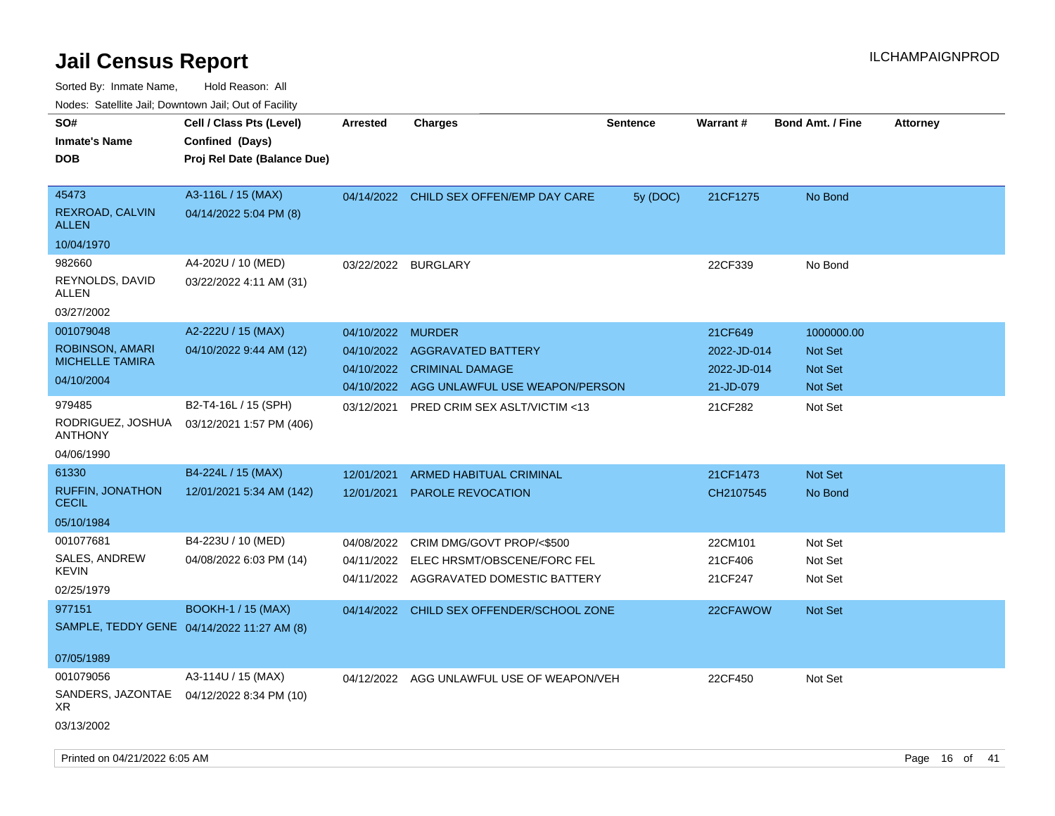| ivouss. Satellite Jali, Downtown Jali, Out of Facility        |                                                                            |                 |                                           |                 |             |                         |                 |
|---------------------------------------------------------------|----------------------------------------------------------------------------|-----------------|-------------------------------------------|-----------------|-------------|-------------------------|-----------------|
| SO#<br>Inmate's Name<br>DOB                                   | Cell / Class Pts (Level)<br>Confined (Days)<br>Proj Rel Date (Balance Due) | <b>Arrested</b> | <b>Charges</b>                            | <b>Sentence</b> | Warrant#    | <b>Bond Amt. / Fine</b> | <b>Attorney</b> |
|                                                               |                                                                            |                 |                                           |                 |             |                         |                 |
| 45473<br>REXROAD, CALVIN<br>ALLEN                             | A3-116L / 15 (MAX)<br>04/14/2022 5:04 PM (8)                               |                 | 04/14/2022 CHILD SEX OFFEN/EMP DAY CARE   | 5y (DOC)        | 21CF1275    | No Bond                 |                 |
| 10/04/1970                                                    |                                                                            |                 |                                           |                 |             |                         |                 |
| 982660                                                        | A4-202U / 10 (MED)                                                         | 03/22/2022      | <b>BURGLARY</b>                           |                 | 22CF339     | No Bond                 |                 |
| REYNOLDS, DAVID<br>ALLEN                                      | 03/22/2022 4:11 AM (31)                                                    |                 |                                           |                 |             |                         |                 |
| 03/27/2002                                                    |                                                                            |                 |                                           |                 |             |                         |                 |
| 001079048                                                     | A2-222U / 15 (MAX)                                                         | 04/10/2022      | <b>MURDER</b>                             |                 | 21CF649     | 1000000.00              |                 |
| ROBINSON, AMARI                                               | 04/10/2022 9:44 AM (12)                                                    | 04/10/2022      | <b>AGGRAVATED BATTERY</b>                 |                 | 2022-JD-014 | <b>Not Set</b>          |                 |
| <b>MICHELLE TAMIRA</b><br>04/10/2004                          |                                                                            | 04/10/2022      | <b>CRIMINAL DAMAGE</b>                    |                 | 2022-JD-014 | <b>Not Set</b>          |                 |
|                                                               |                                                                            | 04/10/2022      | AGG UNLAWFUL USE WEAPON/PERSON            |                 | 21-JD-079   | <b>Not Set</b>          |                 |
| 979485                                                        | B2-T4-16L / 15 (SPH)                                                       | 03/12/2021      | <b>PRED CRIM SEX ASLT/VICTIM &lt;13</b>   |                 | 21CF282     | Not Set                 |                 |
| RODRIGUEZ, JOSHUA<br>ANTHONY                                  | 03/12/2021 1:57 PM (406)                                                   |                 |                                           |                 |             |                         |                 |
| 04/06/1990                                                    |                                                                            |                 |                                           |                 |             |                         |                 |
| 61330                                                         | B4-224L / 15 (MAX)                                                         | 12/01/2021      | ARMED HABITUAL CRIMINAL                   |                 | 21CF1473    | <b>Not Set</b>          |                 |
| <b>RUFFIN, JONATHON</b><br>CECIL                              | 12/01/2021 5:34 AM (142)                                                   | 12/01/2021      | <b>PAROLE REVOCATION</b>                  |                 | CH2107545   | No Bond                 |                 |
| 05/10/1984                                                    |                                                                            |                 |                                           |                 |             |                         |                 |
| 001077681                                                     | B4-223U / 10 (MED)                                                         | 04/08/2022      | CRIM DMG/GOVT PROP/<\$500                 |                 | 22CM101     | Not Set                 |                 |
| SALES, ANDREW<br>KEVIN                                        | 04/08/2022 6:03 PM (14)                                                    | 04/11/2022      | ELEC HRSMT/OBSCENE/FORC FEL               |                 | 21CF406     | Not Set                 |                 |
| 02/25/1979                                                    |                                                                            |                 | 04/11/2022 AGGRAVATED DOMESTIC BATTERY    |                 | 21CF247     | Not Set                 |                 |
| 977151                                                        | <b>BOOKH-1 / 15 (MAX)</b>                                                  |                 | 04/14/2022 CHILD SEX OFFENDER/SCHOOL ZONE |                 | 22CFAWOW    | <b>Not Set</b>          |                 |
| SAMPLE, TEDDY GENE 04/14/2022 11:27 AM (8)                    |                                                                            |                 |                                           |                 |             |                         |                 |
| 07/05/1989                                                    |                                                                            |                 |                                           |                 |             |                         |                 |
| 001079056<br>SANDERS, JAZONTAE 04/12/2022 8:34 PM (10)<br>XR. | A3-114U / 15 (MAX)                                                         | 04/12/2022      | AGG UNLAWFUL USE OF WEAPON/VEH            |                 | 22CF450     | Not Set                 |                 |
| 03/13/2002                                                    |                                                                            |                 |                                           |                 |             |                         |                 |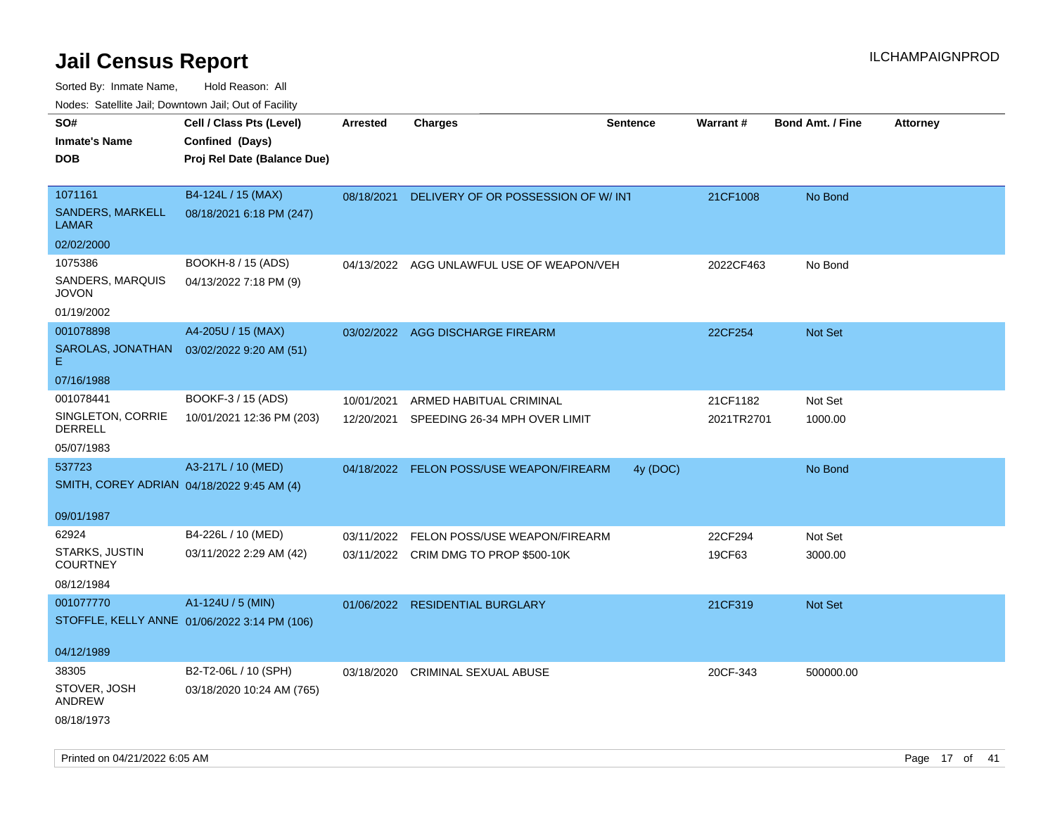| Noues. Salemie Jan, Downtown Jan, Out of Facility |                                              |            |                                          |                 |            |                         |                 |
|---------------------------------------------------|----------------------------------------------|------------|------------------------------------------|-----------------|------------|-------------------------|-----------------|
| SO#                                               | Cell / Class Pts (Level)                     | Arrested   | <b>Charges</b>                           | <b>Sentence</b> | Warrant#   | <b>Bond Amt. / Fine</b> | <b>Attorney</b> |
| <b>Inmate's Name</b>                              | Confined (Days)                              |            |                                          |                 |            |                         |                 |
| DOB                                               | Proj Rel Date (Balance Due)                  |            |                                          |                 |            |                         |                 |
|                                                   |                                              |            |                                          |                 |            |                         |                 |
| 1071161                                           | B4-124L / 15 (MAX)                           | 08/18/2021 | DELIVERY OF OR POSSESSION OF W/ INT      |                 | 21CF1008   | No Bond                 |                 |
| SANDERS, MARKELL<br><b>LAMAR</b>                  | 08/18/2021 6:18 PM (247)                     |            |                                          |                 |            |                         |                 |
| 02/02/2000                                        |                                              |            |                                          |                 |            |                         |                 |
| 1075386                                           | BOOKH-8 / 15 (ADS)                           | 04/13/2022 | AGG UNLAWFUL USE OF WEAPON/VEH           |                 | 2022CF463  | No Bond                 |                 |
| SANDERS, MARQUIS<br>JOVON                         | 04/13/2022 7:18 PM (9)                       |            |                                          |                 |            |                         |                 |
| 01/19/2002                                        |                                              |            |                                          |                 |            |                         |                 |
| 001078898                                         | A4-205U / 15 (MAX)                           |            | 03/02/2022 AGG DISCHARGE FIREARM         |                 | 22CF254    | Not Set                 |                 |
| SAROLAS, JONATHAN<br>E.                           | 03/02/2022 9:20 AM (51)                      |            |                                          |                 |            |                         |                 |
| 07/16/1988                                        |                                              |            |                                          |                 |            |                         |                 |
| 001078441                                         | BOOKF-3 / 15 (ADS)                           | 10/01/2021 | ARMED HABITUAL CRIMINAL                  |                 | 21CF1182   | Not Set                 |                 |
| SINGLETON, CORRIE<br>DERRELL                      | 10/01/2021 12:36 PM (203)                    | 12/20/2021 | SPEEDING 26-34 MPH OVER LIMIT            |                 | 2021TR2701 | 1000.00                 |                 |
| 05/07/1983                                        |                                              |            |                                          |                 |            |                         |                 |
| 537723                                            | A3-217L / 10 (MED)                           |            | 04/18/2022 FELON POSS/USE WEAPON/FIREARM | 4y (DOC)        |            | No Bond                 |                 |
| SMITH, COREY ADRIAN 04/18/2022 9:45 AM (4)        |                                              |            |                                          |                 |            |                         |                 |
|                                                   |                                              |            |                                          |                 |            |                         |                 |
| 09/01/1987                                        |                                              |            |                                          |                 |            |                         |                 |
| 62924                                             | B4-226L / 10 (MED)                           | 03/11/2022 | FELON POSS/USE WEAPON/FIREARM            |                 | 22CF294    | Not Set                 |                 |
| <b>STARKS, JUSTIN</b><br><b>COURTNEY</b>          | 03/11/2022 2:29 AM (42)                      |            | 03/11/2022 CRIM DMG TO PROP \$500-10K    |                 | 19CF63     | 3000.00                 |                 |
| 08/12/1984                                        |                                              |            |                                          |                 |            |                         |                 |
| 001077770                                         | A1-124U / 5 (MIN)                            |            | 01/06/2022 RESIDENTIAL BURGLARY          |                 | 21CF319    | Not Set                 |                 |
|                                                   | STOFFLE, KELLY ANNE 01/06/2022 3:14 PM (106) |            |                                          |                 |            |                         |                 |
|                                                   |                                              |            |                                          |                 |            |                         |                 |
| 04/12/1989                                        |                                              |            |                                          |                 |            |                         |                 |
| 38305                                             | B2-T2-06L / 10 (SPH)                         | 03/18/2020 | <b>CRIMINAL SEXUAL ABUSE</b>             |                 | 20CF-343   | 500000.00               |                 |
| STOVER, JOSH<br><b>ANDREW</b>                     | 03/18/2020 10:24 AM (765)                    |            |                                          |                 |            |                         |                 |
| 08/18/1973                                        |                                              |            |                                          |                 |            |                         |                 |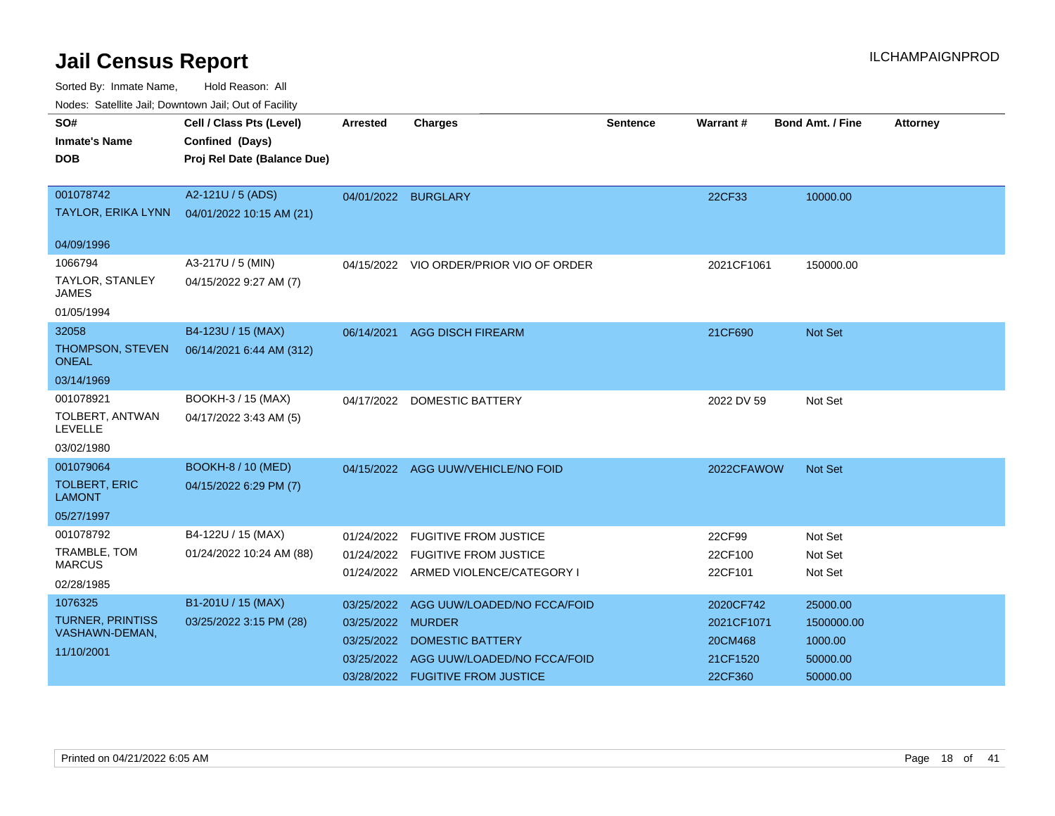| Noucs. Catchitic sail, Downtown sail, Out of Facility |                             |                 |                                         |          |            |                         |                 |
|-------------------------------------------------------|-----------------------------|-----------------|-----------------------------------------|----------|------------|-------------------------|-----------------|
| SO#                                                   | Cell / Class Pts (Level)    | <b>Arrested</b> | <b>Charges</b>                          | Sentence | Warrant#   | <b>Bond Amt. / Fine</b> | <b>Attorney</b> |
| <b>Inmate's Name</b>                                  | Confined (Days)             |                 |                                         |          |            |                         |                 |
| <b>DOB</b>                                            | Proj Rel Date (Balance Due) |                 |                                         |          |            |                         |                 |
|                                                       |                             |                 |                                         |          |            |                         |                 |
| 001078742                                             | A2-121U / 5 (ADS)           |                 | 04/01/2022 BURGLARY                     |          | 22CF33     | 10000.00                |                 |
| <b>TAYLOR, ERIKA LYNN</b>                             | 04/01/2022 10:15 AM (21)    |                 |                                         |          |            |                         |                 |
| 04/09/1996                                            |                             |                 |                                         |          |            |                         |                 |
| 1066794                                               | A3-217U / 5 (MIN)           |                 | 04/15/2022 VIO ORDER/PRIOR VIO OF ORDER |          | 2021CF1061 | 150000.00               |                 |
| TAYLOR, STANLEY<br><b>JAMES</b>                       | 04/15/2022 9:27 AM (7)      |                 |                                         |          |            |                         |                 |
| 01/05/1994                                            |                             |                 |                                         |          |            |                         |                 |
| 32058                                                 | B4-123U / 15 (MAX)          | 06/14/2021      | <b>AGG DISCH FIREARM</b>                |          | 21CF690    | <b>Not Set</b>          |                 |
| THOMPSON, STEVEN<br><b>ONEAL</b>                      | 06/14/2021 6:44 AM (312)    |                 |                                         |          |            |                         |                 |
| 03/14/1969                                            |                             |                 |                                         |          |            |                         |                 |
| 001078921                                             | BOOKH-3 / 15 (MAX)          |                 | 04/17/2022 DOMESTIC BATTERY             |          | 2022 DV 59 | Not Set                 |                 |
| TOLBERT, ANTWAN<br><b>LEVELLE</b>                     | 04/17/2022 3:43 AM (5)      |                 |                                         |          |            |                         |                 |
| 03/02/1980                                            |                             |                 |                                         |          |            |                         |                 |
| 001079064                                             | <b>BOOKH-8 / 10 (MED)</b>   |                 | 04/15/2022 AGG UUW/VEHICLE/NO FOID      |          | 2022CFAWOW | <b>Not Set</b>          |                 |
| <b>TOLBERT, ERIC</b><br><b>LAMONT</b>                 | 04/15/2022 6:29 PM (7)      |                 |                                         |          |            |                         |                 |
| 05/27/1997                                            |                             |                 |                                         |          |            |                         |                 |
| 001078792                                             | B4-122U / 15 (MAX)          | 01/24/2022      | <b>FUGITIVE FROM JUSTICE</b>            |          | 22CF99     | Not Set                 |                 |
| TRAMBLE, TOM                                          | 01/24/2022 10:24 AM (88)    |                 | 01/24/2022 FUGITIVE FROM JUSTICE        |          | 22CF100    | Not Set                 |                 |
| <b>MARCUS</b>                                         |                             |                 | 01/24/2022 ARMED VIOLENCE/CATEGORY I    |          | 22CF101    | Not Set                 |                 |
| 02/28/1985                                            |                             |                 |                                         |          |            |                         |                 |
| 1076325                                               | B1-201U / 15 (MAX)          | 03/25/2022      | AGG UUW/LOADED/NO FCCA/FOID             |          | 2020CF742  | 25000.00                |                 |
| <b>TURNER, PRINTISS</b><br>VASHAWN-DEMAN,             | 03/25/2022 3:15 PM (28)     | 03/25/2022      | <b>MURDER</b>                           |          | 2021CF1071 | 1500000.00              |                 |
| 11/10/2001                                            |                             | 03/25/2022      | <b>DOMESTIC BATTERY</b>                 |          | 20CM468    | 1000.00                 |                 |
|                                                       |                             | 03/25/2022      | AGG UUW/LOADED/NO FCCA/FOID             |          | 21CF1520   | 50000.00                |                 |
|                                                       |                             | 03/28/2022      | <b>FUGITIVE FROM JUSTICE</b>            |          | 22CF360    | 50000.00                |                 |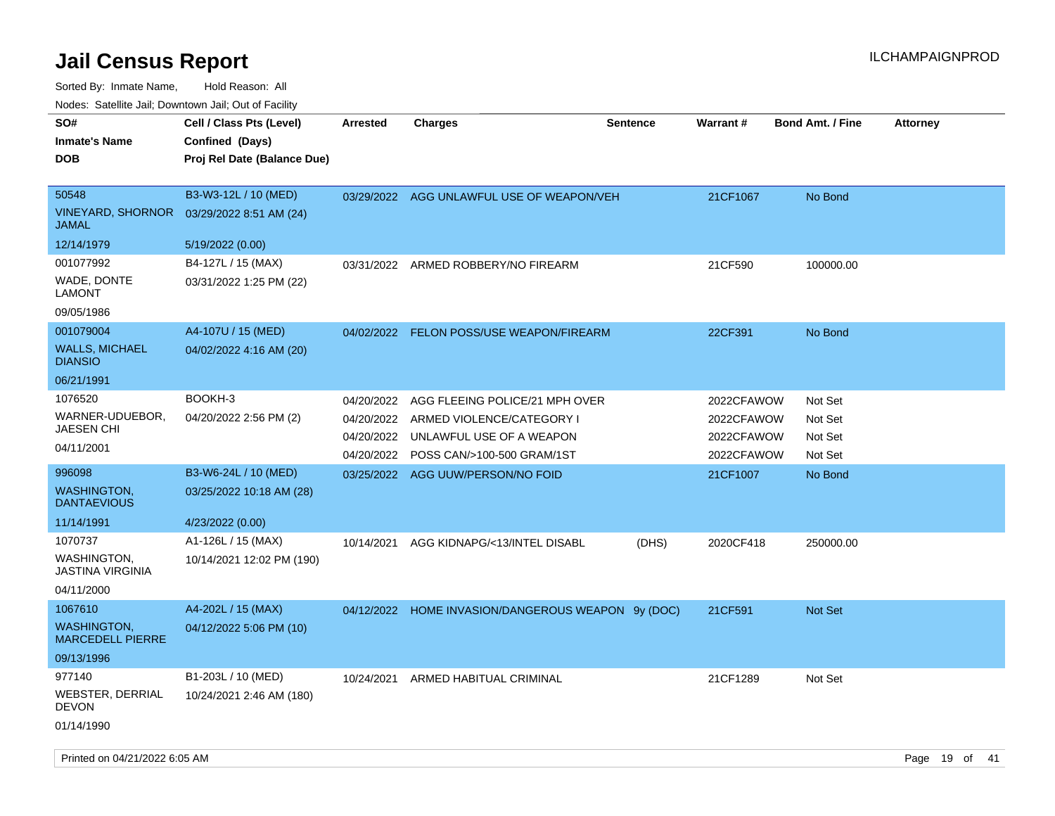Sorted By: Inmate Name, Hold Reason: All

| Nodes: Satellite Jail; Downtown Jail; Out of Facility |                             |                 |                                           |                 |            |                         |                 |  |
|-------------------------------------------------------|-----------------------------|-----------------|-------------------------------------------|-----------------|------------|-------------------------|-----------------|--|
| SO#                                                   | Cell / Class Pts (Level)    | <b>Arrested</b> | <b>Charges</b>                            | <b>Sentence</b> | Warrant#   | <b>Bond Amt. / Fine</b> | <b>Attorney</b> |  |
| <b>Inmate's Name</b>                                  | Confined (Days)             |                 |                                           |                 |            |                         |                 |  |
| <b>DOB</b>                                            | Proj Rel Date (Balance Due) |                 |                                           |                 |            |                         |                 |  |
|                                                       |                             |                 |                                           |                 |            |                         |                 |  |
| 50548                                                 | B3-W3-12L / 10 (MED)        |                 | 03/29/2022 AGG UNLAWFUL USE OF WEAPON/VEH |                 | 21CF1067   | No Bond                 |                 |  |
| <b>VINEYARD, SHORNOR</b><br><b>JAMAL</b>              | 03/29/2022 8:51 AM (24)     |                 |                                           |                 |            |                         |                 |  |
| 12/14/1979                                            | 5/19/2022 (0.00)            |                 |                                           |                 |            |                         |                 |  |
| 001077992                                             | B4-127L / 15 (MAX)          | 03/31/2022      | ARMED ROBBERY/NO FIREARM                  |                 | 21CF590    | 100000.00               |                 |  |
| WADE, DONTE<br><b>LAMONT</b>                          | 03/31/2022 1:25 PM (22)     |                 |                                           |                 |            |                         |                 |  |
| 09/05/1986                                            |                             |                 |                                           |                 |            |                         |                 |  |
| 001079004                                             | A4-107U / 15 (MED)          |                 | 04/02/2022 FELON POSS/USE WEAPON/FIREARM  |                 | 22CF391    | No Bond                 |                 |  |
| <b>WALLS, MICHAEL</b><br><b>DIANSIO</b>               | 04/02/2022 4:16 AM (20)     |                 |                                           |                 |            |                         |                 |  |
| 06/21/1991                                            |                             |                 |                                           |                 |            |                         |                 |  |
| 1076520                                               | BOOKH-3                     | 04/20/2022      | AGG FLEEING POLICE/21 MPH OVER            |                 | 2022CFAWOW | Not Set                 |                 |  |
| WARNER-UDUEBOR,                                       | 04/20/2022 2:56 PM (2)      | 04/20/2022      | ARMED VIOLENCE/CATEGORY I                 |                 | 2022CFAWOW | Not Set                 |                 |  |
| <b>JAESEN CHI</b>                                     |                             | 04/20/2022      | UNLAWFUL USE OF A WEAPON                  |                 | 2022CFAWOW | Not Set                 |                 |  |
| 04/11/2001                                            |                             |                 | 04/20/2022 POSS CAN/>100-500 GRAM/1ST     |                 | 2022CFAWOW | Not Set                 |                 |  |
| 996098                                                | B3-W6-24L / 10 (MED)        |                 | 03/25/2022 AGG UUW/PERSON/NO FOID         |                 | 21CF1007   | No Bond                 |                 |  |
| <b>WASHINGTON,</b><br><b>DANTAEVIOUS</b>              | 03/25/2022 10:18 AM (28)    |                 |                                           |                 |            |                         |                 |  |
| 11/14/1991                                            | 4/23/2022 (0.00)            |                 |                                           |                 |            |                         |                 |  |
| 1070737                                               | A1-126L / 15 (MAX)          | 10/14/2021      | AGG KIDNAPG/<13/INTEL DISABL              | (DHS)           | 2020CF418  | 250000.00               |                 |  |
| WASHINGTON,<br><b>JASTINA VIRGINIA</b>                | 10/14/2021 12:02 PM (190)   |                 |                                           |                 |            |                         |                 |  |
| 04/11/2000                                            |                             |                 |                                           |                 |            |                         |                 |  |
| 1067610                                               | A4-202L / 15 (MAX)          | 04/12/2022      | HOME INVASION/DANGEROUS WEAPON 9y (DOC)   |                 | 21CF591    | <b>Not Set</b>          |                 |  |
| <b>WASHINGTON,</b><br><b>MARCEDELL PIERRE</b>         | 04/12/2022 5:06 PM (10)     |                 |                                           |                 |            |                         |                 |  |
| 09/13/1996                                            |                             |                 |                                           |                 |            |                         |                 |  |
| 977140                                                | B1-203L / 10 (MED)          | 10/24/2021      | ARMED HABITUAL CRIMINAL                   |                 | 21CF1289   | Not Set                 |                 |  |
| <b>WEBSTER, DERRIAL</b><br><b>DEVON</b>               | 10/24/2021 2:46 AM (180)    |                 |                                           |                 |            |                         |                 |  |
| 01/14/1990                                            |                             |                 |                                           |                 |            |                         |                 |  |
|                                                       |                             |                 |                                           |                 |            |                         |                 |  |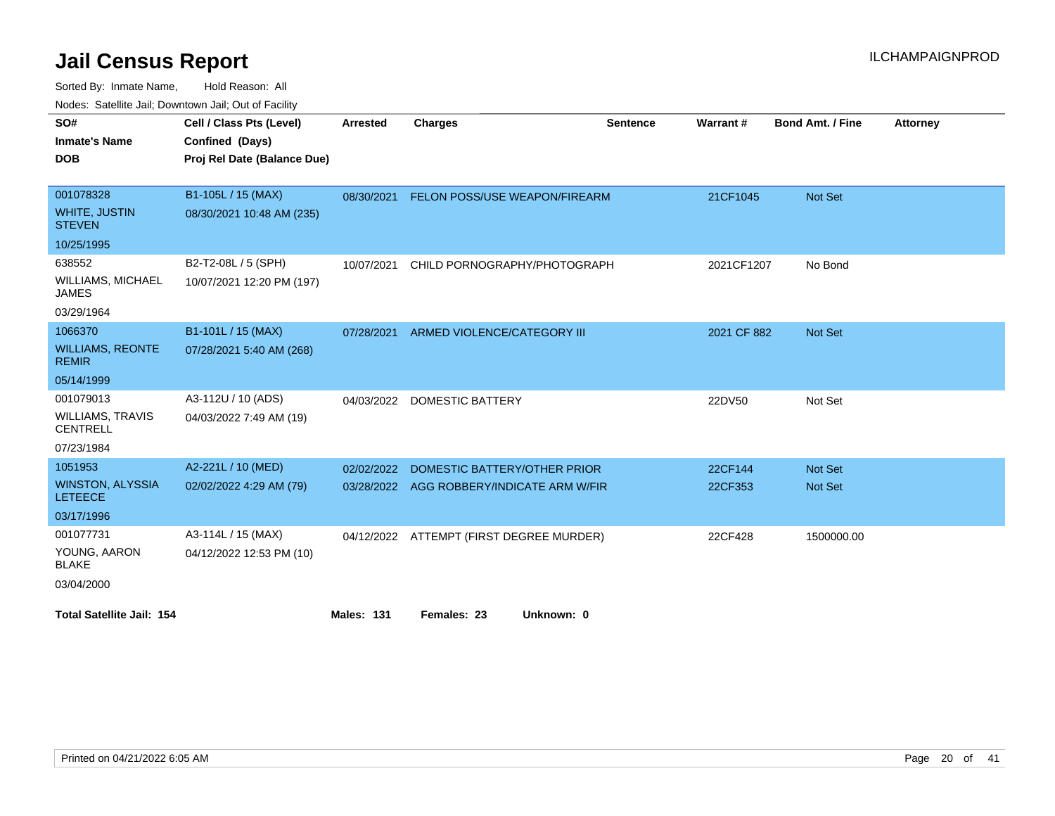| vouco. Odichite Jan, Downtown Jan, Out of Facility |                             |                   |                                           |                 |             |                         |                 |
|----------------------------------------------------|-----------------------------|-------------------|-------------------------------------------|-----------------|-------------|-------------------------|-----------------|
| SO#                                                | Cell / Class Pts (Level)    | <b>Arrested</b>   | <b>Charges</b>                            | <b>Sentence</b> | Warrant#    | <b>Bond Amt. / Fine</b> | <b>Attorney</b> |
| <b>Inmate's Name</b>                               | Confined (Days)             |                   |                                           |                 |             |                         |                 |
| <b>DOB</b>                                         | Proj Rel Date (Balance Due) |                   |                                           |                 |             |                         |                 |
|                                                    |                             |                   |                                           |                 |             |                         |                 |
| 001078328                                          | B1-105L / 15 (MAX)          | 08/30/2021        | FELON POSS/USE WEAPON/FIREARM             |                 | 21CF1045    | Not Set                 |                 |
| <b>WHITE, JUSTIN</b><br><b>STEVEN</b>              | 08/30/2021 10:48 AM (235)   |                   |                                           |                 |             |                         |                 |
| 10/25/1995                                         |                             |                   |                                           |                 |             |                         |                 |
| 638552                                             | B2-T2-08L / 5 (SPH)         | 10/07/2021        | CHILD PORNOGRAPHY/PHOTOGRAPH              |                 | 2021CF1207  | No Bond                 |                 |
| <b>WILLIAMS, MICHAEL</b><br><b>JAMES</b>           | 10/07/2021 12:20 PM (197)   |                   |                                           |                 |             |                         |                 |
| 03/29/1964                                         |                             |                   |                                           |                 |             |                         |                 |
| 1066370                                            | B1-101L / 15 (MAX)          | 07/28/2021        | ARMED VIOLENCE/CATEGORY III               |                 | 2021 CF 882 | Not Set                 |                 |
| <b>WILLIAMS, REONTE</b><br><b>REMIR</b>            | 07/28/2021 5:40 AM (268)    |                   |                                           |                 |             |                         |                 |
| 05/14/1999                                         |                             |                   |                                           |                 |             |                         |                 |
| 001079013                                          | A3-112U / 10 (ADS)          | 04/03/2022        | <b>DOMESTIC BATTERY</b>                   |                 | 22DV50      | Not Set                 |                 |
| <b>WILLIAMS, TRAVIS</b><br><b>CENTRELL</b>         | 04/03/2022 7:49 AM (19)     |                   |                                           |                 |             |                         |                 |
| 07/23/1984                                         |                             |                   |                                           |                 |             |                         |                 |
| 1051953                                            | A2-221L / 10 (MED)          | 02/02/2022        | DOMESTIC BATTERY/OTHER PRIOR              |                 | 22CF144     | Not Set                 |                 |
| <b>WINSTON, ALYSSIA</b><br><b>LETEECE</b>          | 02/02/2022 4:29 AM (79)     |                   | 03/28/2022 AGG ROBBERY/INDICATE ARM W/FIR |                 | 22CF353     | Not Set                 |                 |
| 03/17/1996                                         |                             |                   |                                           |                 |             |                         |                 |
| 001077731                                          | A3-114L / 15 (MAX)          |                   | 04/12/2022 ATTEMPT (FIRST DEGREE MURDER)  |                 | 22CF428     | 1500000.00              |                 |
| YOUNG, AARON<br><b>BLAKE</b>                       | 04/12/2022 12:53 PM (10)    |                   |                                           |                 |             |                         |                 |
| 03/04/2000                                         |                             |                   |                                           |                 |             |                         |                 |
| <b>Total Satellite Jail: 154</b>                   |                             | <b>Males: 131</b> | Females: 23<br>Unknown: 0                 |                 |             |                         |                 |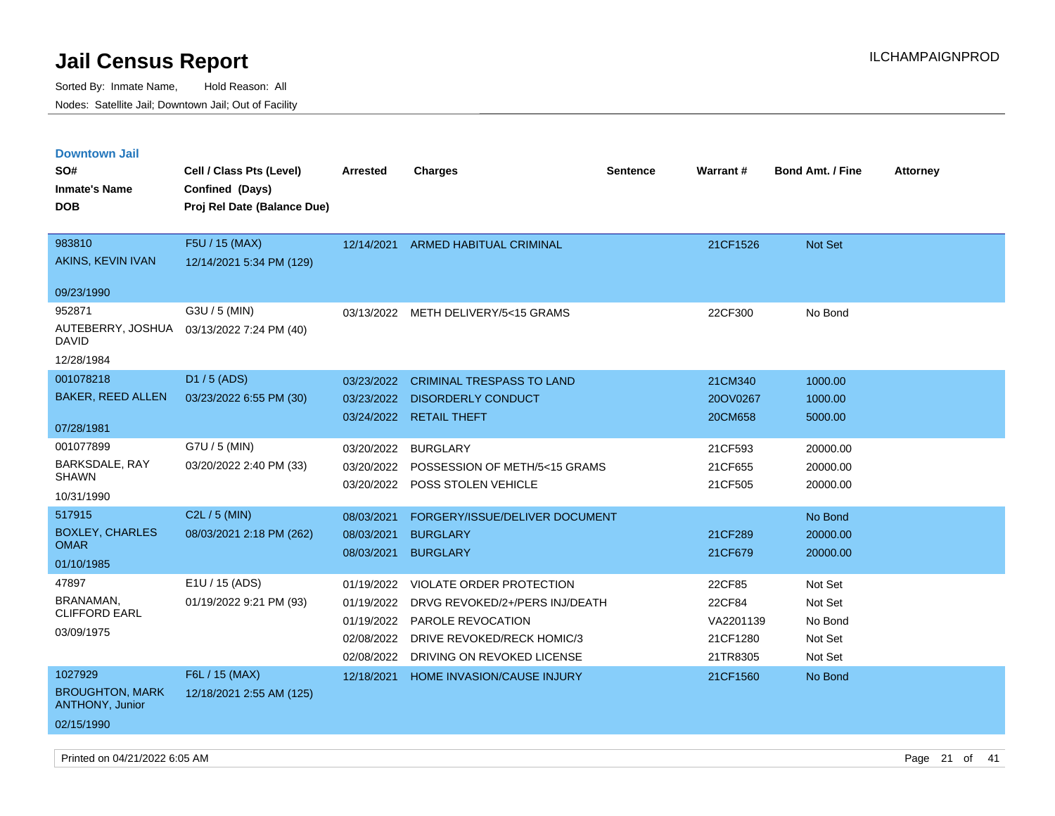| <b>Downtown Jail</b>                             |                             |                 |                                   |                 |                 |                         |                 |
|--------------------------------------------------|-----------------------------|-----------------|-----------------------------------|-----------------|-----------------|-------------------------|-----------------|
| SO#                                              | Cell / Class Pts (Level)    | <b>Arrested</b> | <b>Charges</b>                    | <b>Sentence</b> | <b>Warrant#</b> | <b>Bond Amt. / Fine</b> | <b>Attorney</b> |
| <b>Inmate's Name</b>                             | Confined (Days)             |                 |                                   |                 |                 |                         |                 |
| <b>DOB</b>                                       | Proj Rel Date (Balance Due) |                 |                                   |                 |                 |                         |                 |
|                                                  |                             |                 |                                   |                 |                 |                         |                 |
| 983810                                           | F5U / 15 (MAX)              | 12/14/2021      | <b>ARMED HABITUAL CRIMINAL</b>    |                 | 21CF1526        | Not Set                 |                 |
| AKINS, KEVIN IVAN                                | 12/14/2021 5:34 PM (129)    |                 |                                   |                 |                 |                         |                 |
| 09/23/1990                                       |                             |                 |                                   |                 |                 |                         |                 |
| 952871                                           | G3U / 5 (MIN)               | 03/13/2022      | METH DELIVERY/5<15 GRAMS          |                 | 22CF300         | No Bond                 |                 |
| AUTEBERRY, JOSHUA<br>DAVID                       | 03/13/2022 7:24 PM (40)     |                 |                                   |                 |                 |                         |                 |
| 12/28/1984                                       |                             |                 |                                   |                 |                 |                         |                 |
| 001078218                                        | D1 / 5 (ADS)                | 03/23/2022      | <b>CRIMINAL TRESPASS TO LAND</b>  |                 | 21CM340         | 1000.00                 |                 |
| <b>BAKER, REED ALLEN</b>                         | 03/23/2022 6:55 PM (30)     | 03/23/2022      | <b>DISORDERLY CONDUCT</b>         |                 | 20OV0267        | 1000.00                 |                 |
|                                                  |                             |                 | 03/24/2022 RETAIL THEFT           |                 | 20CM658         | 5000.00                 |                 |
| 07/28/1981                                       |                             |                 |                                   |                 |                 |                         |                 |
| 001077899                                        | G7U / 5 (MIN)               | 03/20/2022      | <b>BURGLARY</b>                   |                 | 21CF593         | 20000.00                |                 |
| <b>BARKSDALE, RAY</b><br><b>SHAWN</b>            | 03/20/2022 2:40 PM (33)     | 03/20/2022      | POSSESSION OF METH/5<15 GRAMS     |                 | 21CF655         | 20000.00                |                 |
| 10/31/1990                                       |                             | 03/20/2022      | POSS STOLEN VEHICLE               |                 | 21CF505         | 20000.00                |                 |
| 517915                                           | C2L / 5 (MIN)               |                 |                                   |                 |                 |                         |                 |
| <b>BOXLEY, CHARLES</b>                           |                             | 08/03/2021      | FORGERY/ISSUE/DELIVER DOCUMENT    |                 |                 | No Bond                 |                 |
| <b>OMAR</b>                                      | 08/03/2021 2:18 PM (262)    | 08/03/2021      | <b>BURGLARY</b>                   |                 | 21CF289         | 20000.00                |                 |
| 01/10/1985                                       |                             | 08/03/2021      | <b>BURGLARY</b>                   |                 | 21CF679         | 20000.00                |                 |
| 47897                                            | E1U / 15 (ADS)              | 01/19/2022      | VIOLATE ORDER PROTECTION          |                 | 22CF85          | Not Set                 |                 |
| BRANAMAN,                                        | 01/19/2022 9:21 PM (93)     | 01/19/2022      | DRVG REVOKED/2+/PERS INJ/DEATH    |                 | 22CF84          | Not Set                 |                 |
| <b>CLIFFORD EARL</b>                             |                             | 01/19/2022      | PAROLE REVOCATION                 |                 | VA2201139       | No Bond                 |                 |
| 03/09/1975                                       |                             | 02/08/2022      | DRIVE REVOKED/RECK HOMIC/3        |                 | 21CF1280        | Not Set                 |                 |
|                                                  |                             | 02/08/2022      | DRIVING ON REVOKED LICENSE        |                 | 21TR8305        | Not Set                 |                 |
| 1027929                                          | F6L / 15 (MAX)              | 12/18/2021      | <b>HOME INVASION/CAUSE INJURY</b> |                 | 21CF1560        | No Bond                 |                 |
| <b>BROUGHTON, MARK</b><br><b>ANTHONY, Junior</b> | 12/18/2021 2:55 AM (125)    |                 |                                   |                 |                 |                         |                 |
| 02/15/1990                                       |                             |                 |                                   |                 |                 |                         |                 |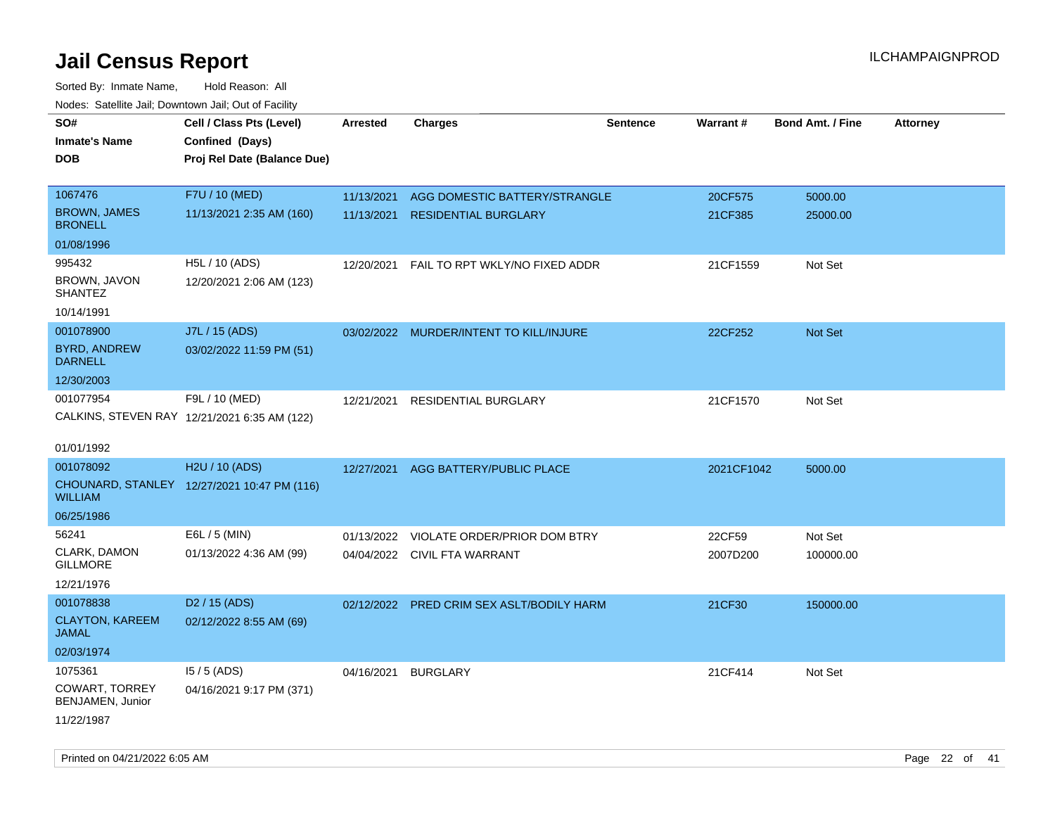| roaco. Oatomto dan, Downtown dan, Oat or Fability |                                              |                 |                                           |                 |            |                         |                 |
|---------------------------------------------------|----------------------------------------------|-----------------|-------------------------------------------|-----------------|------------|-------------------------|-----------------|
| SO#                                               | Cell / Class Pts (Level)                     | <b>Arrested</b> | <b>Charges</b>                            | <b>Sentence</b> | Warrant#   | <b>Bond Amt. / Fine</b> | <b>Attorney</b> |
| <b>Inmate's Name</b>                              | Confined (Days)                              |                 |                                           |                 |            |                         |                 |
| <b>DOB</b>                                        | Proj Rel Date (Balance Due)                  |                 |                                           |                 |            |                         |                 |
|                                                   |                                              |                 |                                           |                 |            |                         |                 |
| 1067476                                           | F7U / 10 (MED)                               | 11/13/2021      | AGG DOMESTIC BATTERY/STRANGLE             |                 | 20CF575    | 5000.00                 |                 |
| <b>BROWN, JAMES</b><br><b>BRONELL</b>             | 11/13/2021 2:35 AM (160)                     | 11/13/2021      | <b>RESIDENTIAL BURGLARY</b>               |                 | 21CF385    | 25000.00                |                 |
| 01/08/1996                                        |                                              |                 |                                           |                 |            |                         |                 |
| 995432                                            | H5L / 10 (ADS)                               | 12/20/2021      | FAIL TO RPT WKLY/NO FIXED ADDR            |                 | 21CF1559   | Not Set                 |                 |
| BROWN, JAVON<br><b>SHANTEZ</b>                    | 12/20/2021 2:06 AM (123)                     |                 |                                           |                 |            |                         |                 |
| 10/14/1991                                        |                                              |                 |                                           |                 |            |                         |                 |
| 001078900                                         | J7L / 15 (ADS)                               |                 | 03/02/2022 MURDER/INTENT TO KILL/INJURE   |                 | 22CF252    | Not Set                 |                 |
| <b>BYRD, ANDREW</b><br><b>DARNELL</b>             | 03/02/2022 11:59 PM (51)                     |                 |                                           |                 |            |                         |                 |
| 12/30/2003                                        |                                              |                 |                                           |                 |            |                         |                 |
| 001077954                                         | F9L / 10 (MED)                               | 12/21/2021      | RESIDENTIAL BURGLARY                      |                 | 21CF1570   | Not Set                 |                 |
|                                                   | CALKINS, STEVEN RAY 12/21/2021 6:35 AM (122) |                 |                                           |                 |            |                         |                 |
|                                                   |                                              |                 |                                           |                 |            |                         |                 |
| 01/01/1992                                        |                                              |                 |                                           |                 |            |                         |                 |
| 001078092                                         | H2U / 10 (ADS)                               | 12/27/2021      | AGG BATTERY/PUBLIC PLACE                  |                 | 2021CF1042 | 5000.00                 |                 |
| <b>WILLIAM</b>                                    | CHOUNARD, STANLEY 12/27/2021 10:47 PM (116)  |                 |                                           |                 |            |                         |                 |
| 06/25/1986                                        |                                              |                 |                                           |                 |            |                         |                 |
| 56241                                             | E6L / 5 (MIN)                                | 01/13/2022      | VIOLATE ORDER/PRIOR DOM BTRY              |                 | 22CF59     | Not Set                 |                 |
| CLARK, DAMON                                      | 01/13/2022 4:36 AM (99)                      |                 | 04/04/2022 CIVIL FTA WARRANT              |                 | 2007D200   | 100000.00               |                 |
| <b>GILLMORE</b>                                   |                                              |                 |                                           |                 |            |                         |                 |
| 12/21/1976                                        |                                              |                 |                                           |                 |            |                         |                 |
| 001078838                                         | D <sub>2</sub> / 15 (ADS)                    |                 | 02/12/2022 PRED CRIM SEX ASLT/BODILY HARM |                 | 21CF30     | 150000.00               |                 |
| <b>CLAYTON, KAREEM</b><br><b>JAMAL</b>            | 02/12/2022 8:55 AM (69)                      |                 |                                           |                 |            |                         |                 |
| 02/03/1974                                        |                                              |                 |                                           |                 |            |                         |                 |
| 1075361                                           | $15/5$ (ADS)                                 | 04/16/2021      | <b>BURGLARY</b>                           |                 | 21CF414    | Not Set                 |                 |
| COWART, TORREY<br>BENJAMEN, Junior                | 04/16/2021 9:17 PM (371)                     |                 |                                           |                 |            |                         |                 |
| 11/22/1987                                        |                                              |                 |                                           |                 |            |                         |                 |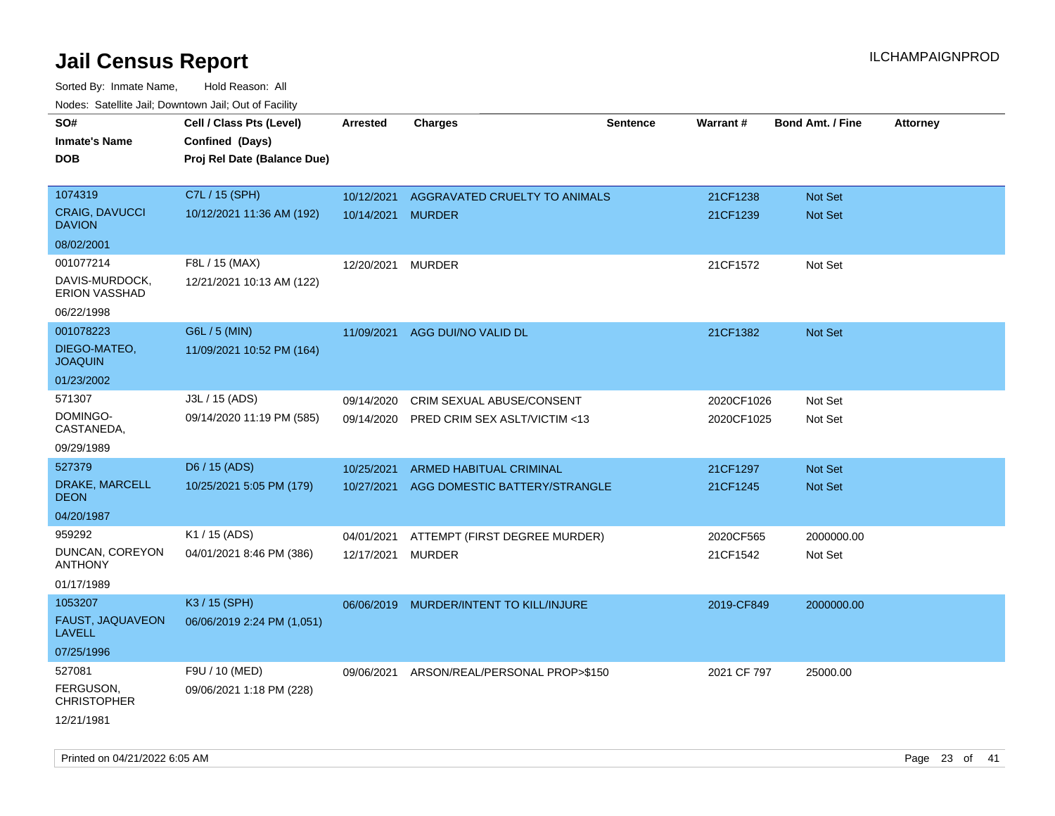| rouco. Calcillo Jali, Downtown Jali, Out of Facility |                                             |                   |                                |                 |             |                         |                 |
|------------------------------------------------------|---------------------------------------------|-------------------|--------------------------------|-----------------|-------------|-------------------------|-----------------|
| SO#<br>Inmate's Name                                 | Cell / Class Pts (Level)<br>Confined (Days) | <b>Arrested</b>   | <b>Charges</b>                 | <b>Sentence</b> | Warrant#    | <b>Bond Amt. / Fine</b> | <b>Attorney</b> |
| <b>DOB</b>                                           | Proj Rel Date (Balance Due)                 |                   |                                |                 |             |                         |                 |
| 1074319                                              | C7L / 15 (SPH)                              | 10/12/2021        | AGGRAVATED CRUELTY TO ANIMALS  |                 | 21CF1238    | Not Set                 |                 |
| <b>CRAIG, DAVUCCI</b><br><b>DAVION</b>               | 10/12/2021 11:36 AM (192)                   | 10/14/2021 MURDER |                                |                 | 21CF1239    | <b>Not Set</b>          |                 |
| 08/02/2001                                           |                                             |                   |                                |                 |             |                         |                 |
| 001077214                                            | F8L / 15 (MAX)                              | 12/20/2021        | <b>MURDER</b>                  |                 | 21CF1572    | Not Set                 |                 |
| DAVIS-MURDOCK,<br><b>ERION VASSHAD</b>               | 12/21/2021 10:13 AM (122)                   |                   |                                |                 |             |                         |                 |
| 06/22/1998                                           |                                             |                   |                                |                 |             |                         |                 |
| 001078223                                            | G6L / 5 (MIN)                               | 11/09/2021        | AGG DUI/NO VALID DL            |                 | 21CF1382    | Not Set                 |                 |
| DIEGO-MATEO,<br><b>JOAQUIN</b>                       | 11/09/2021 10:52 PM (164)                   |                   |                                |                 |             |                         |                 |
| 01/23/2002                                           |                                             |                   |                                |                 |             |                         |                 |
| 571307                                               | J3L / 15 (ADS)                              | 09/14/2020        | CRIM SEXUAL ABUSE/CONSENT      |                 | 2020CF1026  | Not Set                 |                 |
| DOMINGO-<br>CASTANEDA,                               | 09/14/2020 11:19 PM (585)                   | 09/14/2020        | PRED CRIM SEX ASLT/VICTIM <13  |                 | 2020CF1025  | Not Set                 |                 |
| 09/29/1989                                           |                                             |                   |                                |                 |             |                         |                 |
| 527379                                               | D6 / 15 (ADS)                               | 10/25/2021        | <b>ARMED HABITUAL CRIMINAL</b> |                 | 21CF1297    | <b>Not Set</b>          |                 |
| DRAKE, MARCELL<br>DEON                               | 10/25/2021 5:05 PM (179)                    | 10/27/2021        | AGG DOMESTIC BATTERY/STRANGLE  |                 | 21CF1245    | Not Set                 |                 |
| 04/20/1987                                           |                                             |                   |                                |                 |             |                         |                 |
| 959292                                               | K1 / 15 (ADS)                               | 04/01/2021        | ATTEMPT (FIRST DEGREE MURDER)  |                 | 2020CF565   | 2000000.00              |                 |
| DUNCAN, COREYON<br>ANTHONY                           | 04/01/2021 8:46 PM (386)                    | 12/17/2021        | <b>MURDER</b>                  |                 | 21CF1542    | Not Set                 |                 |
| 01/17/1989                                           |                                             |                   |                                |                 |             |                         |                 |
| 1053207                                              | K3 / 15 (SPH)                               | 06/06/2019        | MURDER/INTENT TO KILL/INJURE   |                 | 2019-CF849  | 2000000.00              |                 |
| <b>FAUST, JAQUAVEON</b><br>LAVELL                    | 06/06/2019 2:24 PM (1,051)                  |                   |                                |                 |             |                         |                 |
| 07/25/1996                                           |                                             |                   |                                |                 |             |                         |                 |
| 527081                                               | F9U / 10 (MED)                              | 09/06/2021        | ARSON/REAL/PERSONAL PROP>\$150 |                 | 2021 CF 797 | 25000.00                |                 |
| FERGUSON,<br>CHRISTOPHER                             | 09/06/2021 1:18 PM (228)                    |                   |                                |                 |             |                         |                 |
| 12/21/1981                                           |                                             |                   |                                |                 |             |                         |                 |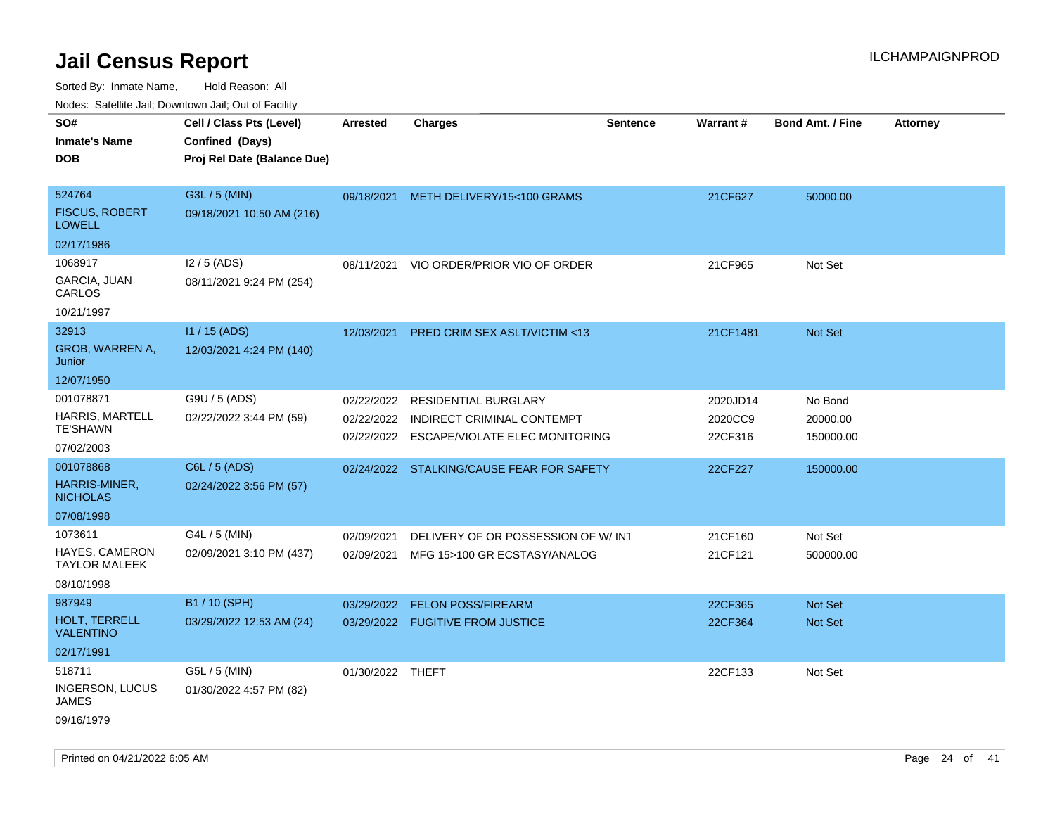| Nodes. Satellite Jali, Downtown Jali, Out of Facility |                             |                  |                                           |                 |          |                  |                 |
|-------------------------------------------------------|-----------------------------|------------------|-------------------------------------------|-----------------|----------|------------------|-----------------|
| SO#                                                   | Cell / Class Pts (Level)    | <b>Arrested</b>  | <b>Charges</b>                            | <b>Sentence</b> | Warrant# | Bond Amt. / Fine | <b>Attorney</b> |
| <b>Inmate's Name</b>                                  | Confined (Days)             |                  |                                           |                 |          |                  |                 |
| <b>DOB</b>                                            | Proj Rel Date (Balance Due) |                  |                                           |                 |          |                  |                 |
|                                                       |                             |                  |                                           |                 |          |                  |                 |
| 524764                                                | G3L / 5 (MIN)               | 09/18/2021       | METH DELIVERY/15<100 GRAMS                |                 | 21CF627  | 50000.00         |                 |
| <b>FISCUS, ROBERT</b><br><b>LOWELL</b>                | 09/18/2021 10:50 AM (216)   |                  |                                           |                 |          |                  |                 |
| 02/17/1986                                            |                             |                  |                                           |                 |          |                  |                 |
| 1068917                                               | $12/5$ (ADS)                | 08/11/2021       | VIO ORDER/PRIOR VIO OF ORDER              |                 | 21CF965  | Not Set          |                 |
| GARCIA, JUAN<br>CARLOS                                | 08/11/2021 9:24 PM (254)    |                  |                                           |                 |          |                  |                 |
| 10/21/1997                                            |                             |                  |                                           |                 |          |                  |                 |
| 32913                                                 | $11 / 15$ (ADS)             | 12/03/2021       | <b>PRED CRIM SEX ASLT/VICTIM &lt;13</b>   |                 | 21CF1481 | <b>Not Set</b>   |                 |
| GROB, WARREN A,<br>Junior                             | 12/03/2021 4:24 PM (140)    |                  |                                           |                 |          |                  |                 |
| 12/07/1950                                            |                             |                  |                                           |                 |          |                  |                 |
| 001078871                                             | G9U / 5 (ADS)               | 02/22/2022       | <b>RESIDENTIAL BURGLARY</b>               |                 | 2020JD14 | No Bond          |                 |
| <b>HARRIS, MARTELL</b><br><b>TE'SHAWN</b>             | 02/22/2022 3:44 PM (59)     | 02/22/2022       | INDIRECT CRIMINAL CONTEMPT                |                 | 2020CC9  | 20000.00         |                 |
| 07/02/2003                                            |                             | 02/22/2022       | <b>ESCAPE/VIOLATE ELEC MONITORING</b>     |                 | 22CF316  | 150000.00        |                 |
| 001078868                                             | C6L / 5 (ADS)               |                  |                                           |                 |          |                  |                 |
| HARRIS-MINER,                                         | 02/24/2022 3:56 PM (57)     |                  | 02/24/2022 STALKING/CAUSE FEAR FOR SAFETY |                 | 22CF227  | 150000.00        |                 |
| <b>NICHOLAS</b>                                       |                             |                  |                                           |                 |          |                  |                 |
| 07/08/1998                                            |                             |                  |                                           |                 |          |                  |                 |
| 1073611                                               | G4L / 5 (MIN)               | 02/09/2021       | DELIVERY OF OR POSSESSION OF W/INT        |                 | 21CF160  | Not Set          |                 |
| HAYES, CAMERON<br><b>TAYLOR MALEEK</b>                | 02/09/2021 3:10 PM (437)    | 02/09/2021       | MFG 15>100 GR ECSTASY/ANALOG              |                 | 21CF121  | 500000.00        |                 |
| 08/10/1998                                            |                             |                  |                                           |                 |          |                  |                 |
| 987949                                                | B1 / 10 (SPH)               | 03/29/2022       | <b>FELON POSS/FIREARM</b>                 |                 | 22CF365  | Not Set          |                 |
| HOLT, TERRELL<br><b>VALENTINO</b>                     | 03/29/2022 12:53 AM (24)    |                  | 03/29/2022 FUGITIVE FROM JUSTICE          |                 | 22CF364  | <b>Not Set</b>   |                 |
| 02/17/1991                                            |                             |                  |                                           |                 |          |                  |                 |
| 518711                                                | G5L / 5 (MIN)               | 01/30/2022 THEFT |                                           |                 | 22CF133  | Not Set          |                 |
| <b>INGERSON, LUCUS</b><br><b>JAMES</b>                | 01/30/2022 4:57 PM (82)     |                  |                                           |                 |          |                  |                 |
| 09/16/1979                                            |                             |                  |                                           |                 |          |                  |                 |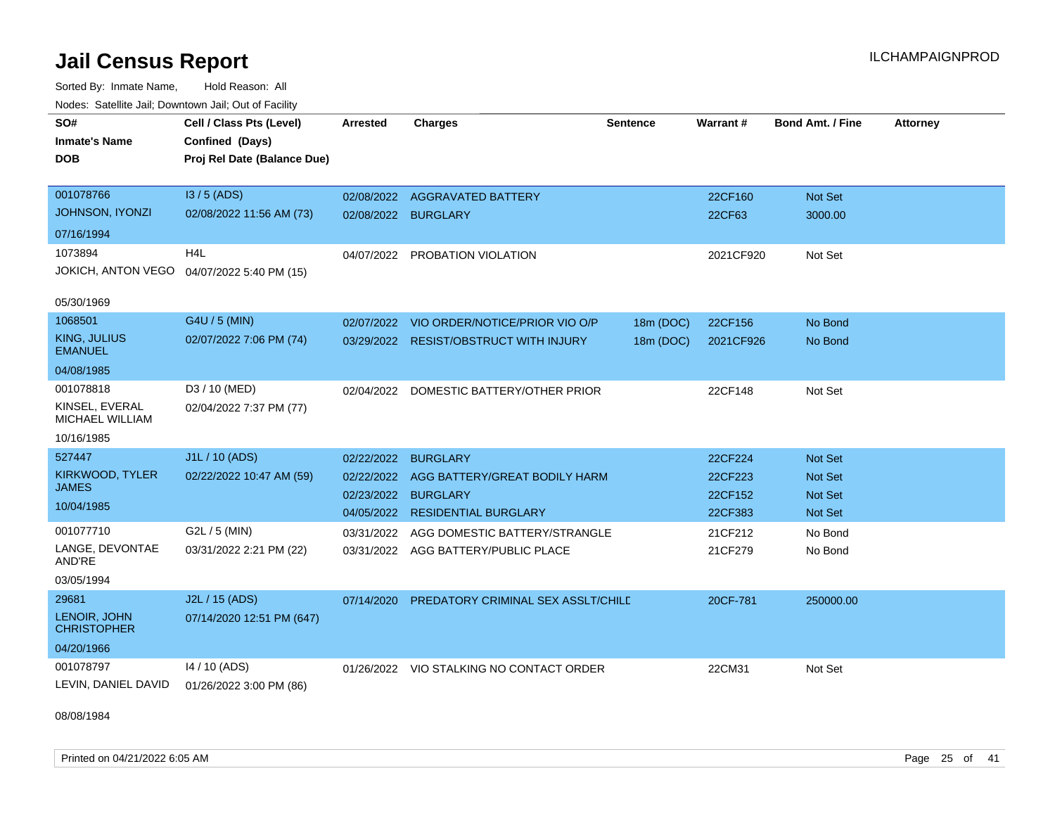Sorted By: Inmate Name, Hold Reason: All Nodes: Satellite Jail; Downtown Jail; Out of Facility

| SO#<br><b>Inmate's Name</b><br><b>DOB</b>   | Cell / Class Pts (Level)<br>Confined (Days)<br>Proj Rel Date (Balance Due) | <b>Arrested</b> | <b>Charges</b>                           | <b>Sentence</b> | Warrant#  | <b>Bond Amt. / Fine</b> | <b>Attorney</b> |
|---------------------------------------------|----------------------------------------------------------------------------|-----------------|------------------------------------------|-----------------|-----------|-------------------------|-----------------|
| 001078766                                   | $13/5$ (ADS)                                                               | 02/08/2022      | <b>AGGRAVATED BATTERY</b>                |                 | 22CF160   | Not Set                 |                 |
| JOHNSON, IYONZI                             | 02/08/2022 11:56 AM (73)                                                   | 02/08/2022      | <b>BURGLARY</b>                          |                 | 22CF63    | 3000.00                 |                 |
| 07/16/1994                                  |                                                                            |                 |                                          |                 |           |                         |                 |
| 1073894                                     | H <sub>4</sub> L                                                           | 04/07/2022      | PROBATION VIOLATION                      |                 | 2021CF920 | Not Set                 |                 |
| JOKICH, ANTON VEGO                          | 04/07/2022 5:40 PM (15)                                                    |                 |                                          |                 |           |                         |                 |
| 05/30/1969                                  |                                                                            |                 |                                          |                 |           |                         |                 |
| 1068501                                     | G4U / 5 (MIN)                                                              | 02/07/2022      | VIO ORDER/NOTICE/PRIOR VIO O/P           | 18m (DOC)       | 22CF156   | No Bond                 |                 |
| <b>KING, JULIUS</b><br><b>EMANUEL</b>       | 02/07/2022 7:06 PM (74)                                                    |                 | 03/29/2022 RESIST/OBSTRUCT WITH INJURY   | 18m (DOC)       | 2021CF926 | No Bond                 |                 |
| 04/08/1985                                  |                                                                            |                 |                                          |                 |           |                         |                 |
| 001078818                                   | D3 / 10 (MED)                                                              |                 | 02/04/2022 DOMESTIC BATTERY/OTHER PRIOR  |                 | 22CF148   | Not Set                 |                 |
| KINSEL, EVERAL<br>MICHAEL WILLIAM           | 02/04/2022 7:37 PM (77)                                                    |                 |                                          |                 |           |                         |                 |
| 10/16/1985                                  |                                                                            |                 |                                          |                 |           |                         |                 |
| 527447                                      | J1L / 10 (ADS)                                                             | 02/22/2022      | <b>BURGLARY</b>                          |                 | 22CF224   | <b>Not Set</b>          |                 |
| KIRKWOOD, TYLER                             | 02/22/2022 10:47 AM (59)                                                   | 02/22/2022      | AGG BATTERY/GREAT BODILY HARM            |                 | 22CF223   | <b>Not Set</b>          |                 |
| <b>JAMES</b>                                |                                                                            | 02/23/2022      | <b>BURGLARY</b>                          |                 | 22CF152   | <b>Not Set</b>          |                 |
| 10/04/1985                                  |                                                                            | 04/05/2022      | <b>RESIDENTIAL BURGLARY</b>              |                 | 22CF383   | <b>Not Set</b>          |                 |
| 001077710                                   | G2L / 5 (MIN)                                                              | 03/31/2022      | AGG DOMESTIC BATTERY/STRANGLE            |                 | 21CF212   | No Bond                 |                 |
| LANGE, DEVONTAE<br>AND'RE                   | 03/31/2022 2:21 PM (22)                                                    |                 | 03/31/2022 AGG BATTERY/PUBLIC PLACE      |                 | 21CF279   | No Bond                 |                 |
| 03/05/1994                                  |                                                                            |                 |                                          |                 |           |                         |                 |
| 29681<br>LENOIR, JOHN<br><b>CHRISTOPHER</b> | J2L / 15 (ADS)<br>07/14/2020 12:51 PM (647)                                | 07/14/2020      | PREDATORY CRIMINAL SEX ASSLT/CHILD       |                 | 20CF-781  | 250000.00               |                 |
| 04/20/1966                                  |                                                                            |                 |                                          |                 |           |                         |                 |
| 001078797<br>LEVIN, DANIEL DAVID            | 14 / 10 (ADS)<br>01/26/2022 3:00 PM (86)                                   |                 | 01/26/2022 VIO STALKING NO CONTACT ORDER |                 | 22CM31    | Not Set                 |                 |

08/08/1984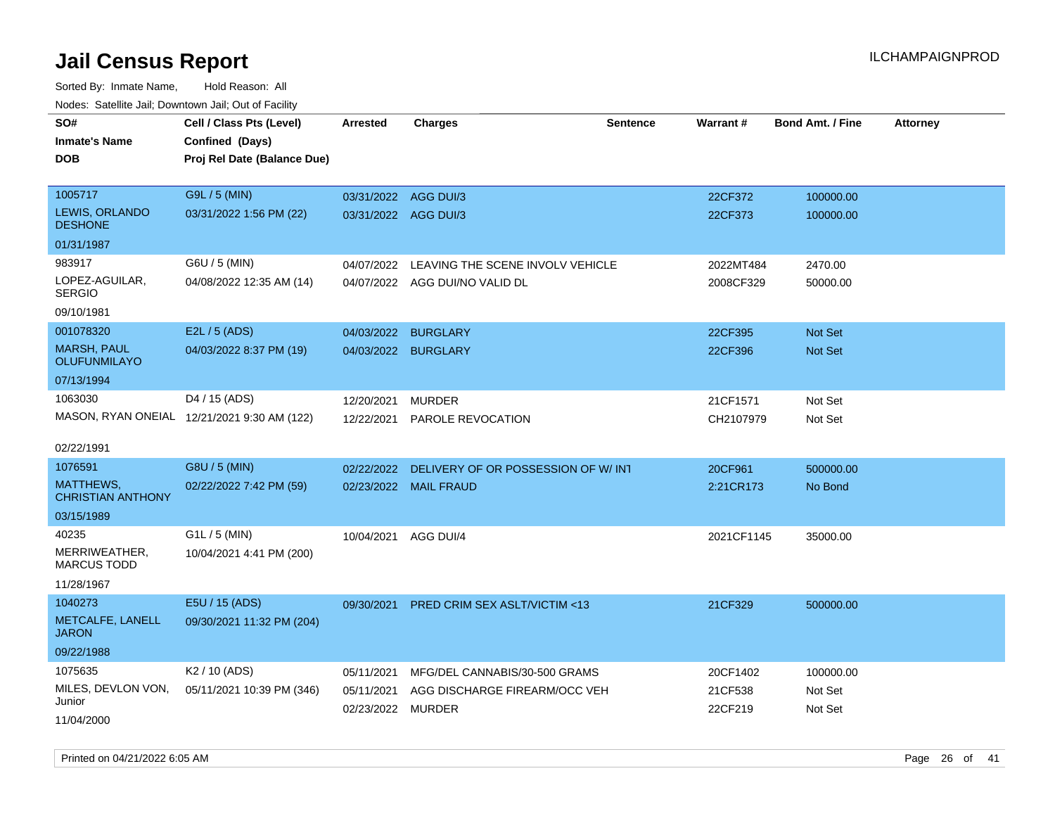| roacs. Catellite Jall, Downtown Jall, Out of Facility |                                             |                      |                                          |                 |            |                         |                 |
|-------------------------------------------------------|---------------------------------------------|----------------------|------------------------------------------|-----------------|------------|-------------------------|-----------------|
| SO#                                                   | Cell / Class Pts (Level)                    | <b>Arrested</b>      | <b>Charges</b>                           | <b>Sentence</b> | Warrant#   | <b>Bond Amt. / Fine</b> | <b>Attorney</b> |
| <b>Inmate's Name</b>                                  | Confined (Days)                             |                      |                                          |                 |            |                         |                 |
| <b>DOB</b>                                            | Proj Rel Date (Balance Due)                 |                      |                                          |                 |            |                         |                 |
|                                                       |                                             |                      |                                          |                 |            |                         |                 |
| 1005717                                               | G9L / 5 (MIN)                               | 03/31/2022 AGG DUI/3 |                                          |                 | 22CF372    | 100000.00               |                 |
| LEWIS, ORLANDO<br><b>DESHONE</b>                      | 03/31/2022 1:56 PM (22)                     | 03/31/2022 AGG DUI/3 |                                          |                 | 22CF373    | 100000.00               |                 |
| 01/31/1987                                            |                                             |                      |                                          |                 |            |                         |                 |
| 983917                                                | G6U / 5 (MIN)                               | 04/07/2022           | LEAVING THE SCENE INVOLV VEHICLE         |                 | 2022MT484  | 2470.00                 |                 |
| LOPEZ-AGUILAR,<br><b>SERGIO</b>                       | 04/08/2022 12:35 AM (14)                    |                      | 04/07/2022 AGG DUI/NO VALID DL           |                 | 2008CF329  | 50000.00                |                 |
| 09/10/1981                                            |                                             |                      |                                          |                 |            |                         |                 |
| 001078320                                             | E2L / 5 (ADS)                               | 04/03/2022           | <b>BURGLARY</b>                          |                 | 22CF395    | Not Set                 |                 |
| <b>MARSH, PAUL</b><br><b>OLUFUNMILAYO</b>             | 04/03/2022 8:37 PM (19)                     | 04/03/2022 BURGLARY  |                                          |                 | 22CF396    | Not Set                 |                 |
| 07/13/1994                                            |                                             |                      |                                          |                 |            |                         |                 |
| 1063030                                               | D4 / 15 (ADS)                               | 12/20/2021           | <b>MURDER</b>                            |                 | 21CF1571   | Not Set                 |                 |
|                                                       | MASON, RYAN ONEIAL 12/21/2021 9:30 AM (122) | 12/22/2021           | PAROLE REVOCATION                        |                 | CH2107979  | Not Set                 |                 |
|                                                       |                                             |                      |                                          |                 |            |                         |                 |
| 02/22/1991                                            |                                             |                      |                                          |                 |            |                         |                 |
| 1076591                                               | G8U / 5 (MIN)                               | 02/22/2022           | DELIVERY OF OR POSSESSION OF W/INT       |                 | 20CF961    | 500000.00               |                 |
| MATTHEWS,<br><b>CHRISTIAN ANTHONY</b>                 | 02/22/2022 7:42 PM (59)                     |                      | 02/23/2022 MAIL FRAUD                    |                 | 2:21CR173  | No Bond                 |                 |
| 03/15/1989                                            |                                             |                      |                                          |                 |            |                         |                 |
| 40235                                                 | G1L / 5 (MIN)                               | 10/04/2021           | AGG DUI/4                                |                 | 2021CF1145 | 35000.00                |                 |
| MERRIWEATHER,<br><b>MARCUS TODD</b>                   | 10/04/2021 4:41 PM (200)                    |                      |                                          |                 |            |                         |                 |
| 11/28/1967                                            |                                             |                      |                                          |                 |            |                         |                 |
| 1040273                                               | E5U / 15 (ADS)                              |                      | 09/30/2021 PRED CRIM SEX ASLT/VICTIM <13 |                 | 21CF329    | 500000.00               |                 |
| METCALFE, LANELL<br><b>JARON</b>                      | 09/30/2021 11:32 PM (204)                   |                      |                                          |                 |            |                         |                 |
| 09/22/1988                                            |                                             |                      |                                          |                 |            |                         |                 |
| 1075635                                               | K <sub>2</sub> / 10 (ADS)                   | 05/11/2021           | MFG/DEL CANNABIS/30-500 GRAMS            |                 | 20CF1402   | 100000.00               |                 |
| MILES, DEVLON VON,                                    | 05/11/2021 10:39 PM (346)                   | 05/11/2021           | AGG DISCHARGE FIREARM/OCC VEH            |                 | 21CF538    | Not Set                 |                 |
| Junior                                                |                                             | 02/23/2022 MURDER    |                                          |                 | 22CF219    | Not Set                 |                 |
| 11/04/2000                                            |                                             |                      |                                          |                 |            |                         |                 |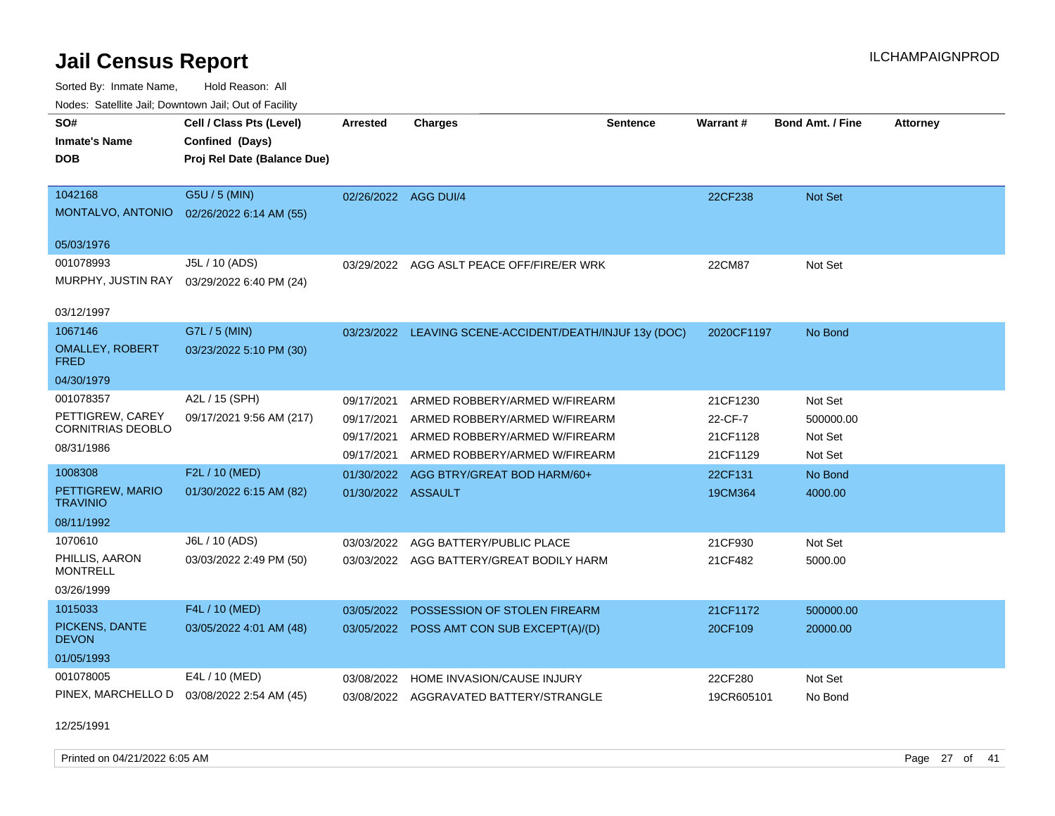Sorted By: Inmate Name, Hold Reason: All Nodes: Satellite Jail; Downtown Jail; Out of Facility

| Nudes. Salenne Jan, Downlown Jan, Out of Facility |                             |                      |                                                         |                 |                 |                  |                 |
|---------------------------------------------------|-----------------------------|----------------------|---------------------------------------------------------|-----------------|-----------------|------------------|-----------------|
| SO#                                               | Cell / Class Pts (Level)    | <b>Arrested</b>      | <b>Charges</b>                                          | <b>Sentence</b> | <b>Warrant#</b> | Bond Amt. / Fine | <b>Attorney</b> |
| <b>Inmate's Name</b>                              | Confined (Days)             |                      |                                                         |                 |                 |                  |                 |
| <b>DOB</b>                                        | Proj Rel Date (Balance Due) |                      |                                                         |                 |                 |                  |                 |
|                                                   |                             |                      |                                                         |                 |                 |                  |                 |
| 1042168                                           | G5U / 5 (MIN)               | 02/26/2022 AGG DUI/4 |                                                         |                 | 22CF238         | <b>Not Set</b>   |                 |
| MONTALVO, ANTONIO                                 | 02/26/2022 6:14 AM (55)     |                      |                                                         |                 |                 |                  |                 |
| 05/03/1976                                        |                             |                      |                                                         |                 |                 |                  |                 |
| 001078993                                         | J5L / 10 (ADS)              | 03/29/2022           | AGG ASLT PEACE OFF/FIRE/ER WRK                          |                 | 22CM87          | Not Set          |                 |
| MURPHY, JUSTIN RAY                                | 03/29/2022 6:40 PM (24)     |                      |                                                         |                 |                 |                  |                 |
|                                                   |                             |                      |                                                         |                 |                 |                  |                 |
| 03/12/1997                                        |                             |                      |                                                         |                 |                 |                  |                 |
| 1067146                                           | G7L / 5 (MIN)               |                      | 03/23/2022 LEAVING SCENE-ACCIDENT/DEATH/INJUF 13y (DOC) |                 | 2020CF1197      | No Bond          |                 |
| <b>OMALLEY, ROBERT</b><br><b>FRED</b>             | 03/23/2022 5:10 PM (30)     |                      |                                                         |                 |                 |                  |                 |
| 04/30/1979                                        |                             |                      |                                                         |                 |                 |                  |                 |
| 001078357                                         | A2L / 15 (SPH)              | 09/17/2021           | ARMED ROBBERY/ARMED W/FIREARM                           |                 | 21CF1230        | Not Set          |                 |
| PETTIGREW, CAREY                                  | 09/17/2021 9:56 AM (217)    | 09/17/2021           | ARMED ROBBERY/ARMED W/FIREARM                           |                 | 22-CF-7         | 500000.00        |                 |
| <b>CORNITRIAS DEOBLO</b>                          |                             | 09/17/2021           | ARMED ROBBERY/ARMED W/FIREARM                           |                 | 21CF1128        | Not Set          |                 |
| 08/31/1986                                        |                             | 09/17/2021           | ARMED ROBBERY/ARMED W/FIREARM                           |                 | 21CF1129        | Not Set          |                 |
| 1008308                                           | F2L / 10 (MED)              | 01/30/2022           | AGG BTRY/GREAT BOD HARM/60+                             |                 | 22CF131         | No Bond          |                 |
| PETTIGREW, MARIO<br><b>TRAVINIO</b>               | 01/30/2022 6:15 AM (82)     | 01/30/2022 ASSAULT   |                                                         |                 | 19CM364         | 4000.00          |                 |
| 08/11/1992                                        |                             |                      |                                                         |                 |                 |                  |                 |
| 1070610                                           | J6L / 10 (ADS)              | 03/03/2022           | AGG BATTERY/PUBLIC PLACE                                |                 | 21CF930         | Not Set          |                 |
| PHILLIS, AARON<br><b>MONTRELL</b>                 | 03/03/2022 2:49 PM (50)     | 03/03/2022           | AGG BATTERY/GREAT BODILY HARM                           |                 | 21CF482         | 5000.00          |                 |
| 03/26/1999                                        |                             |                      |                                                         |                 |                 |                  |                 |
| 1015033                                           | F4L / 10 (MED)              | 03/05/2022           | POSSESSION OF STOLEN FIREARM                            |                 | 21CF1172        | 500000.00        |                 |
| PICKENS, DANTE<br><b>DEVON</b>                    | 03/05/2022 4:01 AM (48)     | 03/05/2022           | POSS AMT CON SUB EXCEPT(A)/(D)                          |                 | 20CF109         | 20000.00         |                 |
| 01/05/1993                                        |                             |                      |                                                         |                 |                 |                  |                 |
| 001078005                                         | E4L / 10 (MED)              | 03/08/2022           | <b>HOME INVASION/CAUSE INJURY</b>                       |                 | 22CF280         | Not Set          |                 |
| PINEX, MARCHELLO D                                | 03/08/2022 2:54 AM (45)     |                      | 03/08/2022 AGGRAVATED BATTERY/STRANGLE                  |                 | 19CR605101      | No Bond          |                 |
|                                                   |                             |                      |                                                         |                 |                 |                  |                 |

12/25/1991

Printed on 04/21/2022 6:05 AM Page 27 of 41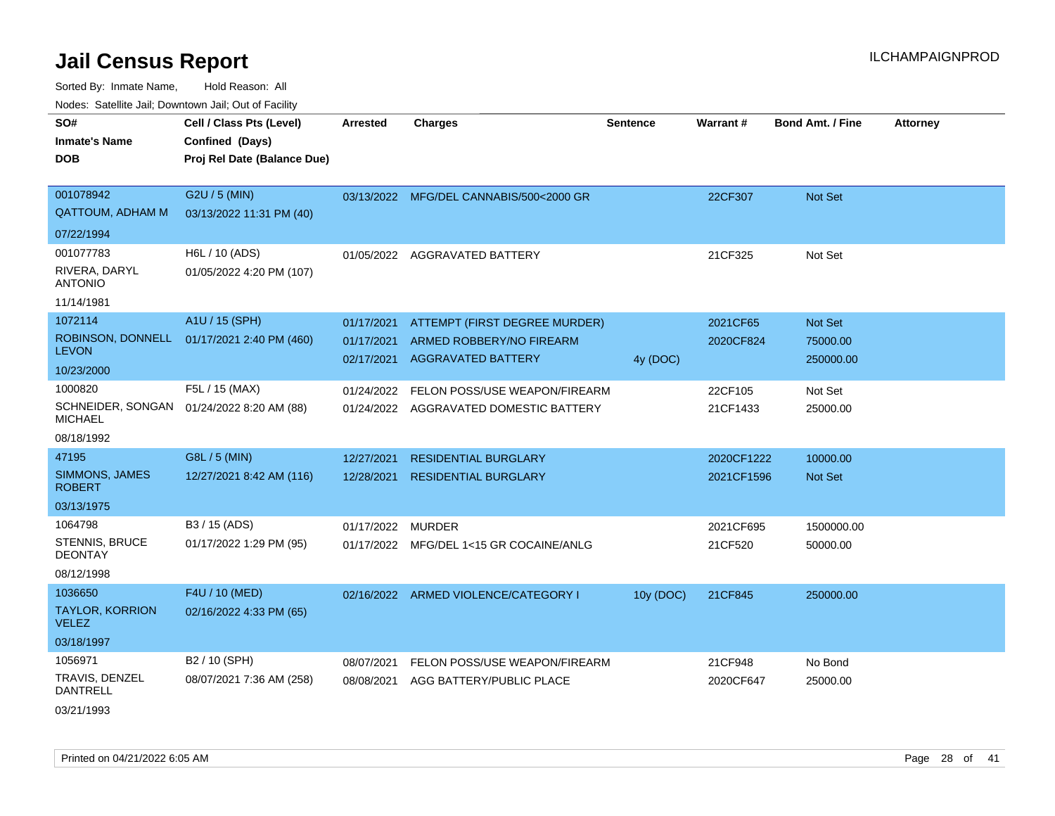Sorted By: Inmate Name, Hold Reason: All Nodes: Satellite Jail; Downtown Jail; Out of Facility

| SO#<br><b>Inmate's Name</b><br><b>DOB</b> | Cell / Class Pts (Level)<br>Confined (Days)<br>Proj Rel Date (Balance Due) | Arrested                 | <b>Charges</b>                                        | <b>Sentence</b> | Warrant#   | <b>Bond Amt. / Fine</b> | <b>Attorney</b> |
|-------------------------------------------|----------------------------------------------------------------------------|--------------------------|-------------------------------------------------------|-----------------|------------|-------------------------|-----------------|
| 001078942<br><b>QATTOUM, ADHAM M</b>      | G2U / 5 (MIN)<br>03/13/2022 11:31 PM (40)                                  |                          | 03/13/2022 MFG/DEL CANNABIS/500<2000 GR               |                 | 22CF307    | Not Set                 |                 |
| 07/22/1994                                |                                                                            |                          |                                                       |                 |            |                         |                 |
| 001077783                                 | H6L / 10 (ADS)                                                             |                          | 01/05/2022 AGGRAVATED BATTERY                         |                 | 21CF325    | Not Set                 |                 |
| RIVERA, DARYL<br><b>ANTONIO</b>           | 01/05/2022 4:20 PM (107)                                                   |                          |                                                       |                 |            |                         |                 |
| 11/14/1981                                |                                                                            |                          |                                                       |                 |            |                         |                 |
| 1072114                                   | A1U / 15 (SPH)                                                             | 01/17/2021               | ATTEMPT (FIRST DEGREE MURDER)                         |                 | 2021CF65   | Not Set                 |                 |
| <b>LEVON</b>                              | ROBINSON, DONNELL 01/17/2021 2:40 PM (460)                                 | 01/17/2021<br>02/17/2021 | ARMED ROBBERY/NO FIREARM<br><b>AGGRAVATED BATTERY</b> | 4y (DOC)        | 2020CF824  | 75000.00<br>250000.00   |                 |
| 10/23/2000                                |                                                                            |                          |                                                       |                 |            |                         |                 |
| 1000820                                   | F5L / 15 (MAX)                                                             | 01/24/2022               | FELON POSS/USE WEAPON/FIREARM                         |                 | 22CF105    | Not Set                 |                 |
| <b>MICHAEL</b>                            | SCHNEIDER, SONGAN 01/24/2022 8:20 AM (88)                                  | 01/24/2022               | AGGRAVATED DOMESTIC BATTERY                           |                 | 21CF1433   | 25000.00                |                 |
| 08/18/1992                                |                                                                            |                          |                                                       |                 |            |                         |                 |
| 47195                                     | G8L / 5 (MIN)                                                              | 12/27/2021               | <b>RESIDENTIAL BURGLARY</b>                           |                 | 2020CF1222 | 10000.00                |                 |
| SIMMONS, JAMES<br><b>ROBERT</b>           | 12/27/2021 8:42 AM (116)                                                   | 12/28/2021               | <b>RESIDENTIAL BURGLARY</b>                           |                 | 2021CF1596 | <b>Not Set</b>          |                 |
| 03/13/1975                                |                                                                            |                          |                                                       |                 |            |                         |                 |
| 1064798                                   | B3 / 15 (ADS)                                                              | 01/17/2022               | MURDER                                                |                 | 2021CF695  | 1500000.00              |                 |
| STENNIS, BRUCE<br><b>DEONTAY</b>          | 01/17/2022 1:29 PM (95)                                                    |                          | 01/17/2022 MFG/DEL 1<15 GR COCAINE/ANLG               |                 | 21CF520    | 50000.00                |                 |
| 08/12/1998                                |                                                                            |                          |                                                       |                 |            |                         |                 |
| 1036650                                   | F4U / 10 (MED)                                                             |                          | 02/16/2022 ARMED VIOLENCE/CATEGORY I                  | 10y (DOC)       | 21CF845    | 250000.00               |                 |
| <b>TAYLOR, KORRION</b><br><b>VELEZ</b>    | 02/16/2022 4:33 PM (65)                                                    |                          |                                                       |                 |            |                         |                 |
| 03/18/1997                                |                                                                            |                          |                                                       |                 |            |                         |                 |
| 1056971                                   | B2 / 10 (SPH)                                                              | 08/07/2021               | FELON POSS/USE WEAPON/FIREARM                         |                 | 21CF948    | No Bond                 |                 |
| TRAVIS, DENZEL<br><b>DANTRELL</b>         | 08/07/2021 7:36 AM (258)                                                   | 08/08/2021               | AGG BATTERY/PUBLIC PLACE                              |                 | 2020CF647  | 25000.00                |                 |
|                                           |                                                                            |                          |                                                       |                 |            |                         |                 |

03/21/1993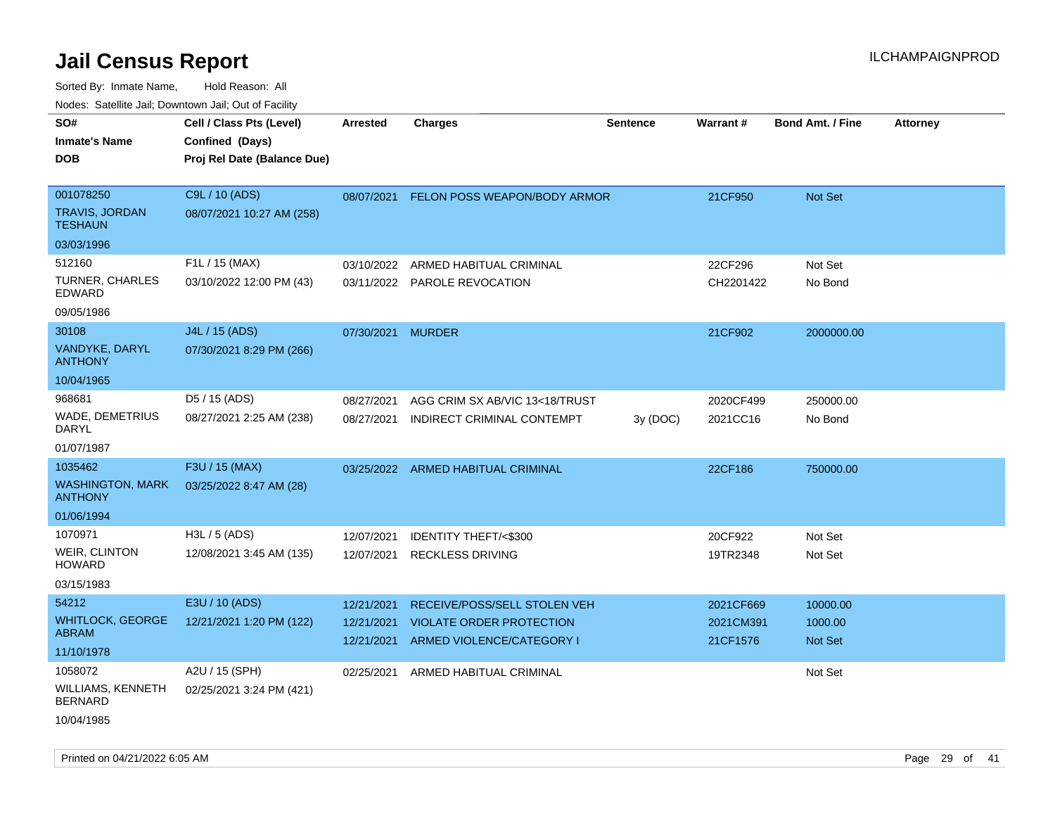| Nudes. Satellite Jali, Downtown Jali, Out of Facility |                             |                   |                                    |                 |           |                         |                 |
|-------------------------------------------------------|-----------------------------|-------------------|------------------------------------|-----------------|-----------|-------------------------|-----------------|
| SO#                                                   | Cell / Class Pts (Level)    | Arrested          | <b>Charges</b>                     | <b>Sentence</b> | Warrant#  | <b>Bond Amt. / Fine</b> | <b>Attorney</b> |
| Inmate's Name                                         | Confined (Days)             |                   |                                    |                 |           |                         |                 |
| DOB                                                   | Proj Rel Date (Balance Due) |                   |                                    |                 |           |                         |                 |
|                                                       |                             |                   |                                    |                 |           |                         |                 |
| 001078250                                             | C9L / 10 (ADS)              | 08/07/2021        | FELON POSS WEAPON/BODY ARMOR       |                 | 21CF950   | <b>Not Set</b>          |                 |
| TRAVIS, JORDAN<br>TESHAUN                             | 08/07/2021 10:27 AM (258)   |                   |                                    |                 |           |                         |                 |
| 03/03/1996                                            |                             |                   |                                    |                 |           |                         |                 |
| 512160                                                | F1L / 15 (MAX)              | 03/10/2022        | ARMED HABITUAL CRIMINAL            |                 | 22CF296   | Not Set                 |                 |
| TURNER, CHARLES<br>EDWARD                             | 03/10/2022 12:00 PM (43)    |                   | 03/11/2022 PAROLE REVOCATION       |                 | CH2201422 | No Bond                 |                 |
| 09/05/1986                                            |                             |                   |                                    |                 |           |                         |                 |
| 30108                                                 | J4L / 15 (ADS)              | 07/30/2021 MURDER |                                    |                 | 21CF902   | 2000000.00              |                 |
| VANDYKE, DARYL<br>ANTHONY                             | 07/30/2021 8:29 PM (266)    |                   |                                    |                 |           |                         |                 |
| 10/04/1965                                            |                             |                   |                                    |                 |           |                         |                 |
| 968681                                                | D5 / 15 (ADS)               | 08/27/2021        | AGG CRIM SX AB/VIC 13<18/TRUST     |                 | 2020CF499 | 250000.00               |                 |
| WADE, DEMETRIUS<br>DARYL                              | 08/27/2021 2:25 AM (238)    | 08/27/2021        | INDIRECT CRIMINAL CONTEMPT         | 3y (DOC)        | 2021CC16  | No Bond                 |                 |
| 01/07/1987                                            |                             |                   |                                    |                 |           |                         |                 |
| 1035462                                               | F3U / 15 (MAX)              |                   | 03/25/2022 ARMED HABITUAL CRIMINAL |                 | 22CF186   | 750000.00               |                 |
| <b>WASHINGTON, MARK</b><br><b>ANTHONY</b>             | 03/25/2022 8:47 AM (28)     |                   |                                    |                 |           |                         |                 |
| 01/06/1994                                            |                             |                   |                                    |                 |           |                         |                 |
| 1070971                                               | H3L / 5 (ADS)               | 12/07/2021        | <b>IDENTITY THEFT/&lt;\$300</b>    |                 | 20CF922   | Not Set                 |                 |
| WEIR, CLINTON<br>HOWARD                               | 12/08/2021 3:45 AM (135)    | 12/07/2021        | <b>RECKLESS DRIVING</b>            |                 | 19TR2348  | Not Set                 |                 |
| 03/15/1983                                            |                             |                   |                                    |                 |           |                         |                 |
| 54212                                                 | E3U / 10 (ADS)              | 12/21/2021        | RECEIVE/POSS/SELL STOLEN VEH       |                 | 2021CF669 | 10000.00                |                 |
| WHITLOCK, GEORGE                                      | 12/21/2021 1:20 PM (122)    | 12/21/2021        | <b>VIOLATE ORDER PROTECTION</b>    |                 | 2021CM391 | 1000.00                 |                 |
| ABRAM                                                 |                             | 12/21/2021        | ARMED VIOLENCE/CATEGORY I          |                 | 21CF1576  | <b>Not Set</b>          |                 |
| 11/10/1978                                            |                             |                   |                                    |                 |           |                         |                 |
| 1058072                                               | A2U / 15 (SPH)              | 02/25/2021        | ARMED HABITUAL CRIMINAL            |                 |           | Not Set                 |                 |
| WILLIAMS, KENNETH<br><b>BERNARD</b>                   | 02/25/2021 3:24 PM (421)    |                   |                                    |                 |           |                         |                 |
| 10/04/1985                                            |                             |                   |                                    |                 |           |                         |                 |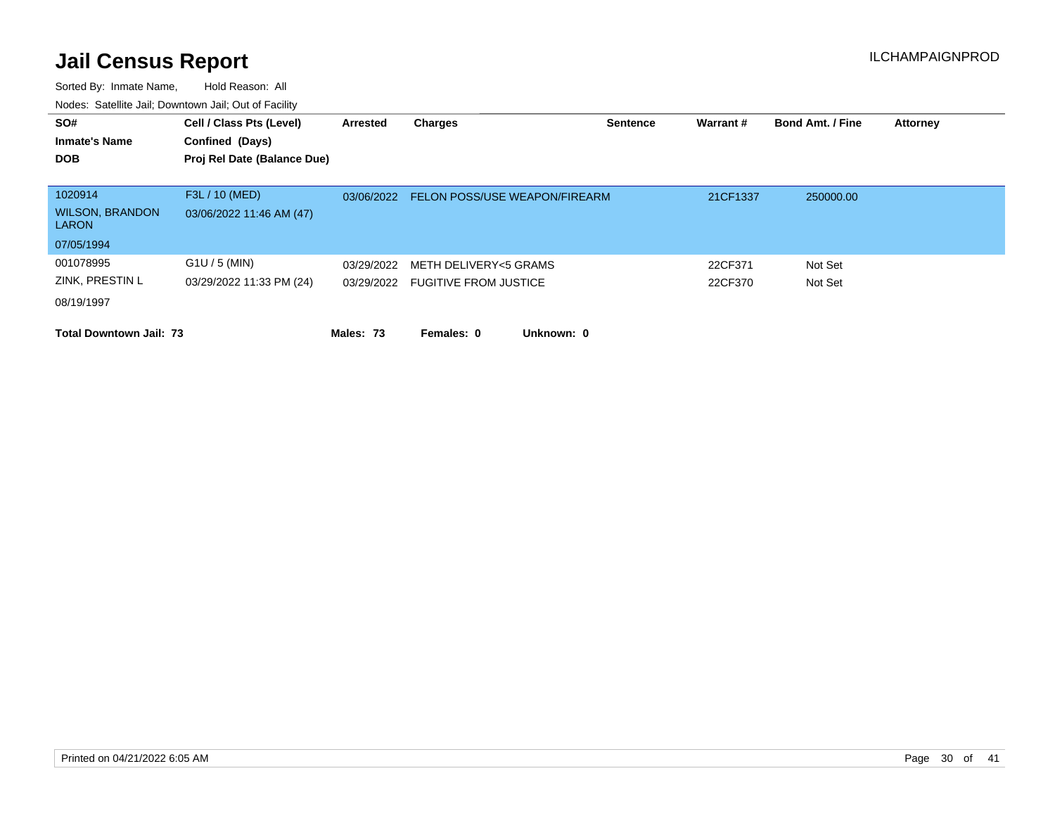| SO#<br><b>Inmate's Name</b>            | Cell / Class Pts (Level)<br>Confined (Days) | Arrested   | <b>Charges</b>                   | <b>Sentence</b> | Warrant# | <b>Bond Amt. / Fine</b> | <b>Attorney</b> |
|----------------------------------------|---------------------------------------------|------------|----------------------------------|-----------------|----------|-------------------------|-----------------|
| <b>DOB</b>                             | Proj Rel Date (Balance Due)                 |            |                                  |                 |          |                         |                 |
|                                        |                                             |            |                                  |                 |          |                         |                 |
| 1020914                                | F3L / 10 (MED)                              | 03/06/2022 | FELON POSS/USE WEAPON/FIREARM    |                 | 21CF1337 | 250000.00               |                 |
| <b>WILSON, BRANDON</b><br><b>LARON</b> | 03/06/2022 11:46 AM (47)                    |            |                                  |                 |          |                         |                 |
| 07/05/1994                             |                                             |            |                                  |                 |          |                         |                 |
| 001078995                              | $G1U / 5$ (MIN)                             | 03/29/2022 | METH DELIVERY<5 GRAMS            |                 | 22CF371  | Not Set                 |                 |
| ZINK, PRESTIN L                        | 03/29/2022 11:33 PM (24)                    |            | 03/29/2022 FUGITIVE FROM JUSTICE |                 | 22CF370  | Not Set                 |                 |
| 08/19/1997                             |                                             |            |                                  |                 |          |                         |                 |
| <b>Total Downtown Jail: 73</b>         |                                             | Males: 73  | Unknown: 0<br>Females: 0         |                 |          |                         |                 |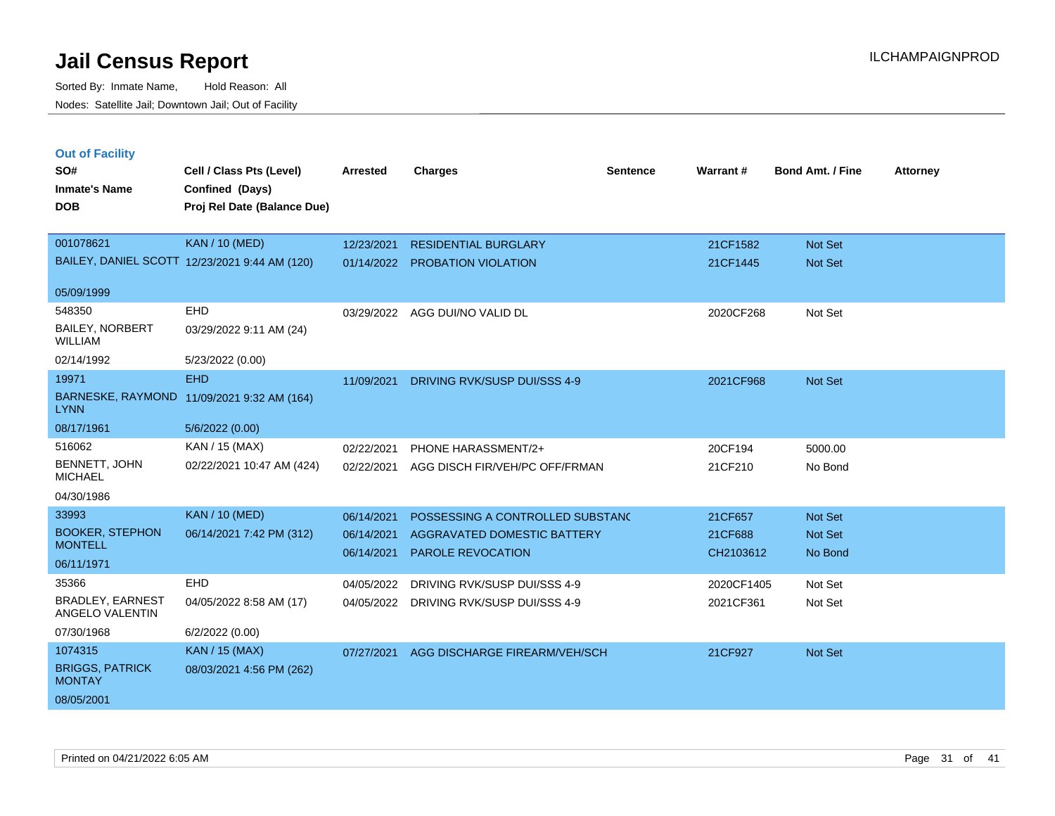| <b>Out of Facility</b>                     |                                               |                 |                                         |                 |            |                         |                 |
|--------------------------------------------|-----------------------------------------------|-----------------|-----------------------------------------|-----------------|------------|-------------------------|-----------------|
| SO#                                        | Cell / Class Pts (Level)                      | <b>Arrested</b> | <b>Charges</b>                          | <b>Sentence</b> | Warrant#   | <b>Bond Amt. / Fine</b> | <b>Attorney</b> |
| <b>Inmate's Name</b>                       | Confined (Days)                               |                 |                                         |                 |            |                         |                 |
| <b>DOB</b>                                 | Proj Rel Date (Balance Due)                   |                 |                                         |                 |            |                         |                 |
|                                            |                                               |                 |                                         |                 |            |                         |                 |
| 001078621                                  | <b>KAN / 10 (MED)</b>                         | 12/23/2021      | <b>RESIDENTIAL BURGLARY</b>             |                 | 21CF1582   | Not Set                 |                 |
|                                            | BAILEY, DANIEL SCOTT 12/23/2021 9:44 AM (120) | 01/14/2022      | <b>PROBATION VIOLATION</b>              |                 | 21CF1445   | Not Set                 |                 |
|                                            |                                               |                 |                                         |                 |            |                         |                 |
| 05/09/1999                                 |                                               |                 |                                         |                 |            |                         |                 |
| 548350                                     | EHD                                           | 03/29/2022      | AGG DUI/NO VALID DL                     |                 | 2020CF268  | Not Set                 |                 |
| BAILEY, NORBERT<br><b>WILLIAM</b>          | 03/29/2022 9:11 AM (24)                       |                 |                                         |                 |            |                         |                 |
| 02/14/1992                                 | 5/23/2022 (0.00)                              |                 |                                         |                 |            |                         |                 |
| 19971                                      | <b>EHD</b>                                    | 11/09/2021      | DRIVING RVK/SUSP DUI/SSS 4-9            |                 | 2021CF968  | Not Set                 |                 |
| <b>LYNN</b>                                | BARNESKE, RAYMOND 11/09/2021 9:32 AM (164)    |                 |                                         |                 |            |                         |                 |
| 08/17/1961                                 | 5/6/2022 (0.00)                               |                 |                                         |                 |            |                         |                 |
| 516062                                     | KAN / 15 (MAX)                                | 02/22/2021      | PHONE HARASSMENT/2+                     |                 | 20CF194    | 5000.00                 |                 |
| BENNETT, JOHN<br><b>MICHAEL</b>            | 02/22/2021 10:47 AM (424)                     | 02/22/2021      | AGG DISCH FIR/VEH/PC OFF/FRMAN          |                 | 21CF210    | No Bond                 |                 |
| 04/30/1986                                 |                                               |                 |                                         |                 |            |                         |                 |
| 33993                                      | <b>KAN / 10 (MED)</b>                         | 06/14/2021      | POSSESSING A CONTROLLED SUBSTAND        |                 | 21CF657    | Not Set                 |                 |
| <b>BOOKER, STEPHON</b>                     | 06/14/2021 7:42 PM (312)                      | 06/14/2021      | AGGRAVATED DOMESTIC BATTERY             |                 | 21CF688    | Not Set                 |                 |
| <b>MONTELL</b>                             |                                               | 06/14/2021      | PAROLE REVOCATION                       |                 | CH2103612  | No Bond                 |                 |
| 06/11/1971                                 |                                               |                 |                                         |                 |            |                         |                 |
| 35366                                      | EHD                                           | 04/05/2022      | DRIVING RVK/SUSP DUI/SSS 4-9            |                 | 2020CF1405 | Not Set                 |                 |
| <b>BRADLEY, EARNEST</b><br>ANGELO VALENTIN | 04/05/2022 8:58 AM (17)                       |                 | 04/05/2022 DRIVING RVK/SUSP DUI/SSS 4-9 |                 | 2021CF361  | Not Set                 |                 |
| 07/30/1968                                 | 6/2/2022 (0.00)                               |                 |                                         |                 |            |                         |                 |
| 1074315                                    | <b>KAN / 15 (MAX)</b>                         | 07/27/2021      | AGG DISCHARGE FIREARM/VEH/SCH           |                 | 21CF927    | <b>Not Set</b>          |                 |
| <b>BRIGGS, PATRICK</b><br><b>MONTAY</b>    | 08/03/2021 4:56 PM (262)                      |                 |                                         |                 |            |                         |                 |
| 08/05/2001                                 |                                               |                 |                                         |                 |            |                         |                 |
|                                            |                                               |                 |                                         |                 |            |                         |                 |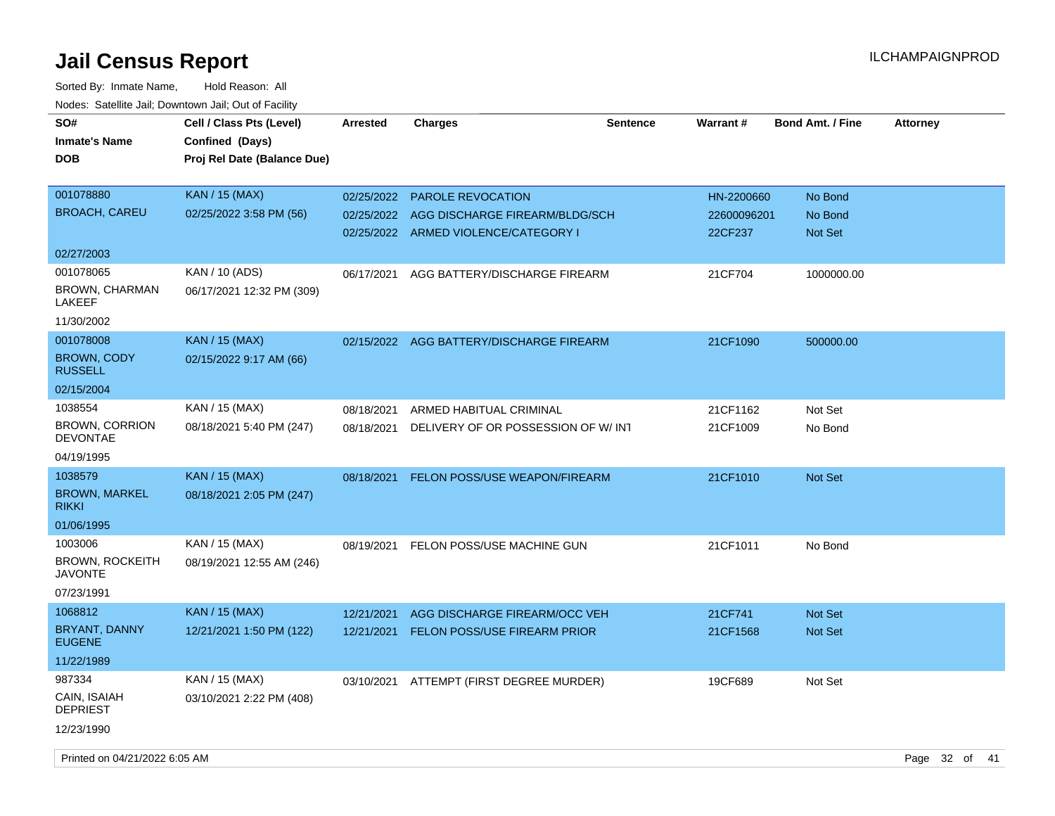| SO#<br><b>Inmate's Name</b><br><b>DOB</b>    | Cell / Class Pts (Level)<br>Confined (Days)<br>Proj Rel Date (Balance Due) | <b>Arrested</b> | <b>Charges</b>                           | <b>Sentence</b> | Warrant#    | <b>Bond Amt. / Fine</b> | <b>Attorney</b> |  |
|----------------------------------------------|----------------------------------------------------------------------------|-----------------|------------------------------------------|-----------------|-------------|-------------------------|-----------------|--|
| 001078880                                    | <b>KAN</b> / 15 (MAX)                                                      | 02/25/2022      | <b>PAROLE REVOCATION</b>                 |                 | HN-2200660  | No Bond                 |                 |  |
| <b>BROACH, CAREU</b>                         | 02/25/2022 3:58 PM (56)                                                    | 02/25/2022      | AGG DISCHARGE FIREARM/BLDG/SCH           |                 | 22600096201 | No Bond                 |                 |  |
|                                              |                                                                            |                 | 02/25/2022 ARMED VIOLENCE/CATEGORY I     |                 | 22CF237     | Not Set                 |                 |  |
| 02/27/2003                                   |                                                                            |                 |                                          |                 |             |                         |                 |  |
| 001078065<br><b>BROWN, CHARMAN</b><br>LAKEEF | KAN / 10 (ADS)<br>06/17/2021 12:32 PM (309)                                | 06/17/2021      | AGG BATTERY/DISCHARGE FIREARM            |                 | 21CF704     | 1000000.00              |                 |  |
| 11/30/2002                                   |                                                                            |                 |                                          |                 |             |                         |                 |  |
| 001078008                                    | <b>KAN / 15 (MAX)</b>                                                      |                 | 02/15/2022 AGG BATTERY/DISCHARGE FIREARM |                 | 21CF1090    | 500000.00               |                 |  |
| <b>BROWN, CODY</b><br><b>RUSSELL</b>         | 02/15/2022 9:17 AM (66)                                                    |                 |                                          |                 |             |                         |                 |  |
| 02/15/2004                                   |                                                                            |                 |                                          |                 |             |                         |                 |  |
| 1038554                                      | KAN / 15 (MAX)                                                             | 08/18/2021      | ARMED HABITUAL CRIMINAL                  |                 | 21CF1162    | Not Set                 |                 |  |
| <b>BROWN, CORRION</b><br><b>DEVONTAE</b>     | 08/18/2021 5:40 PM (247)                                                   | 08/18/2021      | DELIVERY OF OR POSSESSION OF W/ INT      |                 | 21CF1009    | No Bond                 |                 |  |
| 04/19/1995                                   |                                                                            |                 |                                          |                 |             |                         |                 |  |
| 1038579                                      | <b>KAN</b> / 15 (MAX)                                                      | 08/18/2021      | <b>FELON POSS/USE WEAPON/FIREARM</b>     |                 | 21CF1010    | Not Set                 |                 |  |
| <b>BROWN, MARKEL</b><br><b>RIKKI</b>         | 08/18/2021 2:05 PM (247)                                                   |                 |                                          |                 |             |                         |                 |  |
| 01/06/1995                                   |                                                                            |                 |                                          |                 |             |                         |                 |  |
| 1003006                                      | KAN / 15 (MAX)                                                             | 08/19/2021      | FELON POSS/USE MACHINE GUN               |                 | 21CF1011    | No Bond                 |                 |  |
| <b>BROWN, ROCKEITH</b><br>JAVONTE            | 08/19/2021 12:55 AM (246)                                                  |                 |                                          |                 |             |                         |                 |  |
| 07/23/1991                                   |                                                                            |                 |                                          |                 |             |                         |                 |  |
| 1068812                                      | <b>KAN / 15 (MAX)</b>                                                      | 12/21/2021      | AGG DISCHARGE FIREARM/OCC VEH            |                 | 21CF741     | <b>Not Set</b>          |                 |  |
| BRYANT, DANNY<br><b>EUGENE</b>               | 12/21/2021 1:50 PM (122)                                                   | 12/21/2021      | <b>FELON POSS/USE FIREARM PRIOR</b>      |                 | 21CF1568    | Not Set                 |                 |  |
| 11/22/1989                                   |                                                                            |                 |                                          |                 |             |                         |                 |  |
| 987334                                       | KAN / 15 (MAX)                                                             |                 | 03/10/2021 ATTEMPT (FIRST DEGREE MURDER) |                 | 19CF689     | Not Set                 |                 |  |
| CAIN, ISAIAH<br><b>DEPRIEST</b>              | 03/10/2021 2:22 PM (408)                                                   |                 |                                          |                 |             |                         |                 |  |
| 12/23/1990                                   |                                                                            |                 |                                          |                 |             |                         |                 |  |
| Printed on 04/21/2022 6:05 AM                |                                                                            |                 |                                          |                 |             |                         | Page 32 of 41   |  |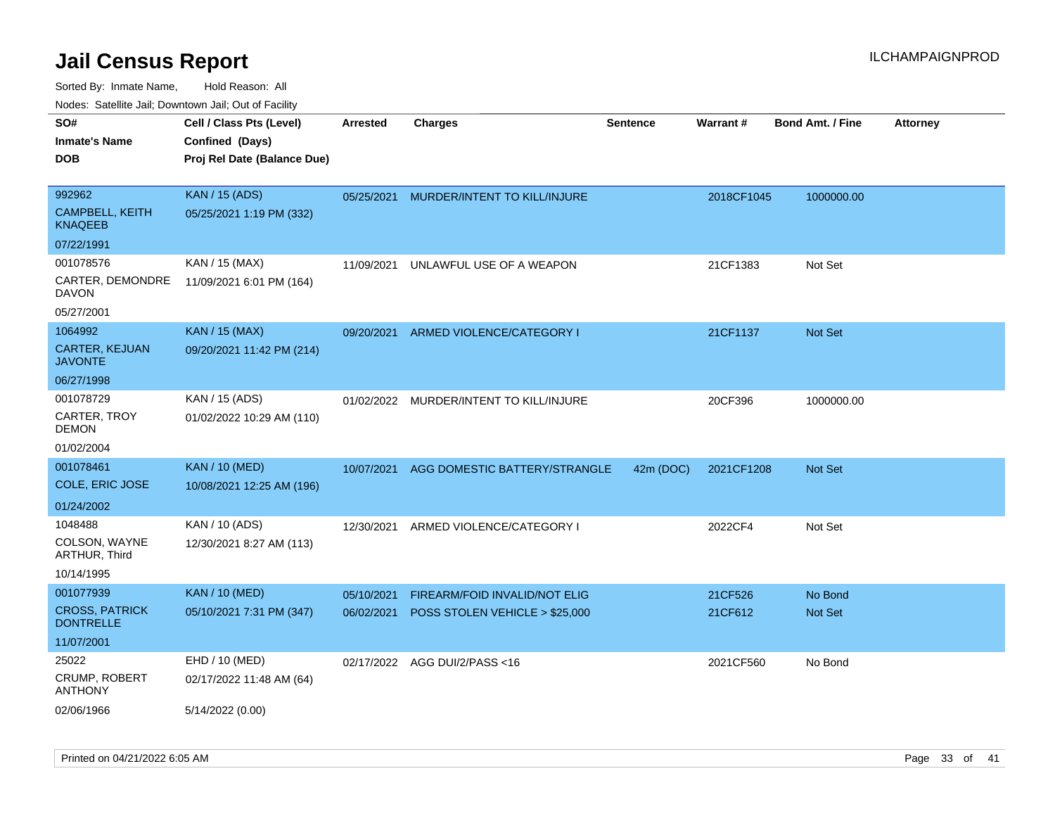| ivuutos. Saltiilit Jali, Duwilluwii Jali, Oul of Facility |                             |            |                                |                 |            |                         |                 |
|-----------------------------------------------------------|-----------------------------|------------|--------------------------------|-----------------|------------|-------------------------|-----------------|
| SO#                                                       | Cell / Class Pts (Level)    | Arrested   | <b>Charges</b>                 | <b>Sentence</b> | Warrant#   | <b>Bond Amt. / Fine</b> | <b>Attorney</b> |
| Inmate's Name                                             | Confined (Days)             |            |                                |                 |            |                         |                 |
| <b>DOB</b>                                                | Proj Rel Date (Balance Due) |            |                                |                 |            |                         |                 |
|                                                           |                             |            |                                |                 |            |                         |                 |
| 992962                                                    | <b>KAN / 15 (ADS)</b>       | 05/25/2021 | MURDER/INTENT TO KILL/INJURE   |                 | 2018CF1045 | 1000000.00              |                 |
| CAMPBELL, KEITH<br>KNAQEEB                                | 05/25/2021 1:19 PM (332)    |            |                                |                 |            |                         |                 |
| 07/22/1991                                                |                             |            |                                |                 |            |                         |                 |
| 001078576                                                 | KAN / 15 (MAX)              | 11/09/2021 | UNLAWFUL USE OF A WEAPON       |                 | 21CF1383   | Not Set                 |                 |
| CARTER, DEMONDRE<br>DAVON                                 | 11/09/2021 6:01 PM (164)    |            |                                |                 |            |                         |                 |
| 05/27/2001                                                |                             |            |                                |                 |            |                         |                 |
| 1064992                                                   | <b>KAN / 15 (MAX)</b>       | 09/20/2021 | ARMED VIOLENCE/CATEGORY I      |                 | 21CF1137   | Not Set                 |                 |
| <b>CARTER, KEJUAN</b><br>JAVONTE                          | 09/20/2021 11:42 PM (214)   |            |                                |                 |            |                         |                 |
| 06/27/1998                                                |                             |            |                                |                 |            |                         |                 |
| 001078729                                                 | KAN / 15 (ADS)              | 01/02/2022 | MURDER/INTENT TO KILL/INJURE   |                 | 20CF396    | 1000000.00              |                 |
| CARTER, TROY<br>DEMON                                     | 01/02/2022 10:29 AM (110)   |            |                                |                 |            |                         |                 |
| 01/02/2004                                                |                             |            |                                |                 |            |                         |                 |
| 001078461                                                 | <b>KAN / 10 (MED)</b>       | 10/07/2021 | AGG DOMESTIC BATTERY/STRANGLE  | 42m (DOC)       | 2021CF1208 | <b>Not Set</b>          |                 |
| COLE, ERIC JOSE                                           | 10/08/2021 12:25 AM (196)   |            |                                |                 |            |                         |                 |
| 01/24/2002                                                |                             |            |                                |                 |            |                         |                 |
| 1048488                                                   | KAN / 10 (ADS)              | 12/30/2021 | ARMED VIOLENCE/CATEGORY I      |                 | 2022CF4    | Not Set                 |                 |
| COLSON, WAYNE<br>ARTHUR, Third                            | 12/30/2021 8:27 AM (113)    |            |                                |                 |            |                         |                 |
| 10/14/1995                                                |                             |            |                                |                 |            |                         |                 |
| 001077939                                                 | <b>KAN / 10 (MED)</b>       | 05/10/2021 | FIREARM/FOID INVALID/NOT ELIG  |                 | 21CF526    | No Bond                 |                 |
| <b>CROSS, PATRICK</b><br><b>DONTRELLE</b>                 | 05/10/2021 7:31 PM (347)    | 06/02/2021 | POSS STOLEN VEHICLE > \$25,000 |                 | 21CF612    | <b>Not Set</b>          |                 |
| 11/07/2001                                                |                             |            |                                |                 |            |                         |                 |
| 25022                                                     | EHD / 10 (MED)              | 02/17/2022 | AGG DUI/2/PASS <16             |                 | 2021CF560  | No Bond                 |                 |
| CRUMP, ROBERT<br><b>ANTHONY</b>                           | 02/17/2022 11:48 AM (64)    |            |                                |                 |            |                         |                 |
| 02/06/1966                                                | 5/14/2022 (0.00)            |            |                                |                 |            |                         |                 |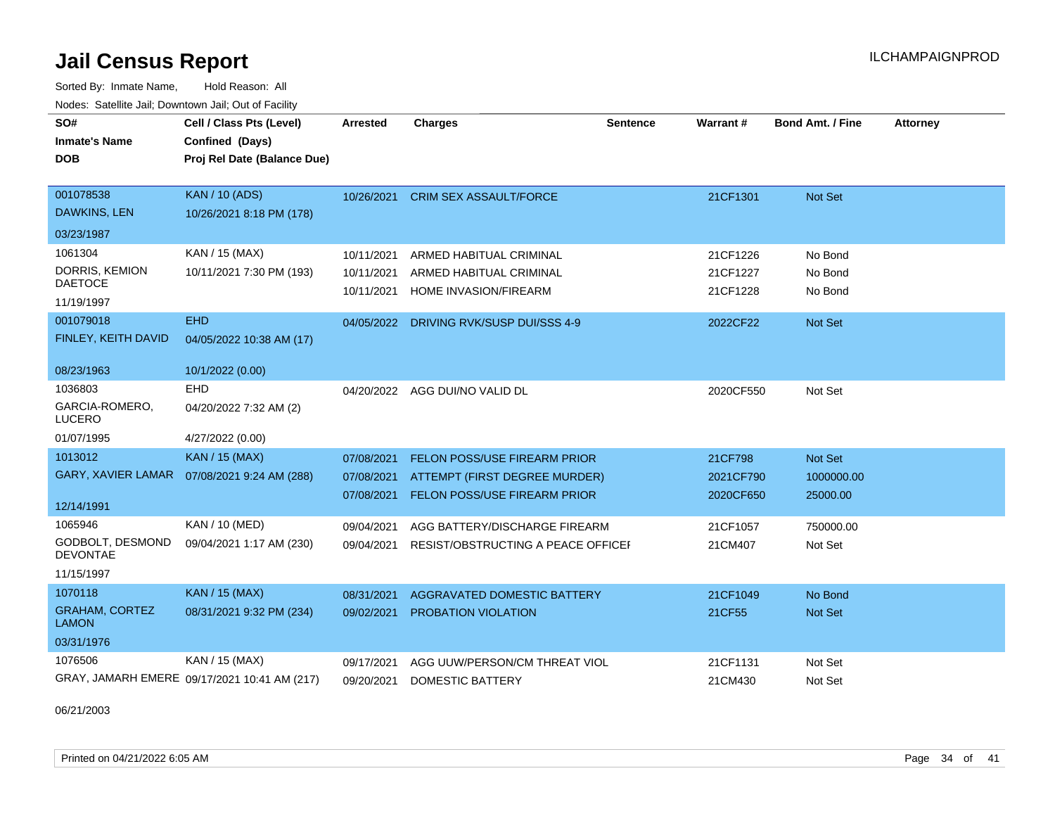Sorted By: Inmate Name, Hold Reason: All Nodes: Satellite Jail; Downtown Jail; Out of Facility

| SO#<br><b>Inmate's Name</b>           | Cell / Class Pts (Level)<br>Confined (Days)  | <b>Arrested</b> | <b>Charges</b>                      | <b>Sentence</b> | <b>Warrant#</b> | <b>Bond Amt. / Fine</b> | <b>Attorney</b> |
|---------------------------------------|----------------------------------------------|-----------------|-------------------------------------|-----------------|-----------------|-------------------------|-----------------|
| <b>DOB</b>                            | Proj Rel Date (Balance Due)                  |                 |                                     |                 |                 |                         |                 |
|                                       |                                              |                 |                                     |                 |                 |                         |                 |
| 001078538                             | <b>KAN / 10 (ADS)</b>                        | 10/26/2021      | <b>CRIM SEX ASSAULT/FORCE</b>       |                 | 21CF1301        | Not Set                 |                 |
| DAWKINS, LEN                          | 10/26/2021 8:18 PM (178)                     |                 |                                     |                 |                 |                         |                 |
| 03/23/1987                            |                                              |                 |                                     |                 |                 |                         |                 |
| 1061304                               | KAN / 15 (MAX)                               | 10/11/2021      | ARMED HABITUAL CRIMINAL             |                 | 21CF1226        | No Bond                 |                 |
| DORRIS, KEMION<br><b>DAETOCE</b>      | 10/11/2021 7:30 PM (193)                     | 10/11/2021      | ARMED HABITUAL CRIMINAL             |                 | 21CF1227        | No Bond                 |                 |
|                                       |                                              | 10/11/2021      | HOME INVASION/FIREARM               |                 | 21CF1228        | No Bond                 |                 |
| 11/19/1997<br>001079018               | <b>EHD</b>                                   |                 |                                     |                 |                 |                         |                 |
|                                       |                                              | 04/05/2022      | DRIVING RVK/SUSP DUI/SSS 4-9        |                 | 2022CF22        | <b>Not Set</b>          |                 |
| FINLEY, KEITH DAVID                   | 04/05/2022 10:38 AM (17)                     |                 |                                     |                 |                 |                         |                 |
| 08/23/1963                            | 10/1/2022 (0.00)                             |                 |                                     |                 |                 |                         |                 |
| 1036803                               | <b>EHD</b>                                   | 04/20/2022      | AGG DUI/NO VALID DL                 |                 | 2020CF550       | Not Set                 |                 |
| GARCIA-ROMERO,<br><b>LUCERO</b>       | 04/20/2022 7:32 AM (2)                       |                 |                                     |                 |                 |                         |                 |
| 01/07/1995                            | 4/27/2022 (0.00)                             |                 |                                     |                 |                 |                         |                 |
| 1013012                               | <b>KAN / 15 (MAX)</b>                        | 07/08/2021      | <b>FELON POSS/USE FIREARM PRIOR</b> |                 | 21CF798         | Not Set                 |                 |
| <b>GARY, XAVIER LAMAR</b>             | 07/08/2021 9:24 AM (288)                     | 07/08/2021      | ATTEMPT (FIRST DEGREE MURDER)       |                 | 2021CF790       | 1000000.00              |                 |
|                                       |                                              | 07/08/2021      | <b>FELON POSS/USE FIREARM PRIOR</b> |                 | 2020CF650       | 25000.00                |                 |
| 12/14/1991                            |                                              |                 |                                     |                 |                 |                         |                 |
| 1065946                               | KAN / 10 (MED)                               | 09/04/2021      | AGG BATTERY/DISCHARGE FIREARM       |                 | 21CF1057        | 750000.00               |                 |
| GODBOLT, DESMOND<br><b>DEVONTAE</b>   | 09/04/2021 1:17 AM (230)                     | 09/04/2021      | RESIST/OBSTRUCTING A PEACE OFFICEF  |                 | 21CM407         | Not Set                 |                 |
| 11/15/1997                            |                                              |                 |                                     |                 |                 |                         |                 |
| 1070118                               | <b>KAN / 15 (MAX)</b>                        | 08/31/2021      | AGGRAVATED DOMESTIC BATTERY         |                 | 21CF1049        | No Bond                 |                 |
| <b>GRAHAM, CORTEZ</b><br><b>LAMON</b> | 08/31/2021 9:32 PM (234)                     | 09/02/2021      | PROBATION VIOLATION                 |                 | 21CF55          | Not Set                 |                 |
| 03/31/1976                            |                                              |                 |                                     |                 |                 |                         |                 |
| 1076506                               | KAN / 15 (MAX)                               | 09/17/2021      | AGG UUW/PERSON/CM THREAT VIOL       |                 | 21CF1131        | Not Set                 |                 |
|                                       | GRAY, JAMARH EMERE 09/17/2021 10:41 AM (217) | 09/20/2021      | DOMESTIC BATTERY                    |                 | 21CM430         | Not Set                 |                 |

06/21/2003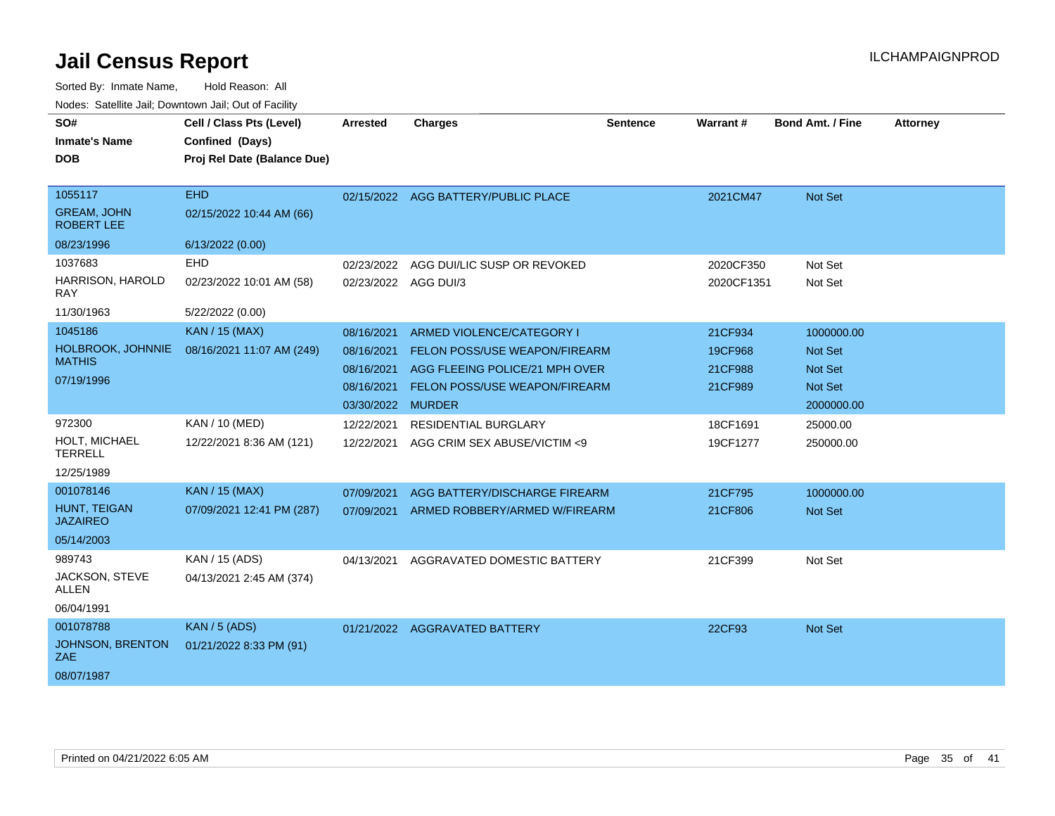| SO#<br><b>Inmate's Name</b><br><b>DOB</b>                        | Cell / Class Pts (Level)<br>Confined (Days)<br>Proj Rel Date (Balance Due) | <b>Arrested</b>                                                           | <b>Charges</b>                                                                                                                       | Sentence | Warrant#                                 | <b>Bond Amt. / Fine</b>                                                 | <b>Attorney</b> |
|------------------------------------------------------------------|----------------------------------------------------------------------------|---------------------------------------------------------------------------|--------------------------------------------------------------------------------------------------------------------------------------|----------|------------------------------------------|-------------------------------------------------------------------------|-----------------|
| 1055117<br><b>GREAM, JOHN</b><br><b>ROBERT LEE</b><br>08/23/1996 | <b>EHD</b><br>02/15/2022 10:44 AM (66)<br>6/13/2022 (0.00)                 |                                                                           | 02/15/2022 AGG BATTERY/PUBLIC PLACE                                                                                                  |          | 2021CM47                                 | Not Set                                                                 |                 |
| 1037683<br>HARRISON, HAROLD<br><b>RAY</b><br>11/30/1963          | <b>EHD</b><br>02/23/2022 10:01 AM (58)<br>5/22/2022 (0.00)                 | 02/23/2022                                                                | AGG DUI/LIC SUSP OR REVOKED<br>02/23/2022 AGG DUI/3                                                                                  |          | 2020CF350<br>2020CF1351                  | Not Set<br>Not Set                                                      |                 |
| 1045186<br>HOLBROOK, JOHNNIE<br><b>MATHIS</b><br>07/19/1996      | KAN / 15 (MAX)<br>08/16/2021 11:07 AM (249)                                | 08/16/2021<br>08/16/2021<br>08/16/2021<br>08/16/2021<br>03/30/2022 MURDER | ARMED VIOLENCE/CATEGORY I<br>FELON POSS/USE WEAPON/FIREARM<br>AGG FLEEING POLICE/21 MPH OVER<br><b>FELON POSS/USE WEAPON/FIREARM</b> |          | 21CF934<br>19CF968<br>21CF988<br>21CF989 | 1000000.00<br>Not Set<br><b>Not Set</b><br><b>Not Set</b><br>2000000.00 |                 |
| 972300<br>HOLT, MICHAEL<br><b>TERRELL</b><br>12/25/1989          | <b>KAN / 10 (MED)</b><br>12/22/2021 8:36 AM (121)                          | 12/22/2021<br>12/22/2021                                                  | <b>RESIDENTIAL BURGLARY</b><br>AGG CRIM SEX ABUSE/VICTIM <9                                                                          |          | 18CF1691<br>19CF1277                     | 25000.00<br>250000.00                                                   |                 |
| 001078146<br>HUNT, TEIGAN<br><b>JAZAIREO</b><br>05/14/2003       | <b>KAN / 15 (MAX)</b><br>07/09/2021 12:41 PM (287)                         | 07/09/2021<br>07/09/2021                                                  | AGG BATTERY/DISCHARGE FIREARM<br>ARMED ROBBERY/ARMED W/FIREARM                                                                       |          | 21CF795<br>21CF806                       | 1000000.00<br><b>Not Set</b>                                            |                 |
| 989743<br>JACKSON, STEVE<br><b>ALLEN</b><br>06/04/1991           | KAN / 15 (ADS)<br>04/13/2021 2:45 AM (374)                                 | 04/13/2021                                                                | AGGRAVATED DOMESTIC BATTERY                                                                                                          |          | 21CF399                                  | Not Set                                                                 |                 |
| 001078788<br>JOHNSON, BRENTON<br>ZAE.<br>08/07/1987              | <b>KAN / 5 (ADS)</b><br>01/21/2022 8:33 PM (91)                            |                                                                           | 01/21/2022 AGGRAVATED BATTERY                                                                                                        |          | 22CF93                                   | <b>Not Set</b>                                                          |                 |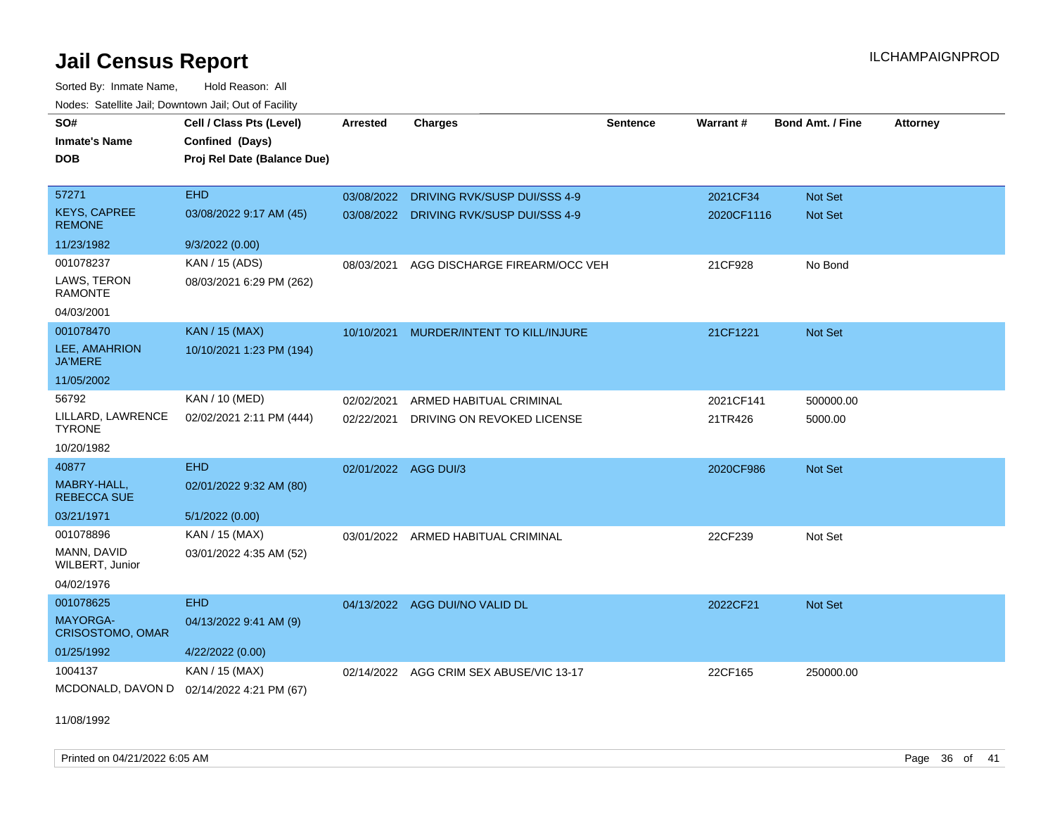Sorted By: Inmate Name, Hold Reason: All Nodes: Satellite Jail; Downtown Jail; Out of Facility

| SO#                                       | Cell / Class Pts (Level)    | <b>Arrested</b>      | <b>Charges</b>                          | <b>Sentence</b> | Warrant#   | <b>Bond Amt. / Fine</b> | <b>Attorney</b> |
|-------------------------------------------|-----------------------------|----------------------|-----------------------------------------|-----------------|------------|-------------------------|-----------------|
| <b>Inmate's Name</b>                      | Confined (Days)             |                      |                                         |                 |            |                         |                 |
| <b>DOB</b>                                | Proj Rel Date (Balance Due) |                      |                                         |                 |            |                         |                 |
|                                           |                             |                      |                                         |                 |            |                         |                 |
| 57271                                     | <b>EHD</b>                  | 03/08/2022           | DRIVING RVK/SUSP DUI/SSS 4-9            |                 | 2021CF34   | <b>Not Set</b>          |                 |
| <b>KEYS, CAPREE</b><br><b>REMONE</b>      | 03/08/2022 9:17 AM (45)     |                      | 03/08/2022 DRIVING RVK/SUSP DUI/SSS 4-9 |                 | 2020CF1116 | <b>Not Set</b>          |                 |
| 11/23/1982                                | 9/3/2022 (0.00)             |                      |                                         |                 |            |                         |                 |
| 001078237                                 | KAN / 15 (ADS)              | 08/03/2021           | AGG DISCHARGE FIREARM/OCC VEH           |                 | 21CF928    | No Bond                 |                 |
| LAWS, TERON<br><b>RAMONTE</b>             | 08/03/2021 6:29 PM (262)    |                      |                                         |                 |            |                         |                 |
| 04/03/2001                                |                             |                      |                                         |                 |            |                         |                 |
| 001078470                                 | <b>KAN / 15 (MAX)</b>       | 10/10/2021           | MURDER/INTENT TO KILL/INJURE            |                 | 21CF1221   | <b>Not Set</b>          |                 |
| LEE, AMAHRION<br><b>JA'MERE</b>           | 10/10/2021 1:23 PM (194)    |                      |                                         |                 |            |                         |                 |
| 11/05/2002                                |                             |                      |                                         |                 |            |                         |                 |
| 56792                                     | KAN / 10 (MED)              | 02/02/2021           | ARMED HABITUAL CRIMINAL                 |                 | 2021CF141  | 500000.00               |                 |
| LILLARD, LAWRENCE<br><b>TYRONE</b>        | 02/02/2021 2:11 PM (444)    | 02/22/2021           | DRIVING ON REVOKED LICENSE              |                 | 21TR426    | 5000.00                 |                 |
| 10/20/1982                                |                             |                      |                                         |                 |            |                         |                 |
| 40877                                     | <b>EHD</b>                  | 02/01/2022 AGG DUI/3 |                                         |                 | 2020CF986  | <b>Not Set</b>          |                 |
| MABRY-HALL.<br><b>REBECCA SUE</b>         | 02/01/2022 9:32 AM (80)     |                      |                                         |                 |            |                         |                 |
| 03/21/1971                                | 5/1/2022 (0.00)             |                      |                                         |                 |            |                         |                 |
| 001078896                                 | KAN / 15 (MAX)              | 03/01/2022           | ARMED HABITUAL CRIMINAL                 |                 | 22CF239    | Not Set                 |                 |
| MANN, DAVID<br>WILBERT, Junior            | 03/01/2022 4:35 AM (52)     |                      |                                         |                 |            |                         |                 |
| 04/02/1976                                |                             |                      |                                         |                 |            |                         |                 |
| 001078625                                 | <b>EHD</b>                  |                      | 04/13/2022 AGG DUI/NO VALID DL          |                 | 2022CF21   | <b>Not Set</b>          |                 |
| <b>MAYORGA-</b><br>CRISOSTOMO, OMAR       | 04/13/2022 9:41 AM (9)      |                      |                                         |                 |            |                         |                 |
| 01/25/1992                                | 4/22/2022 (0.00)            |                      |                                         |                 |            |                         |                 |
| 1004137                                   | KAN / 15 (MAX)              | 02/14/2022           | AGG CRIM SEX ABUSE/VIC 13-17            |                 | 22CF165    | 250000.00               |                 |
| MCDONALD, DAVON D 02/14/2022 4:21 PM (67) |                             |                      |                                         |                 |            |                         |                 |

11/08/1992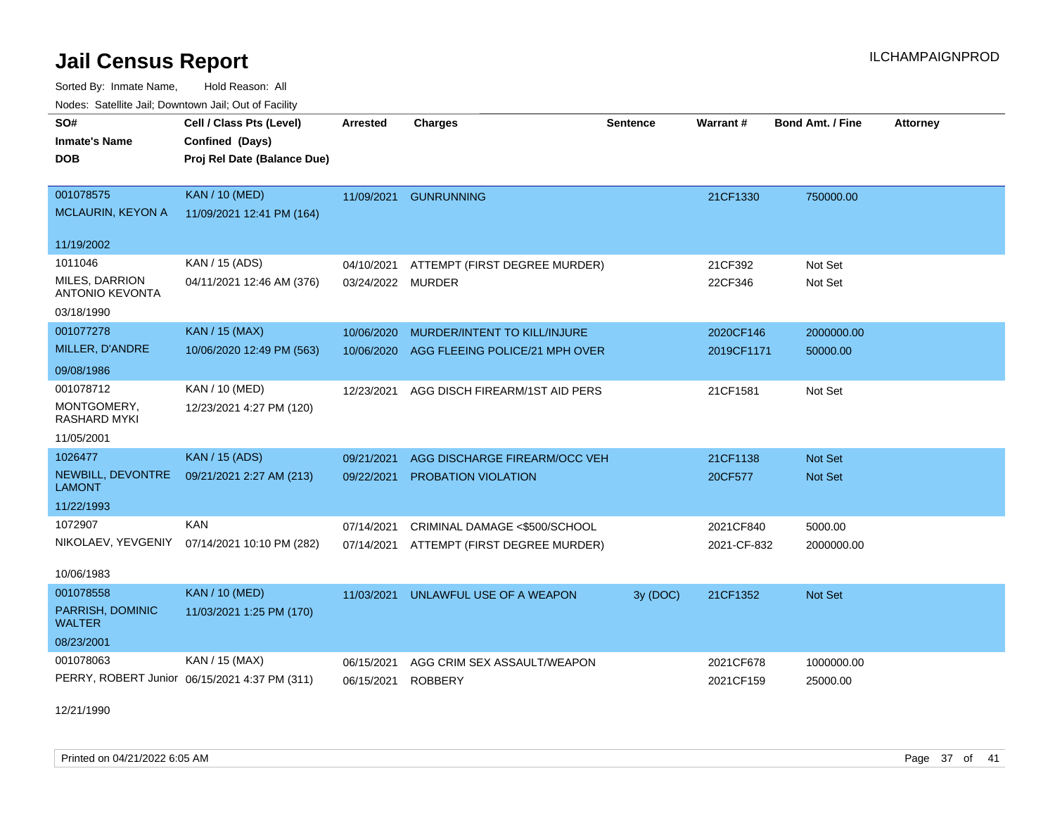Sorted By: Inmate Name, Hold Reason: All Nodes: Satellite Jail; Downtown Jail; Out of Facility

| voues. Salemie Jan, Downlown Jan, Out of Facility |                                               |                 |                                |                 |             |                         |                 |
|---------------------------------------------------|-----------------------------------------------|-----------------|--------------------------------|-----------------|-------------|-------------------------|-----------------|
| SO#                                               | Cell / Class Pts (Level)                      | <b>Arrested</b> | <b>Charges</b>                 | <b>Sentence</b> | Warrant#    | <b>Bond Amt. / Fine</b> | <b>Attorney</b> |
| <b>Inmate's Name</b>                              | Confined (Days)                               |                 |                                |                 |             |                         |                 |
| <b>DOB</b>                                        | Proj Rel Date (Balance Due)                   |                 |                                |                 |             |                         |                 |
|                                                   |                                               |                 |                                |                 |             |                         |                 |
| 001078575                                         | <b>KAN / 10 (MED)</b>                         | 11/09/2021      | <b>GUNRUNNING</b>              |                 | 21CF1330    | 750000.00               |                 |
| <b>MCLAURIN, KEYON A</b>                          | 11/09/2021 12:41 PM (164)                     |                 |                                |                 |             |                         |                 |
| 11/19/2002                                        |                                               |                 |                                |                 |             |                         |                 |
| 1011046                                           | KAN / 15 (ADS)                                | 04/10/2021      | ATTEMPT (FIRST DEGREE MURDER)  |                 | 21CF392     | Not Set                 |                 |
| <b>MILES, DARRION</b>                             | 04/11/2021 12:46 AM (376)                     | 03/24/2022      | <b>MURDER</b>                  |                 | 22CF346     | Not Set                 |                 |
| <b>ANTONIO KEVONTA</b>                            |                                               |                 |                                |                 |             |                         |                 |
| 03/18/1990                                        |                                               |                 |                                |                 |             |                         |                 |
| 001077278                                         | <b>KAN / 15 (MAX)</b>                         | 10/06/2020      | MURDER/INTENT TO KILL/INJURE   |                 | 2020CF146   | 2000000.00              |                 |
| MILLER, D'ANDRE                                   | 10/06/2020 12:49 PM (563)                     | 10/06/2020      | AGG FLEEING POLICE/21 MPH OVER |                 | 2019CF1171  | 50000.00                |                 |
| 09/08/1986                                        |                                               |                 |                                |                 |             |                         |                 |
| 001078712                                         | KAN / 10 (MED)                                | 12/23/2021      | AGG DISCH FIREARM/1ST AID PERS |                 | 21CF1581    | Not Set                 |                 |
| MONTGOMERY,<br>RASHARD MYKI                       | 12/23/2021 4:27 PM (120)                      |                 |                                |                 |             |                         |                 |
| 11/05/2001                                        |                                               |                 |                                |                 |             |                         |                 |
| 1026477                                           | <b>KAN / 15 (ADS)</b>                         | 09/21/2021      | AGG DISCHARGE FIREARM/OCC VEH  |                 | 21CF1138    | Not Set                 |                 |
| NEWBILL, DEVONTRE<br><b>LAMONT</b>                | 09/21/2021 2:27 AM (213)                      | 09/22/2021      | PROBATION VIOLATION            |                 | 20CF577     | Not Set                 |                 |
| 11/22/1993                                        |                                               |                 |                                |                 |             |                         |                 |
| 1072907                                           | <b>KAN</b>                                    | 07/14/2021      | CRIMINAL DAMAGE <\$500/SCHOOL  |                 | 2021CF840   | 5000.00                 |                 |
| NIKOLAEV, YEVGENIY                                | 07/14/2021 10:10 PM (282)                     | 07/14/2021      | ATTEMPT (FIRST DEGREE MURDER)  |                 | 2021-CF-832 | 2000000.00              |                 |
| 10/06/1983                                        |                                               |                 |                                |                 |             |                         |                 |
| 001078558                                         | <b>KAN / 10 (MED)</b>                         |                 |                                |                 |             |                         |                 |
| PARRISH, DOMINIC                                  | 11/03/2021 1:25 PM (170)                      | 11/03/2021      | UNLAWFUL USE OF A WEAPON       | 3y (DOC)        | 21CF1352    | Not Set                 |                 |
| <b>WALTER</b>                                     |                                               |                 |                                |                 |             |                         |                 |
| 08/23/2001                                        |                                               |                 |                                |                 |             |                         |                 |
| 001078063                                         | KAN / 15 (MAX)                                | 06/15/2021      | AGG CRIM SEX ASSAULT/WEAPON    |                 | 2021CF678   | 1000000.00              |                 |
|                                                   | PERRY, ROBERT Junior 06/15/2021 4:37 PM (311) | 06/15/2021      | <b>ROBBERY</b>                 |                 | 2021CF159   | 25000.00                |                 |

12/21/1990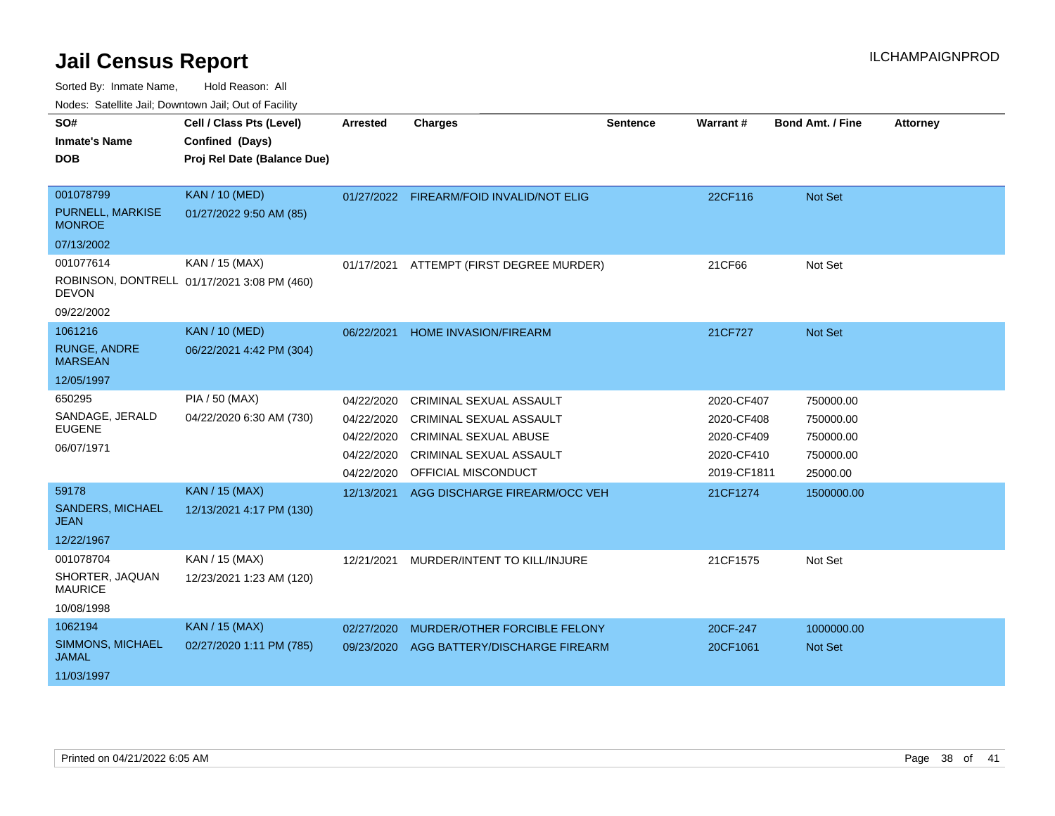Sorted By: Inmate Name, Hold Reason: All

Nodes: Satellite Jail; Downtown Jail; Out of Facility

| SO#                                      | Cell / Class Pts (Level)                    | <b>Arrested</b> | <b>Charges</b>                           | <b>Sentence</b> | <b>Warrant#</b> | <b>Bond Amt. / Fine</b> | <b>Attorney</b> |
|------------------------------------------|---------------------------------------------|-----------------|------------------------------------------|-----------------|-----------------|-------------------------|-----------------|
| <b>Inmate's Name</b>                     | Confined (Days)                             |                 |                                          |                 |                 |                         |                 |
| <b>DOB</b>                               | Proj Rel Date (Balance Due)                 |                 |                                          |                 |                 |                         |                 |
|                                          |                                             |                 |                                          |                 |                 |                         |                 |
| 001078799                                | <b>KAN / 10 (MED)</b>                       |                 | 01/27/2022 FIREARM/FOID INVALID/NOT ELIG |                 | 22CF116         | Not Set                 |                 |
| <b>PURNELL, MARKISE</b><br><b>MONROE</b> | 01/27/2022 9:50 AM (85)                     |                 |                                          |                 |                 |                         |                 |
| 07/13/2002                               |                                             |                 |                                          |                 |                 |                         |                 |
| 001077614                                | KAN / 15 (MAX)                              | 01/17/2021      | ATTEMPT (FIRST DEGREE MURDER)            |                 | 21CF66          | Not Set                 |                 |
| <b>DEVON</b>                             | ROBINSON, DONTRELL 01/17/2021 3:08 PM (460) |                 |                                          |                 |                 |                         |                 |
| 09/22/2002                               |                                             |                 |                                          |                 |                 |                         |                 |
| 1061216                                  | <b>KAN / 10 (MED)</b>                       | 06/22/2021      | HOME INVASION/FIREARM                    |                 | 21CF727         | Not Set                 |                 |
| <b>RUNGE, ANDRE</b><br><b>MARSEAN</b>    | 06/22/2021 4:42 PM (304)                    |                 |                                          |                 |                 |                         |                 |
| 12/05/1997                               |                                             |                 |                                          |                 |                 |                         |                 |
| 650295                                   | PIA / 50 (MAX)                              | 04/22/2020      | CRIMINAL SEXUAL ASSAULT                  |                 | 2020-CF407      | 750000.00               |                 |
| SANDAGE, JERALD                          | 04/22/2020 6:30 AM (730)                    | 04/22/2020      | CRIMINAL SEXUAL ASSAULT                  |                 | 2020-CF408      | 750000.00               |                 |
| <b>EUGENE</b>                            |                                             | 04/22/2020      | <b>CRIMINAL SEXUAL ABUSE</b>             |                 | 2020-CF409      | 750000.00               |                 |
| 06/07/1971                               |                                             | 04/22/2020      | <b>CRIMINAL SEXUAL ASSAULT</b>           |                 | 2020-CF410      | 750000.00               |                 |
|                                          |                                             | 04/22/2020      | OFFICIAL MISCONDUCT                      |                 | 2019-CF1811     | 25000.00                |                 |
| 59178                                    | <b>KAN / 15 (MAX)</b>                       | 12/13/2021      | AGG DISCHARGE FIREARM/OCC VEH            |                 | 21CF1274        | 1500000.00              |                 |
| <b>SANDERS, MICHAEL</b><br><b>JEAN</b>   | 12/13/2021 4:17 PM (130)                    |                 |                                          |                 |                 |                         |                 |
| 12/22/1967                               |                                             |                 |                                          |                 |                 |                         |                 |
| 001078704                                | KAN / 15 (MAX)                              | 12/21/2021      | MURDER/INTENT TO KILL/INJURE             |                 | 21CF1575        | Not Set                 |                 |
| SHORTER, JAQUAN<br><b>MAURICE</b>        | 12/23/2021 1:23 AM (120)                    |                 |                                          |                 |                 |                         |                 |
| 10/08/1998                               |                                             |                 |                                          |                 |                 |                         |                 |
| 1062194                                  | <b>KAN / 15 (MAX)</b>                       | 02/27/2020      | MURDER/OTHER FORCIBLE FELONY             |                 | 20CF-247        | 1000000.00              |                 |
| SIMMONS, MICHAEL<br><b>JAMAL</b>         | 02/27/2020 1:11 PM (785)                    | 09/23/2020      | AGG BATTERY/DISCHARGE FIREARM            |                 | 20CF1061        | <b>Not Set</b>          |                 |
| 11/03/1997                               |                                             |                 |                                          |                 |                 |                         |                 |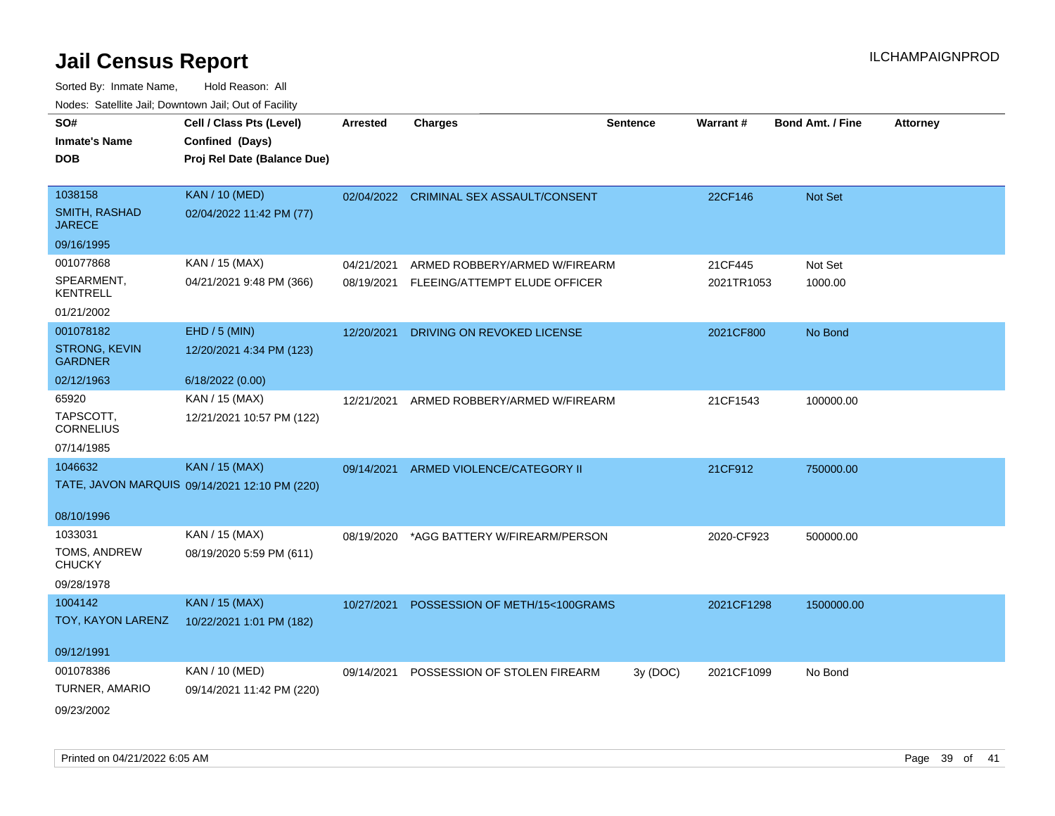| soupois catomic can, Dominomii can, Cat or I domt<br>SO# | Cell / Class Pts (Level)                      | <b>Arrested</b> | <b>Charges</b>                      | <b>Sentence</b> | Warrant#   | <b>Bond Amt. / Fine</b> | <b>Attorney</b> |
|----------------------------------------------------------|-----------------------------------------------|-----------------|-------------------------------------|-----------------|------------|-------------------------|-----------------|
| <b>Inmate's Name</b>                                     | Confined (Days)                               |                 |                                     |                 |            |                         |                 |
| <b>DOB</b>                                               | Proj Rel Date (Balance Due)                   |                 |                                     |                 |            |                         |                 |
|                                                          |                                               |                 |                                     |                 |            |                         |                 |
| 1038158                                                  | <b>KAN / 10 (MED)</b>                         | 02/04/2022      | <b>CRIMINAL SEX ASSAULT/CONSENT</b> |                 | 22CF146    | Not Set                 |                 |
| <b>SMITH, RASHAD</b><br><b>JARECE</b>                    | 02/04/2022 11:42 PM (77)                      |                 |                                     |                 |            |                         |                 |
| 09/16/1995                                               |                                               |                 |                                     |                 |            |                         |                 |
| 001077868                                                | KAN / 15 (MAX)                                | 04/21/2021      | ARMED ROBBERY/ARMED W/FIREARM       |                 | 21CF445    | Not Set                 |                 |
| SPEARMENT,<br><b>KENTRELL</b>                            | 04/21/2021 9:48 PM (366)                      | 08/19/2021      | FLEEING/ATTEMPT ELUDE OFFICER       |                 | 2021TR1053 | 1000.00                 |                 |
| 01/21/2002                                               |                                               |                 |                                     |                 |            |                         |                 |
| 001078182                                                | EHD / 5 (MIN)                                 | 12/20/2021      | DRIVING ON REVOKED LICENSE          |                 | 2021CF800  | No Bond                 |                 |
| <b>STRONG, KEVIN</b><br><b>GARDNER</b>                   | 12/20/2021 4:34 PM (123)                      |                 |                                     |                 |            |                         |                 |
| 02/12/1963                                               | 6/18/2022 (0.00)                              |                 |                                     |                 |            |                         |                 |
| 65920                                                    | KAN / 15 (MAX)                                | 12/21/2021      | ARMED ROBBERY/ARMED W/FIREARM       |                 | 21CF1543   | 100000.00               |                 |
| TAPSCOTT,<br><b>CORNELIUS</b>                            | 12/21/2021 10:57 PM (122)                     |                 |                                     |                 |            |                         |                 |
| 07/14/1985                                               |                                               |                 |                                     |                 |            |                         |                 |
| 1046632                                                  | <b>KAN / 15 (MAX)</b>                         | 09/14/2021      | ARMED VIOLENCE/CATEGORY II          |                 | 21CF912    | 750000.00               |                 |
|                                                          | TATE, JAVON MARQUIS 09/14/2021 12:10 PM (220) |                 |                                     |                 |            |                         |                 |
| 08/10/1996                                               |                                               |                 |                                     |                 |            |                         |                 |
| 1033031                                                  | KAN / 15 (MAX)                                | 08/19/2020      | *AGG BATTERY W/FIREARM/PERSON       |                 | 2020-CF923 | 500000.00               |                 |
| TOMS, ANDREW<br><b>CHUCKY</b>                            | 08/19/2020 5:59 PM (611)                      |                 |                                     |                 |            |                         |                 |
| 09/28/1978                                               |                                               |                 |                                     |                 |            |                         |                 |
| 1004142                                                  | <b>KAN / 15 (MAX)</b>                         | 10/27/2021      | POSSESSION OF METH/15<100GRAMS      |                 | 2021CF1298 | 1500000.00              |                 |
| TOY, KAYON LARENZ                                        | 10/22/2021 1:01 PM (182)                      |                 |                                     |                 |            |                         |                 |
| 09/12/1991                                               |                                               |                 |                                     |                 |            |                         |                 |
| 001078386                                                | KAN / 10 (MED)                                | 09/14/2021      | POSSESSION OF STOLEN FIREARM        | 3y(DOC)         | 2021CF1099 | No Bond                 |                 |
| TURNER, AMARIO                                           | 09/14/2021 11:42 PM (220)                     |                 |                                     |                 |            |                         |                 |
| 09/23/2002                                               |                                               |                 |                                     |                 |            |                         |                 |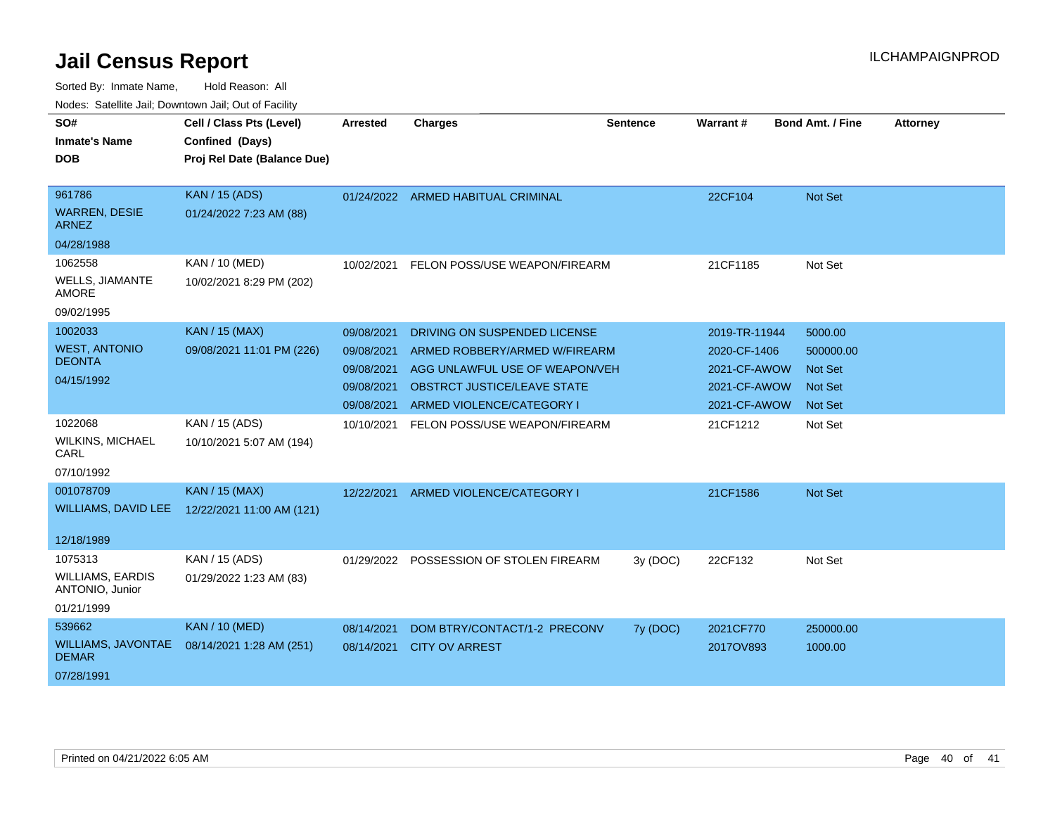| SO#<br><b>Inmate's Name</b><br><b>DOB</b>  | Cell / Class Pts (Level)<br>Confined (Days)<br>Proj Rel Date (Balance Due) | Arrested   | <b>Charges</b>                          | <b>Sentence</b> | Warrant#      | <b>Bond Amt. / Fine</b> | <b>Attorney</b> |
|--------------------------------------------|----------------------------------------------------------------------------|------------|-----------------------------------------|-----------------|---------------|-------------------------|-----------------|
| 961786                                     | <b>KAN / 15 (ADS)</b>                                                      |            | 01/24/2022 ARMED HABITUAL CRIMINAL      |                 | 22CF104       | <b>Not Set</b>          |                 |
| <b>WARREN, DESIE</b><br><b>ARNEZ</b>       | 01/24/2022 7:23 AM (88)                                                    |            |                                         |                 |               |                         |                 |
| 04/28/1988                                 |                                                                            |            |                                         |                 |               |                         |                 |
| 1062558                                    | <b>KAN / 10 (MED)</b>                                                      | 10/02/2021 | FELON POSS/USE WEAPON/FIREARM           |                 | 21CF1185      | Not Set                 |                 |
| WELLS, JIAMANTE<br><b>AMORE</b>            | 10/02/2021 8:29 PM (202)                                                   |            |                                         |                 |               |                         |                 |
| 09/02/1995                                 |                                                                            |            |                                         |                 |               |                         |                 |
| 1002033                                    | <b>KAN / 15 (MAX)</b>                                                      | 09/08/2021 | DRIVING ON SUSPENDED LICENSE            |                 | 2019-TR-11944 | 5000.00                 |                 |
| <b>WEST, ANTONIO</b>                       | 09/08/2021 11:01 PM (226)                                                  | 09/08/2021 | ARMED ROBBERY/ARMED W/FIREARM           |                 | 2020-CF-1406  | 500000.00               |                 |
| <b>DEONTA</b>                              |                                                                            | 09/08/2021 | AGG UNLAWFUL USE OF WEAPON/VEH          |                 | 2021-CF-AWOW  | <b>Not Set</b>          |                 |
| 04/15/1992                                 |                                                                            | 09/08/2021 | <b>OBSTRCT JUSTICE/LEAVE STATE</b>      |                 | 2021-CF-AWOW  | <b>Not Set</b>          |                 |
|                                            |                                                                            | 09/08/2021 | ARMED VIOLENCE/CATEGORY I               |                 | 2021-CF-AWOW  | Not Set                 |                 |
| 1022068                                    | KAN / 15 (ADS)                                                             | 10/10/2021 | FELON POSS/USE WEAPON/FIREARM           |                 | 21CF1212      | Not Set                 |                 |
| <b>WILKINS, MICHAEL</b><br>CARL            | 10/10/2021 5:07 AM (194)                                                   |            |                                         |                 |               |                         |                 |
| 07/10/1992                                 |                                                                            |            |                                         |                 |               |                         |                 |
| 001078709                                  | <b>KAN / 15 (MAX)</b>                                                      | 12/22/2021 | ARMED VIOLENCE/CATEGORY I               |                 | 21CF1586      | <b>Not Set</b>          |                 |
| <b>WILLIAMS, DAVID LEE</b>                 | 12/22/2021 11:00 AM (121)                                                  |            |                                         |                 |               |                         |                 |
| 12/18/1989                                 |                                                                            |            |                                         |                 |               |                         |                 |
| 1075313                                    | KAN / 15 (ADS)                                                             |            | 01/29/2022 POSSESSION OF STOLEN FIREARM | 3y (DOC)        | 22CF132       | Not Set                 |                 |
| <b>WILLIAMS, EARDIS</b><br>ANTONIO, Junior | 01/29/2022 1:23 AM (83)                                                    |            |                                         |                 |               |                         |                 |
| 01/21/1999                                 |                                                                            |            |                                         |                 |               |                         |                 |
| 539662                                     | <b>KAN / 10 (MED)</b>                                                      | 08/14/2021 | DOM BTRY/CONTACT/1-2 PRECONV            | 7y (DOC)        | 2021CF770     | 250000.00               |                 |
| WILLIAMS, JAVONTAE<br><b>DEMAR</b>         | 08/14/2021 1:28 AM (251)                                                   | 08/14/2021 | <b>CITY OV ARREST</b>                   |                 | 2017OV893     | 1000.00                 |                 |
| 07/28/1991                                 |                                                                            |            |                                         |                 |               |                         |                 |